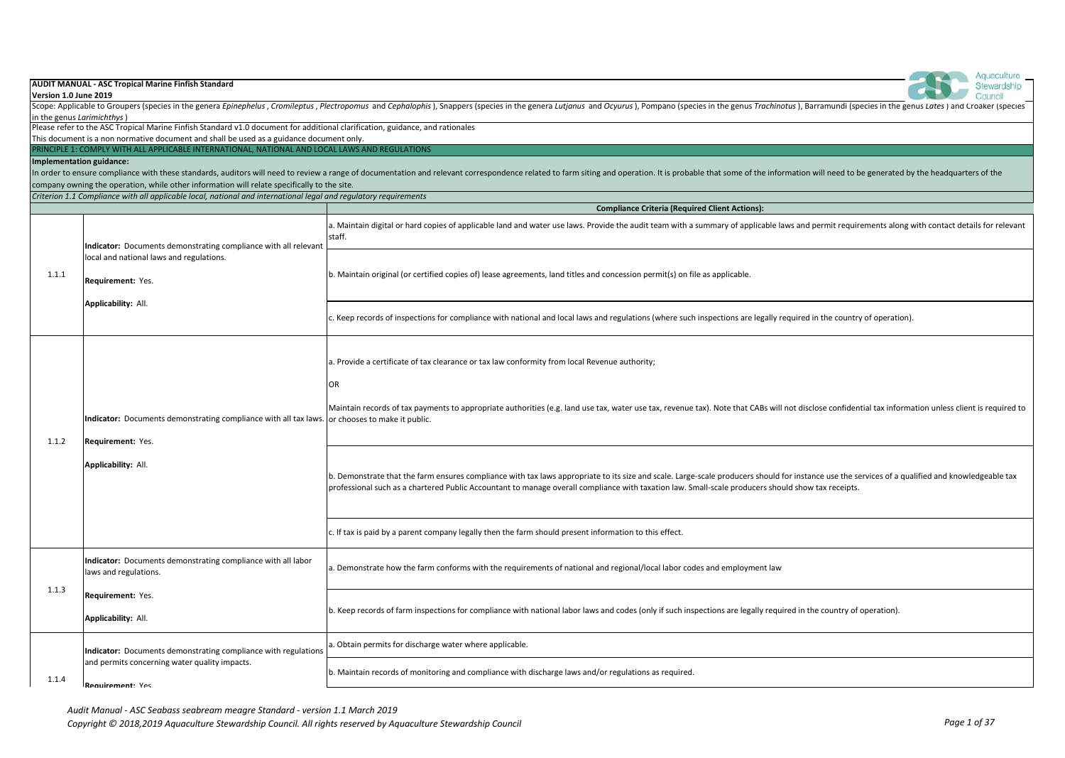| Version 1.0 June 2019     | <b>AUDIT MANUAL - ASC Tropical Marine Finfish Standard</b>                                                                                                                                 | Stewardship<br>Council                                                                                                                                                                                                                                                                                                                                 |
|---------------------------|--------------------------------------------------------------------------------------------------------------------------------------------------------------------------------------------|--------------------------------------------------------------------------------------------------------------------------------------------------------------------------------------------------------------------------------------------------------------------------------------------------------------------------------------------------------|
|                           |                                                                                                                                                                                            | Scope: Applicable to Groupers (species in the genera Epinephelus, Cromileptus, Plectropomus and Cephalophis), Snappers (species in the genera Lutianus and Ocyurus), Pompano (species in the genus Trachinotus), Barramundi (s                                                                                                                         |
| in the genus Larimichthys |                                                                                                                                                                                            |                                                                                                                                                                                                                                                                                                                                                        |
|                           | Please refer to the ASC Tropical Marine Finfish Standard v1.0 document for additional clarification, guidance, and rationales                                                              |                                                                                                                                                                                                                                                                                                                                                        |
|                           | This document is a non normative document and shall be used as a guidance document only.<br>PRINCIPLE 1: COMPLY WITH ALL APPLICABLE INTERNATIONAL, NATIONAL AND LOCAL LAWS AND REGULATIONS |                                                                                                                                                                                                                                                                                                                                                        |
| Implementation guidance:  |                                                                                                                                                                                            |                                                                                                                                                                                                                                                                                                                                                        |
|                           |                                                                                                                                                                                            | In order to ensure compliance with these standards, auditors will need to review a range of documentation and relevant correspondence related to farm siting and operation. It is probable that some of the information will n                                                                                                                         |
|                           | company owning the operation, while other information will relate specifically to the site.                                                                                                |                                                                                                                                                                                                                                                                                                                                                        |
|                           | Criterion 1.1 Compliance with all applicable local, national and international legal and regulatory requirements                                                                           |                                                                                                                                                                                                                                                                                                                                                        |
|                           |                                                                                                                                                                                            | <b>Compliance Criteria (Required Client Actions):</b>                                                                                                                                                                                                                                                                                                  |
|                           | Indicator: Documents demonstrating compliance with all relevant                                                                                                                            | a. Maintain digital or hard copies of applicable land and water use laws. Provide the audit team with a summary of applicable laws and permit requirements along with contact details for relevant<br>staff.                                                                                                                                           |
| 1.1.1                     | local and national laws and regulations.<br>Requirement: Yes.                                                                                                                              | b. Maintain original (or certified copies of) lease agreements, land titles and concession permit(s) on file as applicable.                                                                                                                                                                                                                            |
|                           | Applicability: All.                                                                                                                                                                        | c. Keep records of inspections for compliance with national and local laws and regulations (where such inspections are legally required in the country of operation).                                                                                                                                                                                  |
| 1.1.2                     | Indicator: Documents demonstrating compliance with all tax laws. or chooses to make it public.<br>Requirement: Yes.                                                                        | a. Provide a certificate of tax clearance or tax law conformity from local Revenue authority;<br>OR<br>Maintain records of tax payments to appropriate authorities (e.g. land use tax, water use tax, revenue tax). Note that CABs will not disclose confidential tax information unless client is required to                                         |
|                           | Applicability: All.                                                                                                                                                                        | b. Demonstrate that the farm ensures compliance with tax laws appropriate to its size and scale. Large-scale producers should for instance use the services of a qualified and knowledgeable tax<br>professional such as a chartered Public Accountant to manage overall compliance with taxation law. Small-scale producers should show tax receipts. |
|                           |                                                                                                                                                                                            | c. If tax is paid by a parent company legally then the farm should present information to this effect.                                                                                                                                                                                                                                                 |
|                           | Indicator: Documents demonstrating compliance with all labor<br>laws and regulations.                                                                                                      | a. Demonstrate how the farm conforms with the requirements of national and regional/local labor codes and employment law                                                                                                                                                                                                                               |
| 1.1.3                     | Requirement: Yes.<br>Applicability: All.                                                                                                                                                   | b. Keep records of farm inspections for compliance with national labor laws and codes (only if such inspections are legally required in the country of operation).                                                                                                                                                                                     |
|                           | Indicator: Documents demonstrating compliance with regulations                                                                                                                             | . Obtain permits for discharge water where applicable.                                                                                                                                                                                                                                                                                                 |
| 1.1.4                     | and permits concerning water quality impacts.<br>Requirement: Yes                                                                                                                          | b. Maintain records of monitoring and compliance with discharge laws and/or regulations as required.                                                                                                                                                                                                                                                   |

**Contract Contract Contract Contract Contract Contract Contract Contract Contract Contract Contract Contract Contract Contract Contract Contract Contract Contract Contract Contract Contract Contract Contract Contract Contr**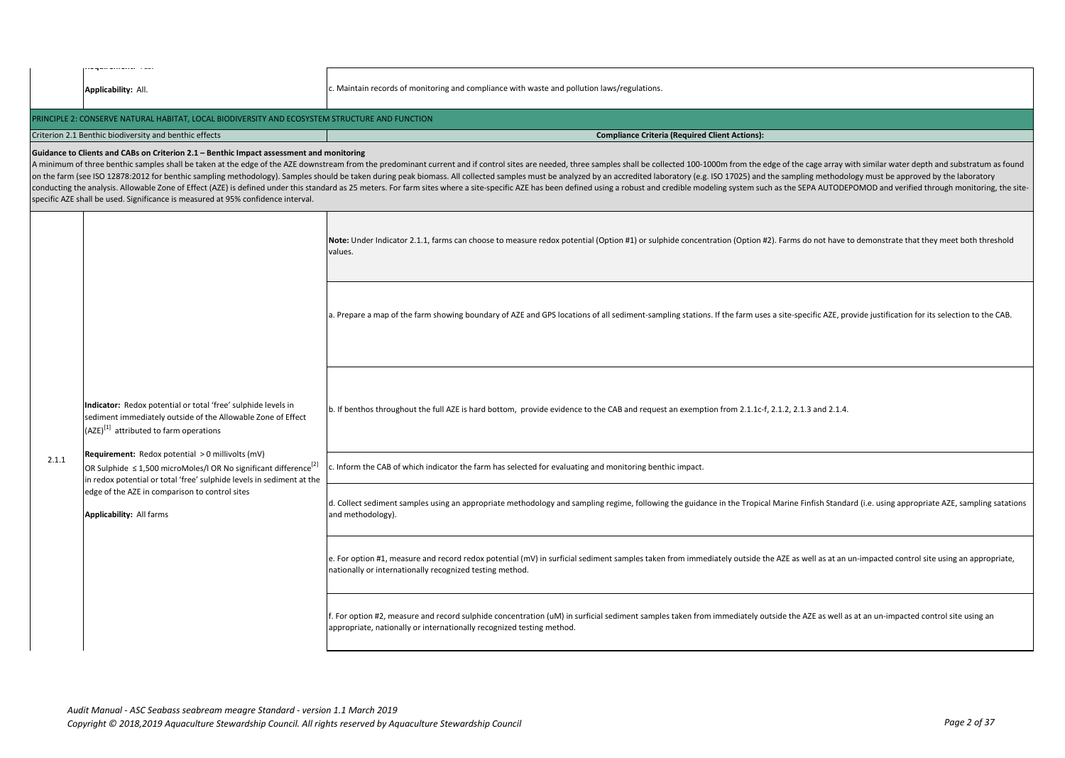|       | wywo worders in con<br>Applicability: All.                                                                                                                                                                     | c. Maintain records of monitoring and compliance with waste and pollution laws/regulations.                                                                                                                                                                                                                                                                                                                                                                                                                                                                                                                                                                                                        |
|-------|----------------------------------------------------------------------------------------------------------------------------------------------------------------------------------------------------------------|----------------------------------------------------------------------------------------------------------------------------------------------------------------------------------------------------------------------------------------------------------------------------------------------------------------------------------------------------------------------------------------------------------------------------------------------------------------------------------------------------------------------------------------------------------------------------------------------------------------------------------------------------------------------------------------------------|
|       | PRINCIPLE 2: CONSERVE NATURAL HABITAT, LOCAL BIODIVERSITY AND ECOSYSTEM STRUCTURE AND FUNCTION                                                                                                                 |                                                                                                                                                                                                                                                                                                                                                                                                                                                                                                                                                                                                                                                                                                    |
|       | Criterion 2.1 Benthic biodiversity and benthic effects                                                                                                                                                         | <b>Compliance Criteria (Required Client Actions):</b>                                                                                                                                                                                                                                                                                                                                                                                                                                                                                                                                                                                                                                              |
|       | Guidance to Clients and CABs on Criterion 2.1 - Benthic Impact assessment and monitoring<br>specific AZE shall be used. Significance is measured at 95% confidence interval.                                   | A minimum of three benthic samples shall be taken at the edge of the AZE downstream from the predominant current and if control sites are needed, three samples shall be collected 100-1000m from the edge of the cage array w<br>on the farm (see ISO 12878:2012 for benthic sampling methodology). Samples should be taken during peak biomass. All collected samples must be analyzed by an accredited laboratory (e.g. ISO 17025) and the sampling methodolo<br>conducting the analysis. Allowable Zone of Effect (AZE) is defined under this standard as 25 meters. For farm sites where a site-specific AZE has been defined using a robust and credible modeling system such as the SEPA AU |
|       |                                                                                                                                                                                                                | Note: Under Indicator 2.1.1, farms can choose to measure redox potential (Option #1) or sulphide concentration (Option #2). Farms do not have to demonstrate that they meet both threshold<br>values.                                                                                                                                                                                                                                                                                                                                                                                                                                                                                              |
|       |                                                                                                                                                                                                                | a. Prepare a map of the farm showing boundary of AZE and GPS locations of all sediment-sampling stations. If the farm uses a site-specific AZE, provide justification for its selection to the CAB.                                                                                                                                                                                                                                                                                                                                                                                                                                                                                                |
|       | Indicator: Redox potential or total 'free' sulphide levels in<br>sediment immediately outside of the Allowable Zone of Effect<br>(AZE) <sup>[1]</sup> attributed to farm operations                            | b. If benthos throughout the full AZE is hard bottom, provide evidence to the CAB and request an exemption from 2.1.1c-f, 2.1.2, 2.1.3 and 2.1.4.                                                                                                                                                                                                                                                                                                                                                                                                                                                                                                                                                  |
| 2.1.1 | Requirement: Redox potential > 0 millivolts (mV)<br>OR Sulphide $\leq$ 1,500 microMoles/I OR No significant difference <sup>[2]</sup><br>in redox potential or total 'free' sulphide levels in sediment at the | c. Inform the CAB of which indicator the farm has selected for evaluating and monitoring benthic impact.                                                                                                                                                                                                                                                                                                                                                                                                                                                                                                                                                                                           |
|       | edge of the AZE in comparison to control sites<br>Applicability: All farms                                                                                                                                     | d. Collect sediment samples using an appropriate methodology and sampling regime, following the guidance in the Tropical Marine Finfish Standard (i.e. using appropriate AZE, sampling satations<br>and methodology).                                                                                                                                                                                                                                                                                                                                                                                                                                                                              |
|       |                                                                                                                                                                                                                | e. For option #1, measure and record redox potential (mV) in surficial sediment samples taken from immediately outside the AZE as well as at an un-impacted control site using an appropriate,<br>nationally or internationally recognized testing method.                                                                                                                                                                                                                                                                                                                                                                                                                                         |
|       |                                                                                                                                                                                                                | f. For option #2, measure and record sulphide concentration (uM) in surficial sediment samples taken from immediately outside the AZE as well as at an un-impacted control site using an<br>appropriate, nationally or internationally recognized testing method.                                                                                                                                                                                                                                                                                                                                                                                                                                  |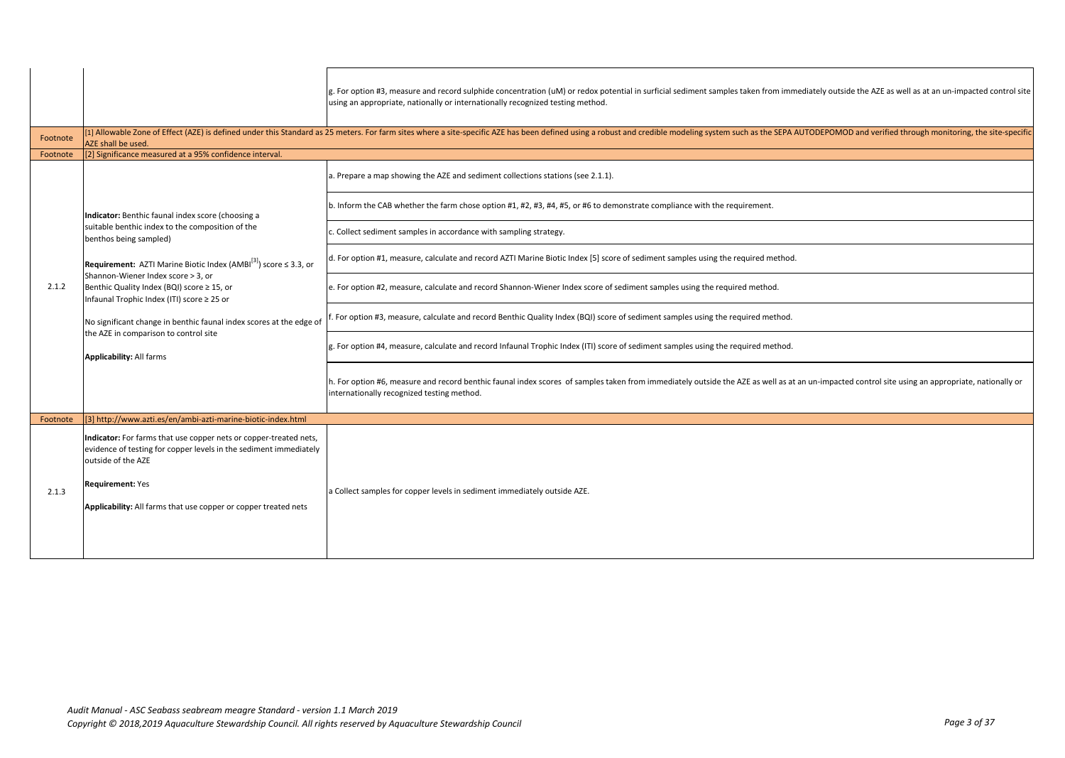|          |                                                                                                                                                                                                                                                                            | g. For option #3, measure and record sulphide concentration (uM) or redox potential in surficial sediment samples taken from immediately outside the AZE as well as at an un-impacted control site<br>using an appropriate, nationally or internationally recognized testing method. |
|----------|----------------------------------------------------------------------------------------------------------------------------------------------------------------------------------------------------------------------------------------------------------------------------|--------------------------------------------------------------------------------------------------------------------------------------------------------------------------------------------------------------------------------------------------------------------------------------|
| Footnote | AZE shall be used.                                                                                                                                                                                                                                                         | [1] Allowable Zone of Effect (AZE) is defined under this Standard as 25 meters. For farm sites where a site-specific AZE has been defined using a robust and credible modeling system such as the SEPA AUTODEPOMOD and verifie                                                       |
| Footnote | [2] Significance measured at a 95% confidence interval.                                                                                                                                                                                                                    |                                                                                                                                                                                                                                                                                      |
|          |                                                                                                                                                                                                                                                                            | a. Prepare a map showing the AZE and sediment collections stations (see 2.1.1).                                                                                                                                                                                                      |
|          | Indicator: Benthic faunal index score (choosing a                                                                                                                                                                                                                          | b. Inform the CAB whether the farm chose option #1, #2, #3, #4, #5, or #6 to demonstrate compliance with the requirement.                                                                                                                                                            |
|          | suitable benthic index to the composition of the<br>benthos being sampled)                                                                                                                                                                                                 | . Collect sediment samples in accordance with sampling strategy.                                                                                                                                                                                                                     |
|          | <b>Requirement:</b> AZTI Marine Biotic Index (AMBI $^{[3]}$ ) score $\leq$ 3.3, or                                                                                                                                                                                         | d. For option #1, measure, calculate and record AZTI Marine Biotic Index [5] score of sediment samples using the required method.                                                                                                                                                    |
| 2.1.2    | Shannon-Wiener Index score > 3. or<br>Benthic Quality Index (BQI) score ≥ 15, or<br>Infaunal Trophic Index (ITI) score ≥ 25 or<br>No significant change in benthic faunal index scores at the edge of<br>the AZE in comparison to control site<br>Applicability: All farms | e. For option #2, measure, calculate and record Shannon-Wiener Index score of sediment samples using the required method.                                                                                                                                                            |
|          |                                                                                                                                                                                                                                                                            | For option #3, measure, calculate and record Benthic Quality Index (BQI) score of sediment samples using the required method.                                                                                                                                                        |
|          |                                                                                                                                                                                                                                                                            | g. For option #4, measure, calculate and record Infaunal Trophic Index (ITI) score of sediment samples using the required method.                                                                                                                                                    |
|          |                                                                                                                                                                                                                                                                            | h. For option #6, measure and record benthic faunal index scores of samples taken from immediately outside the AZE as well as at an un-impacted control site using an appropriate, nationally or<br>internationally recognized testing method.                                       |
| Footnote | [3] http://www.azti.es/en/ambi-azti-marine-biotic-index.html                                                                                                                                                                                                               |                                                                                                                                                                                                                                                                                      |
| 2.1.3    | Indicator: For farms that use copper nets or copper-treated nets,<br>evidence of testing for copper levels in the sediment immediately<br>outside of the AZE<br><b>Requirement: Yes</b><br>Applicability: All farms that use copper or copper treated nets                 | a Collect samples for copper levels in sediment immediately outside AZE.                                                                                                                                                                                                             |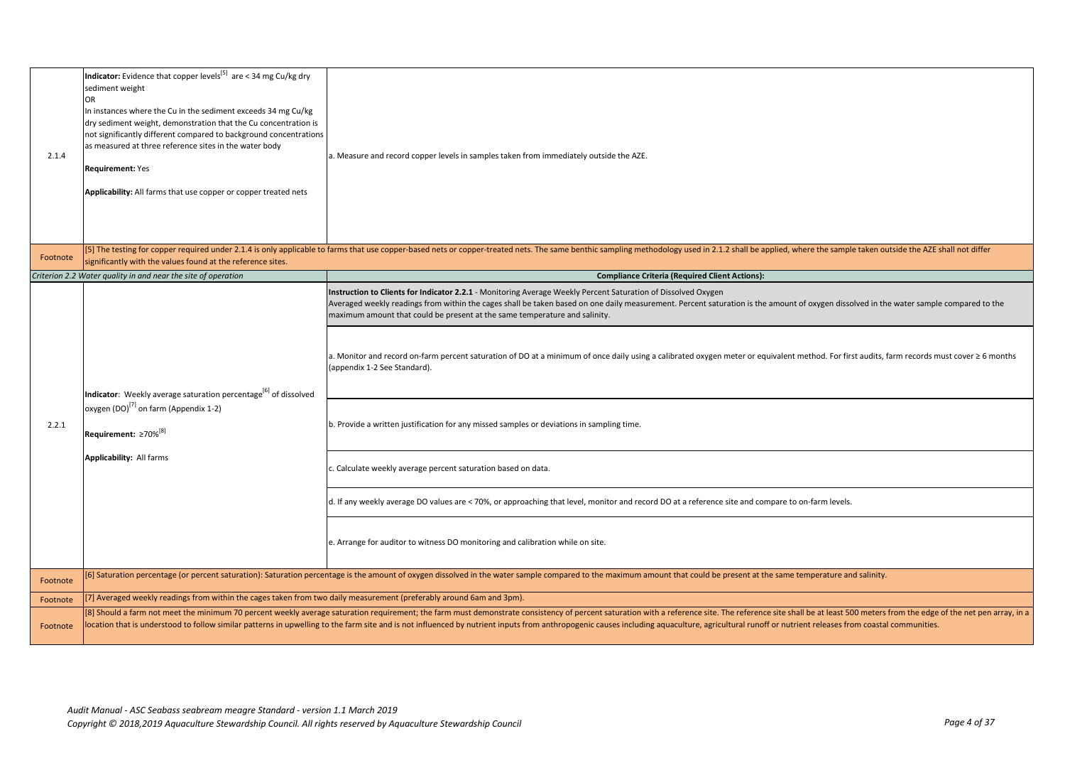| 2.1.4    | <b>Indicator:</b> Evidence that copper levels <sup>[5]</sup> are < 34 mg Cu/kg dry<br>sediment weight<br>OR<br>In instances where the Cu in the sediment exceeds 34 mg Cu/kg<br>dry sediment weight, demonstration that the Cu concentration is<br>not significantly different compared to background concentrations<br>as measured at three reference sites in the water body<br><b>Requirement: Yes</b><br>Applicability: All farms that use copper or copper treated nets | a. Measure and record copper levels in samples taken from immediately outside the AZE.                                                                                                                                                                                                                                                                                                                                                                                                                                                                                                                                                                                                                                                                                                                                                                                                                                                                                                                                    |
|----------|------------------------------------------------------------------------------------------------------------------------------------------------------------------------------------------------------------------------------------------------------------------------------------------------------------------------------------------------------------------------------------------------------------------------------------------------------------------------------|---------------------------------------------------------------------------------------------------------------------------------------------------------------------------------------------------------------------------------------------------------------------------------------------------------------------------------------------------------------------------------------------------------------------------------------------------------------------------------------------------------------------------------------------------------------------------------------------------------------------------------------------------------------------------------------------------------------------------------------------------------------------------------------------------------------------------------------------------------------------------------------------------------------------------------------------------------------------------------------------------------------------------|
| Footnote | significantly with the values found at the reference sites.                                                                                                                                                                                                                                                                                                                                                                                                                  | [5] The testing for copper required under 2.1.4 is only applicable to farms that use copper-based nets or copper-treated nets. The same benthic sampling methodology used in 2.1.2 shall be applied, where the sample taken ou                                                                                                                                                                                                                                                                                                                                                                                                                                                                                                                                                                                                                                                                                                                                                                                            |
|          | Criterion 2.2 Water quality in and near the site of operation                                                                                                                                                                                                                                                                                                                                                                                                                | <b>Compliance Criteria (Required Client Actions):</b>                                                                                                                                                                                                                                                                                                                                                                                                                                                                                                                                                                                                                                                                                                                                                                                                                                                                                                                                                                     |
| 2.2.1    | Indicator: Weekly average saturation percentage <sup>[6]</sup> of dissolved<br>oxygen (DO) <sup>[7]</sup> on farm (Appendix 1-2)<br>Requirement: ≥70% <sup>[8]</sup><br>Applicability: All farms                                                                                                                                                                                                                                                                             | Instruction to Clients for Indicator 2.2.1 - Monitoring Average Weekly Percent Saturation of Dissolved Oxygen<br>Averaged weekly readings from within the cages shall be taken based on one daily measurement. Percent saturation is the amount of oxygen dissolved in the water sample compared to the<br>maximum amount that could be present at the same temperature and salinity.<br>a. Monitor and record on-farm percent saturation of DO at a minimum of once daily using a calibrated oxygen meter or equivalent method. For first audits, farm records must cover ≥ 6 months<br>(appendix 1-2 See Standard).<br>b. Provide a written justification for any missed samples or deviations in sampling time.<br>. Calculate weekly average percent saturation based on data.<br>d. If any weekly average DO values are < 70%, or approaching that level, monitor and record DO at a reference site and compare to on-farm levels.<br>e. Arrange for auditor to witness DO monitoring and calibration while on site. |
| Footnote |                                                                                                                                                                                                                                                                                                                                                                                                                                                                              | [6] Saturation percentage (or percent saturation): Saturation percentage is the amount of oxygen dissolved in the water sample compared to the maximum amount that could be present at the same temperature and salinity.                                                                                                                                                                                                                                                                                                                                                                                                                                                                                                                                                                                                                                                                                                                                                                                                 |
| Footnote | [7] Averaged weekly readings from within the cages taken from two daily measurement (preferably around 6am and 3pm).                                                                                                                                                                                                                                                                                                                                                         |                                                                                                                                                                                                                                                                                                                                                                                                                                                                                                                                                                                                                                                                                                                                                                                                                                                                                                                                                                                                                           |
| Footnote |                                                                                                                                                                                                                                                                                                                                                                                                                                                                              | [8] Should a farm not meet the minimum 70 percent weekly average saturation requirement; the farm must demonstrate consistency of percent saturation with a reference site. The reference site shall be at least 500 meters fr<br>location that is understood to follow similar patterns in upwelling to the farm site and is not influenced by nutrient inputs from anthropogenic causes including aquaculture, agricultural runoff or nutrient releases from c                                                                                                                                                                                                                                                                                                                                                                                                                                                                                                                                                          |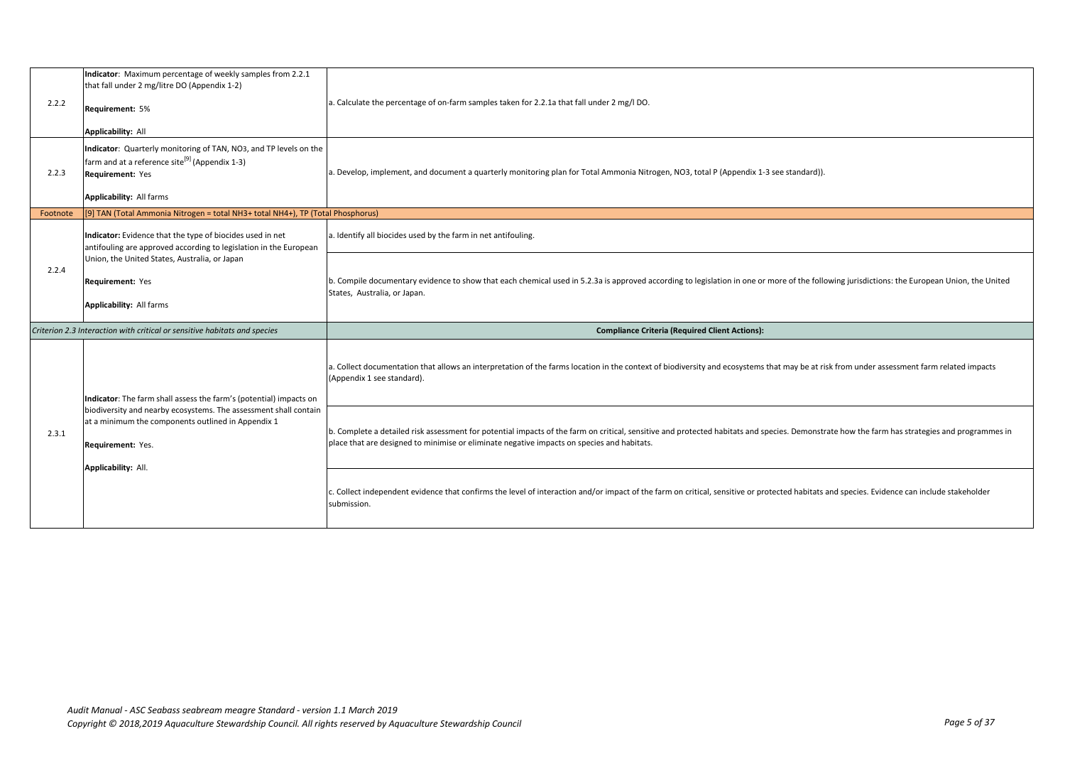| 2.2.2    | Indicator: Maximum percentage of weekly samples from 2.2.1<br>that fall under 2 mg/litre DO (Appendix 1-2)<br>Requirement: 5%<br><b>Applicability: All</b>                      | a. Calculate the percentage of on-farm samples taken for 2.2.1a that fall under 2 mg/l DO.                                                                                                                                                                                                  |
|----------|---------------------------------------------------------------------------------------------------------------------------------------------------------------------------------|---------------------------------------------------------------------------------------------------------------------------------------------------------------------------------------------------------------------------------------------------------------------------------------------|
| 2.2.3    | Indicator: Quarterly monitoring of TAN, NO3, and TP levels on the<br>farm and at a reference site <sup>[9]</sup> (Appendix 1-3)<br>Requirement: Yes<br>Applicability: All farms | a. Develop, implement, and document a quarterly monitoring plan for Total Ammonia Nitrogen, NO3, total P (Appendix 1-3 see standard)).                                                                                                                                                      |
| Footnote | [9] TAN (Total Ammonia Nitrogen = total NH3+ total NH4+), TP (Total Phosphorus)                                                                                                 |                                                                                                                                                                                                                                                                                             |
|          | Indicator: Evidence that the type of biocides used in net<br>antifouling are approved according to legislation in the European                                                  | a. Identify all biocides used by the farm in net antifouling.                                                                                                                                                                                                                               |
| 2.2.4    | Union, the United States, Australia, or Japan<br>Requirement: Yes<br>Applicability: All farms                                                                                   | b. Compile documentary evidence to show that each chemical used in 5.2.3a is approved according to legislation in one or more of the following jurisdictions: the European Union, the United<br>States, Australia, or Japan.                                                                |
|          | Criterion 2.3 Interaction with critical or sensitive habitats and species                                                                                                       | <b>Compliance Criteria (Required Client Actions):</b>                                                                                                                                                                                                                                       |
|          | Indicator: The farm shall assess the farm's (potential) impacts on                                                                                                              | a. Collect documentation that allows an interpretation of the farms location in the context of biodiversity and ecosystems that may be at risk from under assessment farm related impacts<br>(Appendix 1 see standard).                                                                     |
| 2.3.1    | biodiversity and nearby ecosystems. The assessment shall contain<br>at a minimum the components outlined in Appendix 1<br>Requirement: Yes.<br><b>Applicability: All.</b>       | b. Complete a detailed risk assessment for potential impacts of the farm on critical, sensitive and protected habitats and species. Demonstrate how the farm has strategies and programmes in<br>place that are designed to minimise or eliminate negative impacts on species and habitats. |
|          |                                                                                                                                                                                 | c. Collect independent evidence that confirms the level of interaction and/or impact of the farm on critical, sensitive or protected habitats and species. Evidence can include stakeholder<br>submission.                                                                                  |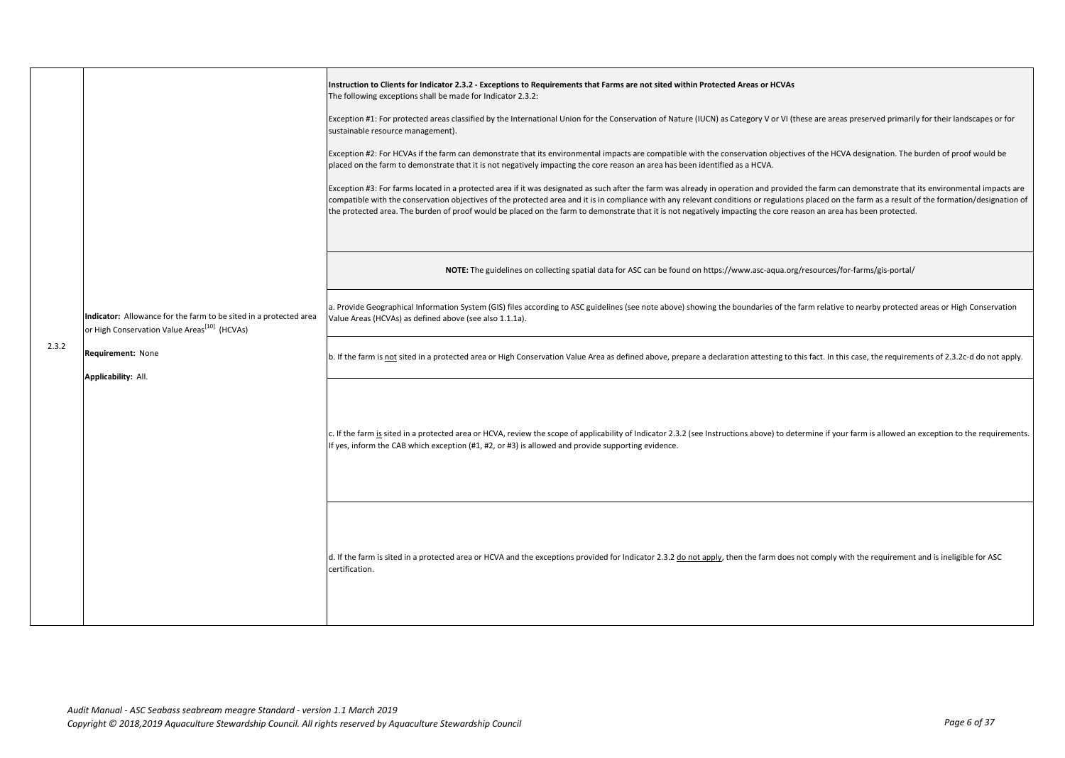|       |                                                                                                                               | Instruction to Clients for Indicator 2.3.2 - Exceptions to Requirements that Farms are not sited within Protected Areas or HCVAs<br>The following exceptions shall be made for Indicator 2.3.2:<br>Exception #1: For protected areas classified by the International Union for the Conservation of Nature (IUCN) as Category V or VI (these are areas preserved primarily for their landscapes or for<br>sustainable resource management).<br>Exception #2: For HCVAs if the farm can demonstrate that its environmental impacts are compatible with the conservation objectives of the HCVA designation. The burden of proof would be<br>placed on the farm to demonstrate that it is not negatively impacting the core reason an area has been identified as a HCVA.<br>Exception #3: For farms located in a protected area if it was designated as such after the farm was already in operation and provided the farm can demonstrate that its environmental impacts are<br>compatible with the conservation objectives of the protected area and it is in compliance with any relevant conditions or regulations placed on the farm as a result of the formation/designation of<br>the protected area. The burden of proof would be placed on the farm to demonstrate that it is not negatively impacting the core reason an area has been protected. |
|-------|-------------------------------------------------------------------------------------------------------------------------------|-----------------------------------------------------------------------------------------------------------------------------------------------------------------------------------------------------------------------------------------------------------------------------------------------------------------------------------------------------------------------------------------------------------------------------------------------------------------------------------------------------------------------------------------------------------------------------------------------------------------------------------------------------------------------------------------------------------------------------------------------------------------------------------------------------------------------------------------------------------------------------------------------------------------------------------------------------------------------------------------------------------------------------------------------------------------------------------------------------------------------------------------------------------------------------------------------------------------------------------------------------------------------------------------------------------------------------------------------------------|
|       |                                                                                                                               | NOTE: The guidelines on collecting spatial data for ASC can be found on https://www.asc-aqua.org/resources/for-farms/gis-portal/                                                                                                                                                                                                                                                                                                                                                                                                                                                                                                                                                                                                                                                                                                                                                                                                                                                                                                                                                                                                                                                                                                                                                                                                                          |
|       | Indicator: Allowance for the farm to be sited in a protected area<br>or High Conservation Value Areas <sup>[10]</sup> (HCVAs) | a. Provide Geographical Information System (GIS) files according to ASC guidelines (see note above) showing the boundaries of the farm relative to nearby protected areas or High Conservation<br>Value Areas (HCVAs) as defined above (see also 1.1.1a).                                                                                                                                                                                                                                                                                                                                                                                                                                                                                                                                                                                                                                                                                                                                                                                                                                                                                                                                                                                                                                                                                                 |
| 2.3.2 | Requirement: None<br>Applicability: All.                                                                                      | b. If the farm is not sited in a protected area or High Conservation Value Area as defined above, prepare a declaration attesting to this fact. In this case, the requirements of 2.3.2c-d do not apply.                                                                                                                                                                                                                                                                                                                                                                                                                                                                                                                                                                                                                                                                                                                                                                                                                                                                                                                                                                                                                                                                                                                                                  |
|       |                                                                                                                               | c. If the farm is sited in a protected area or HCVA, review the scope of applicability of Indicator 2.3.2 (see Instructions above) to determine if your farm is allowed an exception to the requirements.<br>If yes, inform the CAB which exception (#1, #2, or #3) is allowed and provide supporting evidence.                                                                                                                                                                                                                                                                                                                                                                                                                                                                                                                                                                                                                                                                                                                                                                                                                                                                                                                                                                                                                                           |
|       |                                                                                                                               | d. If the farm is sited in a protected area or HCVA and the exceptions provided for Indicator 2.3.2 do not apply, then the farm does not comply with the requirement and is ineligible for ASC<br>certification.                                                                                                                                                                                                                                                                                                                                                                                                                                                                                                                                                                                                                                                                                                                                                                                                                                                                                                                                                                                                                                                                                                                                          |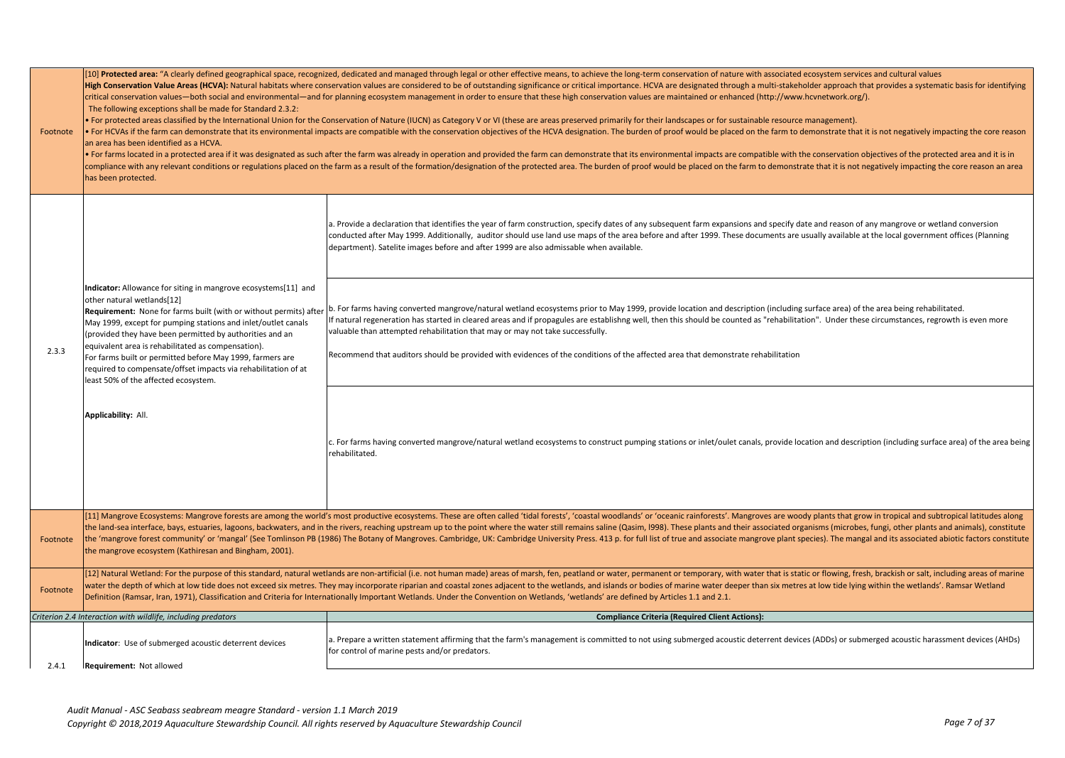| Footnote | The following exceptions shall be made for Standard 2.3.2:<br>an area has been identified as a HCVA.<br>has been protected.                                                                                                                                                                                                                                                                                                                                                                                                                        | [10] Protected area: "A clearly defined geographical space, recognized, dedicated and managed through legal or other effective means, to achieve the long-term conservation of nature with associated ecosystem services and c<br>High Conservation Value Areas (HCVA): Natural habitats where conservation values are considered to be of outstanding significance or critical importance. HCVA are designated through a multi-stakeholder approach that provid<br>critical conservation values—both social and environmental—and for planning ecosystem management in order to ensure that these high conservation values are maintained or enhanced (http://www.hcvnetwork.org/).<br>• For protected areas classified by the International Union for the Conservation of Nature (IUCN) as Category V or VI (these are areas preserved primarily for their landscapes or for sustainable resource management).<br>• For HCVAs if the farm can demonstrate that its environmental impacts are compatible with the conservation objectives of the HCVA designation. The burden of proof would be placed on the farm to demonstrate that it is not<br>. For farms located in a protected area if it was designated as such after the farm was already in operation and provided the farm can demonstrate that its environmental impacts are compatible with the conservation objecti<br>compliance with any relevant conditions or regulations placed on the farm as a result of the formation/designation of the protected area. The burden of proof would be placed on the farm to demonstrate that it is not negati |
|----------|----------------------------------------------------------------------------------------------------------------------------------------------------------------------------------------------------------------------------------------------------------------------------------------------------------------------------------------------------------------------------------------------------------------------------------------------------------------------------------------------------------------------------------------------------|-----------------------------------------------------------------------------------------------------------------------------------------------------------------------------------------------------------------------------------------------------------------------------------------------------------------------------------------------------------------------------------------------------------------------------------------------------------------------------------------------------------------------------------------------------------------------------------------------------------------------------------------------------------------------------------------------------------------------------------------------------------------------------------------------------------------------------------------------------------------------------------------------------------------------------------------------------------------------------------------------------------------------------------------------------------------------------------------------------------------------------------------------------------------------------------------------------------------------------------------------------------------------------------------------------------------------------------------------------------------------------------------------------------------------------------------------------------------------------------------------------------------------------------------------------------------------------------------------------------------------|
|          |                                                                                                                                                                                                                                                                                                                                                                                                                                                                                                                                                    | a. Provide a declaration that identifies the year of farm construction, specify dates of any subsequent farm expansions and specify date and reason of any mangrove or wetland conversion<br>conducted after May 1999. Additionally, auditor should use land use maps of the area before and after 1999. These documents are usually available at the local government offices (Planning<br>department). Satelite images before and after 1999 are also admissable when available.                                                                                                                                                                                                                                                                                                                                                                                                                                                                                                                                                                                                                                                                                                                                                                                                                                                                                                                                                                                                                                                                                                                                    |
| 2.3.3    | Indicator: Allowance for siting in mangrove ecosystems[11] and<br>other natural wetlands[12]<br>Requirement: None for farms built (with or without permits) after<br>May 1999, except for pumping stations and inlet/outlet canals<br>(provided they have been permitted by authorities and an<br>equivalent area is rehabilitated as compensation).<br>For farms built or permitted before May 1999, farmers are<br>required to compensate/offset impacts via rehabilitation of at<br>least 50% of the affected ecosystem.<br>Applicability: All. | b. For farms having converted mangrove/natural wetland ecosystems prior to May 1999, provide location and description (including surface area) of the area being rehabilitated.<br>f natural regeneration has started in cleared areas and if propagules are establishng well, then this should be counted as "rehabilitation". Under these circumstances, regrowth is even more<br>valuable than attempted rehabilitation that may or may not take successfully.<br>Recommend that auditors should be provided with evidences of the conditions of the affected area that demonstrate rehabilitation                                                                                                                                                                                                                                                                                                                                                                                                                                                                                                                                                                                                                                                                                                                                                                                                                                                                                                                                                                                                                 |
|          |                                                                                                                                                                                                                                                                                                                                                                                                                                                                                                                                                    | c. For farms having converted mangrove/natural wetland ecosystems to construct pumping stations or inlet/oulet canals, provide location and description (including surface area) of the area being<br>rehabilitated.                                                                                                                                                                                                                                                                                                                                                                                                                                                                                                                                                                                                                                                                                                                                                                                                                                                                                                                                                                                                                                                                                                                                                                                                                                                                                                                                                                                                  |
| Footnote | the mangrove ecosystem (Kathiresan and Bingham, 2001).                                                                                                                                                                                                                                                                                                                                                                                                                                                                                             | [11] Mangrove Ecosystems: Mangrove forests are among the world's most productive ecosystems. These are often called 'tidal forests', 'coastal woodlands' or 'oceanic rainforests'. Mangroves are woody plants that grow in tro<br>the land-sea interface, bays, estuaries, lagoons, backwaters, and in the rivers, reaching upstream up to the point where the water still remains saline (Qasim, 1998). These plants and their associated organisms (microbes,<br>the 'mangrove forest community' or 'mangal' (See Tomlinson PB (1986) The Botany of Mangroves. Cambridge, UK: Cambridge University Press. 413 p. for full list of true and associate mangrove plant species). The mangal and it                                                                                                                                                                                                                                                                                                                                                                                                                                                                                                                                                                                                                                                                                                                                                                                                                                                                                                                     |
| Footnote |                                                                                                                                                                                                                                                                                                                                                                                                                                                                                                                                                    | [12] Natural Wetland: For the purpose of this standard, natural wetlands are non-artificial (i.e. not human made) areas of marsh, fen, peatland or water, permanent or temporary, with water that is static or flowing, fresh,<br>water the depth of which at low tide does not exceed six metres. They may incorporate riparian and coastal zones adjacent to the wetlands, and islands or bodies of marine water deeper than six metres at low tide lying with<br>Definition (Ramsar, Iran, 1971), Classification and Criteria for Internationally Important Wetlands. Under the Convention on Wetlands, 'wetlands' are defined by Articles 1.1 and 2.1.                                                                                                                                                                                                                                                                                                                                                                                                                                                                                                                                                                                                                                                                                                                                                                                                                                                                                                                                                            |
|          | Criterion 2.4 Interaction with wildlife, including predators                                                                                                                                                                                                                                                                                                                                                                                                                                                                                       | <b>Compliance Criteria (Required Client Actions):</b>                                                                                                                                                                                                                                                                                                                                                                                                                                                                                                                                                                                                                                                                                                                                                                                                                                                                                                                                                                                                                                                                                                                                                                                                                                                                                                                                                                                                                                                                                                                                                                 |
| 2.4.1    | Indicator: Use of submerged acoustic deterrent devices<br>Requirement: Not allowed                                                                                                                                                                                                                                                                                                                                                                                                                                                                 | a. Prepare a written statement affirming that the farm's management is committed to not using submerged acoustic deterrent devices (ADDs) or submerged acoustic harassment devices (AHDs)<br>for control of marine pests and/or predators.                                                                                                                                                                                                                                                                                                                                                                                                                                                                                                                                                                                                                                                                                                                                                                                                                                                                                                                                                                                                                                                                                                                                                                                                                                                                                                                                                                            |
|          |                                                                                                                                                                                                                                                                                                                                                                                                                                                                                                                                                    |                                                                                                                                                                                                                                                                                                                                                                                                                                                                                                                                                                                                                                                                                                                                                                                                                                                                                                                                                                                                                                                                                                                                                                                                                                                                                                                                                                                                                                                                                                                                                                                                                       |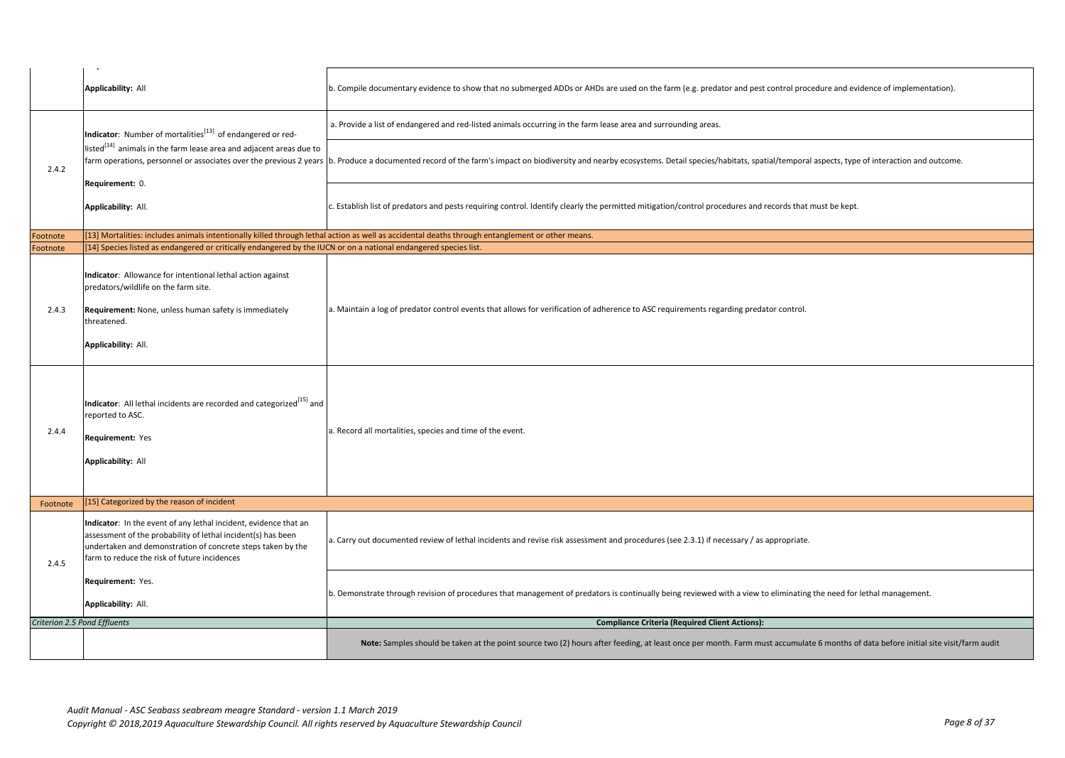|                              | the company of the company of the<br>- 43                                                                                                                                                                                                       |                                                                                                                                                                                                                                |
|------------------------------|-------------------------------------------------------------------------------------------------------------------------------------------------------------------------------------------------------------------------------------------------|--------------------------------------------------------------------------------------------------------------------------------------------------------------------------------------------------------------------------------|
|                              | <b>Applicability: All</b>                                                                                                                                                                                                                       | b. Compile documentary evidence to show that no submerged ADDs or AHDs are used on the farm (e.g. predator and pest control procedure and evidence of implementation).                                                         |
|                              | Indicator: Number of mortalities <sup>[13]</sup> of endangered or red-                                                                                                                                                                          | a. Provide a list of endangered and red-listed animals occurring in the farm lease area and surrounding areas.                                                                                                                 |
| 2.4.2                        | listed <sup>[14]</sup> animals in the farm lease area and adjacent areas due to<br>Requirement: 0.                                                                                                                                              | farm operations, personnel or associates over the previous 2 years  b. Produce a documented record of the farm's impact on biodiversity and nearby ecosystems. Detail species/habitats, spatial/temporal aspects, type of inte |
|                              | Applicability: All.                                                                                                                                                                                                                             | c. Establish list of predators and pests requiring control. Identify clearly the permitted mitigation/control procedures and records that must be kept.                                                                        |
| Footnote                     |                                                                                                                                                                                                                                                 | [13] Mortalities: includes animals intentionally killed through lethal action as well as accidental deaths through entanglement or other means.                                                                                |
| Footnote                     | [14] Species listed as endangered or critically endangered by the IUCN or on a national endangered species list.                                                                                                                                |                                                                                                                                                                                                                                |
|                              |                                                                                                                                                                                                                                                 |                                                                                                                                                                                                                                |
| 2.4.3                        | Indicator: Allowance for intentional lethal action against<br>predators/wildlife on the farm site.<br>Requirement: None, unless human safety is immediately<br>threatened.<br>Applicability: All.                                               | a. Maintain a log of predator control events that allows for verification of adherence to ASC requirements regarding predator control.                                                                                         |
| 2.4.4                        | Indicator: All lethal incidents are recorded and categorized <sup>[15]</sup> and<br>reported to ASC.<br>Requirement: Yes<br><b>Applicability: All</b>                                                                                           | a. Record all mortalities, species and time of the event.                                                                                                                                                                      |
| Footnote                     | [15] Categorized by the reason of incident                                                                                                                                                                                                      |                                                                                                                                                                                                                                |
| 2.4.5                        | Indicator: In the event of any lethal incident, evidence that an<br>assessment of the probability of lethal incident(s) has been<br>undertaken and demonstration of concrete steps taken by the<br>farm to reduce the risk of future incidences | a. Carry out documented review of lethal incidents and revise risk assessment and procedures (see 2.3.1) if necessary / as appropriate.                                                                                        |
|                              | Requirement: Yes.<br>Applicability: All.                                                                                                                                                                                                        | b. Demonstrate through revision of procedures that management of predators is continually being reviewed with a view to eliminating the need for lethal management.                                                            |
| Criterion 2.5 Pond Effluents |                                                                                                                                                                                                                                                 | <b>Compliance Criteria (Required Client Actions):</b>                                                                                                                                                                          |
|                              |                                                                                                                                                                                                                                                 | Note: Samples should be taken at the point source two (2) hours after feeding, at least once per month. Farm must accumulate 6 months of data before initial site visit/farm audit                                             |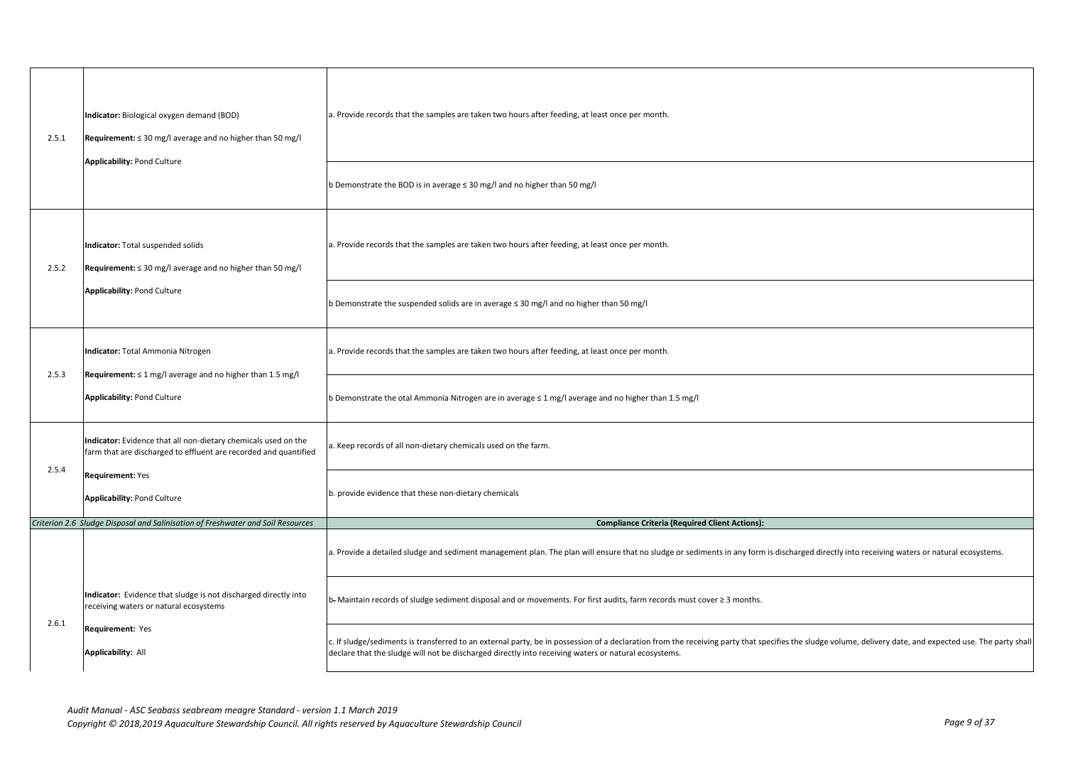| 2.5.1 | Indicator: Biological oxygen demand (BOD)<br>Requirement: ≤ 30 mg/l average and no higher than 50 mg/l                             | a. Provide records that the samples are taken two hours after feeding, at least once per month.                                                                                                                                                                                                                   |
|-------|------------------------------------------------------------------------------------------------------------------------------------|-------------------------------------------------------------------------------------------------------------------------------------------------------------------------------------------------------------------------------------------------------------------------------------------------------------------|
|       | <b>Applicability: Pond Culture</b>                                                                                                 | b Demonstrate the BOD is in average $\leq$ 30 mg/l and no higher than 50 mg/l                                                                                                                                                                                                                                     |
| 2.5.2 | Indicator: Total suspended solids<br>Requirement: ≤ 30 mg/l average and no higher than 50 mg/l                                     | a. Provide records that the samples are taken two hours after feeding, at least once per month.                                                                                                                                                                                                                   |
|       | <b>Applicability: Pond Culture</b>                                                                                                 | b Demonstrate the suspended solids are in average ≤ 30 mg/l and no higher than 50 mg/l                                                                                                                                                                                                                            |
|       | Indicator: Total Ammonia Nitrogen                                                                                                  | a. Provide records that the samples are taken two hours after feeding, at least once per month.                                                                                                                                                                                                                   |
| 2.5.3 | Requirement: $\leq 1$ mg/l average and no higher than 1.5 mg/l<br><b>Applicability: Pond Culture</b>                               | b Demonstrate the otal Ammonia Nitrogen are in average $\leq 1$ mg/l average and no higher than 1.5 mg/l                                                                                                                                                                                                          |
|       | Indicator: Evidence that all non-dietary chemicals used on the<br>farm that are discharged to effluent are recorded and quantified | . Keep records of all non-dietary chemicals used on the farm.                                                                                                                                                                                                                                                     |
| 2.5.4 | <b>Requirement: Yes</b><br><b>Applicability: Pond Culture</b>                                                                      | b. provide evidence that these non-dietary chemicals                                                                                                                                                                                                                                                              |
|       | Criterion 2.6 Sludge Disposal and Salinisation of Freshwater and Soil Resources                                                    | <b>Compliance Criteria (Required Client Actions):</b>                                                                                                                                                                                                                                                             |
|       |                                                                                                                                    | a. Provide a detailed sludge and sediment management plan. The plan will ensure that no sludge or sediments in any form is discharged directly into receiving waters or natural ecosystems.                                                                                                                       |
|       | Indicator: Evidence that sludge is not discharged directly into<br>receiving waters or natural ecosystems                          | b-Maintain records of sludge sediment disposal and or movements. For first audits, farm records must cover ≥ 3 months.                                                                                                                                                                                            |
| 2.6.1 | Requirement: Yes<br><b>Applicability: All</b>                                                                                      | c. If sludge/sediments is transferred to an external party, be in possession of a declaration from the receiving party that specifies the sludge volume, delivery date, and expected use. The party shall<br>declare that the sludge will not be discharged directly into receiving waters or natural ecosystems. |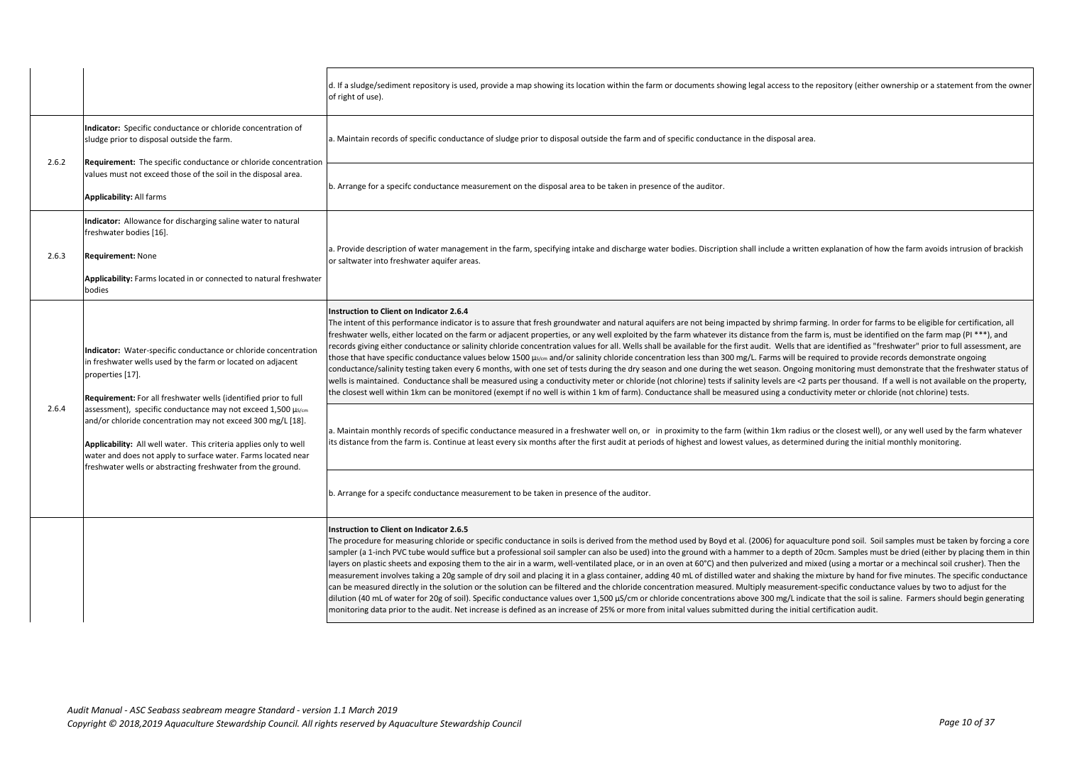|       |                                                                                                                                                                                                                                                                                                                                  | d. If a sludge/sediment repository is used, provide a map showing its location within the farm or documents showing legal access to the repository (either ownership or a statement from the owner<br>of right of use).                                                                                                                                                                                                                                                                                                                                                                                                                                                                                                                                                                                                                                                                                                                                                                                                                                                                                                                                                                                                                                                                                                                                                                                                                                          |
|-------|----------------------------------------------------------------------------------------------------------------------------------------------------------------------------------------------------------------------------------------------------------------------------------------------------------------------------------|------------------------------------------------------------------------------------------------------------------------------------------------------------------------------------------------------------------------------------------------------------------------------------------------------------------------------------------------------------------------------------------------------------------------------------------------------------------------------------------------------------------------------------------------------------------------------------------------------------------------------------------------------------------------------------------------------------------------------------------------------------------------------------------------------------------------------------------------------------------------------------------------------------------------------------------------------------------------------------------------------------------------------------------------------------------------------------------------------------------------------------------------------------------------------------------------------------------------------------------------------------------------------------------------------------------------------------------------------------------------------------------------------------------------------------------------------------------|
|       | Indicator: Specific conductance or chloride concentration of<br>sludge prior to disposal outside the farm.                                                                                                                                                                                                                       | a. Maintain records of specific conductance of sludge prior to disposal outside the farm and of specific conductance in the disposal area.                                                                                                                                                                                                                                                                                                                                                                                                                                                                                                                                                                                                                                                                                                                                                                                                                                                                                                                                                                                                                                                                                                                                                                                                                                                                                                                       |
| 2.6.2 | <b>Requirement:</b> The specific conductance or chloride concentration<br>values must not exceed those of the soil in the disposal area.<br><b>Applicability: All farms</b>                                                                                                                                                      | b. Arrange for a specifc conductance measurement on the disposal area to be taken in presence of the auditor.                                                                                                                                                                                                                                                                                                                                                                                                                                                                                                                                                                                                                                                                                                                                                                                                                                                                                                                                                                                                                                                                                                                                                                                                                                                                                                                                                    |
| 2.6.3 | Indicator: Allowance for discharging saline water to natural<br>freshwater bodies [16].<br><b>Requirement: None</b><br>Applicability: Farms located in or connected to natural freshwater<br>bodies                                                                                                                              | a. Provide description of water management in the farm, specifying intake and discharge water bodies. Discription shall include a written explanation of how the farm avoids intrusion of brackish<br>or saltwater into freshwater aquifer areas.                                                                                                                                                                                                                                                                                                                                                                                                                                                                                                                                                                                                                                                                                                                                                                                                                                                                                                                                                                                                                                                                                                                                                                                                                |
|       | Indicator: Water-specific conductance or chloride concentration<br>in freshwater wells used by the farm or located on adjacent<br>properties [17].<br>Requirement: For all freshwater wells (identified prior to full                                                                                                            | Instruction to Client on Indicator 2.6.4<br>The intent of this performance indicator is to assure that fresh groundwater and natural aquifers are not being impacted by shrimp farming. In order for farms to be eligible for certification, all<br>freshwater wells, either located on the farm or adjacent properties, or any well exploited by the farm whatever its distance from the farm is, must be identified on the farm map (PI ***), and<br>records giving either conductance or salinity chloride concentration values for all. Wells shall be available for the first audit. Wells that are identified as "freshwater" prior to full assessment, are<br>those that have specific conductance values below 1500 µs/cm and/or salinity chloride concentration less than 300 mg/L. Farms will be required to provide records demonstrate ongoing<br>conductance/salinity testing taken every 6 months, with one set of tests during the dry season and one during the wet season. Ongoing monitoring must demonstrate that the freshwater status of<br>wells is maintained. Conductance shall be measured using a conductivity meter or chloride (not chlorine) tests if salinity levels are <2 parts per thousand. If a well is not available on the property,<br>the closest well within 1km can be monitored (exempt if no well is within 1 km of farm). Conductance shall be measured using a conductivity meter or chloride (not chlorine) tests. |
| 2.6.4 | assessment), specific conductance may not exceed 1,500 µs/cm<br>and/or chloride concentration may not exceed 300 mg/L [18].<br>Applicability: All well water. This criteria applies only to well<br>water and does not apply to surface water. Farms located near<br>freshwater wells or abstracting freshwater from the ground. | a. Maintain monthly records of specific conductance measured in a freshwater well on, or in proximity to the farm (within 1km radius or the closest well), or any well used by the farm whatever<br>its distance from the farm is. Continue at least every six months after the first audit at periods of highest and lowest values, as determined during the initial monthly monitoring.                                                                                                                                                                                                                                                                                                                                                                                                                                                                                                                                                                                                                                                                                                                                                                                                                                                                                                                                                                                                                                                                        |
|       |                                                                                                                                                                                                                                                                                                                                  | b. Arrange for a specifc conductance measurement to be taken in presence of the auditor.                                                                                                                                                                                                                                                                                                                                                                                                                                                                                                                                                                                                                                                                                                                                                                                                                                                                                                                                                                                                                                                                                                                                                                                                                                                                                                                                                                         |
|       |                                                                                                                                                                                                                                                                                                                                  | Instruction to Client on Indicator 2.6.5<br>The procedure for measuring chloride or specific conductance in soils is derived from the method used by Boyd et al. (2006) for aquaculture pond soil. Soil samples must be taken by forcing a core<br>sampler (a 1-inch PVC tube would suffice but a professional soil sampler can also be used) into the ground with a hammer to a depth of 20cm. Samples must be dried (either by placing them in thin<br>layers on plastic sheets and exposing them to the air in a warm, well-ventilated place, or in an oven at 60°C) and then pulverized and mixed (using a mortar or a mechincal soil crusher). Then the<br>measurement involves taking a 20g sample of dry soil and placing it in a glass container, adding 40 mL of distilled water and shaking the mixture by hand for five minutes. The specific conductance<br>can be measured directly in the solution or the solution can be filtered and the chloride concentration measured. Multiply measurement-specific conductance values by two to adjust for the<br>dilution (40 mL of water for 20g of soil). Specific conductance values over 1,500 µS/cm or chloride concentrations above 300 mg/L indicate that the soil is saline. Farmers should begin generating<br>monitoring data prior to the audit. Net increase is defined as an increase of 25% or more from inital values submitted during the initial certification audit.                     |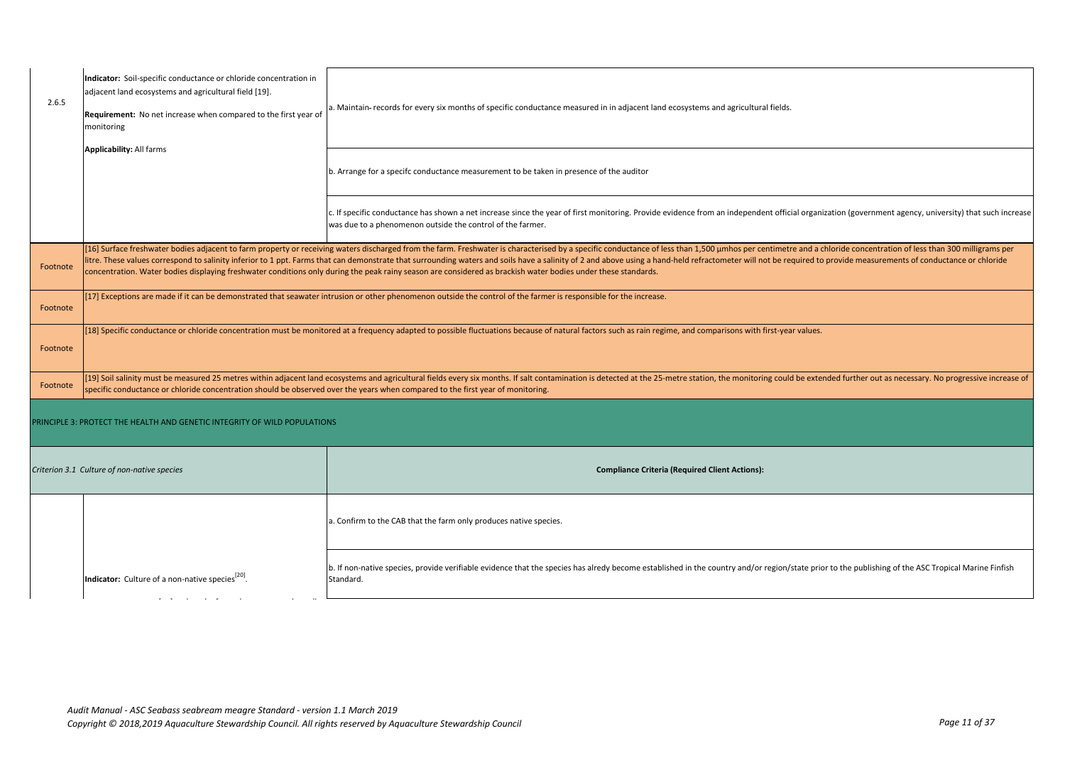| 2.6.5    | Indicator: Soil-specific conductance or chloride concentration in<br>adjacent land ecosystems and agricultural field [19].<br>Requirement: No net increase when compared to the first year of<br>monitoring<br><b>Applicability: All farms</b> | a. Maintain-records for every six months of specific conductance measured in in adjacent land ecosystems and agricultural fields.                                                                                                                                                                                                                                                                                                                                                                                                                                                                                                 |
|----------|------------------------------------------------------------------------------------------------------------------------------------------------------------------------------------------------------------------------------------------------|-----------------------------------------------------------------------------------------------------------------------------------------------------------------------------------------------------------------------------------------------------------------------------------------------------------------------------------------------------------------------------------------------------------------------------------------------------------------------------------------------------------------------------------------------------------------------------------------------------------------------------------|
|          |                                                                                                                                                                                                                                                | b. Arrange for a specifc conductance measurement to be taken in presence of the auditor                                                                                                                                                                                                                                                                                                                                                                                                                                                                                                                                           |
|          |                                                                                                                                                                                                                                                | c. If specific conductance has shown a net increase since the year of first monitoring. Provide evidence from an independent official organization (government agency, university) that such increase<br>was due to a phenomenon outside the control of the farmer.                                                                                                                                                                                                                                                                                                                                                               |
| Footnote |                                                                                                                                                                                                                                                | [16] Surface freshwater bodies adjacent to farm property or receiving waters discharged from the farm. Freshwater is characterised by a specific conductance of less than 1,500 µmhos per centimetre and a chloride concentrat<br>litre. These values correspond to salinity inferior to 1 ppt. Farms that can demonstrate that surrounding waters and soils have a salinity of 2 and above using a hand-held refractometer will not be required to provide meas<br>concentration. Water bodies displaying freshwater conditions only during the peak rainy season are considered as brackish water bodies under these standards. |
| Footnote |                                                                                                                                                                                                                                                | [17] Exceptions are made if it can be demonstrated that seawater intrusion or other phenomenon outside the control of the farmer is responsible for the increase.                                                                                                                                                                                                                                                                                                                                                                                                                                                                 |
| Footnote |                                                                                                                                                                                                                                                | [18] Specific conductance or chloride concentration must be monitored at a frequency adapted to possible fluctuations because of natural factors such as rain regime, and comparisons with first-year values.                                                                                                                                                                                                                                                                                                                                                                                                                     |
| Footnote | specific conductance or chloride concentration should be observed over the years when compared to the first year of monitoring.                                                                                                                | [19] Soil salinity must be measured 25 metres within adjacent land ecosystems and agricultural fields every six months. If salt contamination is detected at the 25-metre station, the monitoring could be extended further ou                                                                                                                                                                                                                                                                                                                                                                                                    |
|          | PRINCIPLE 3: PROTECT THE HEALTH AND GENETIC INTEGRITY OF WILD POPULATIONS                                                                                                                                                                      |                                                                                                                                                                                                                                                                                                                                                                                                                                                                                                                                                                                                                                   |
|          | Criterion 3.1 Culture of non-native species<br><b>Compliance Criteria (Required Client Actions):</b>                                                                                                                                           |                                                                                                                                                                                                                                                                                                                                                                                                                                                                                                                                                                                                                                   |
|          |                                                                                                                                                                                                                                                | a. Confirm to the CAB that the farm only produces native species.                                                                                                                                                                                                                                                                                                                                                                                                                                                                                                                                                                 |
|          | Indicator: Culture of a non-native species <sup>[20]</sup>                                                                                                                                                                                     | b. If non-native species, provide verifiable evidence that the species has alredy become established in the country and/or region/state prior to the publishing of the ASC Tropical Marine Finfish<br>Standard.                                                                                                                                                                                                                                                                                                                                                                                                                   |
|          |                                                                                                                                                                                                                                                |                                                                                                                                                                                                                                                                                                                                                                                                                                                                                                                                                                                                                                   |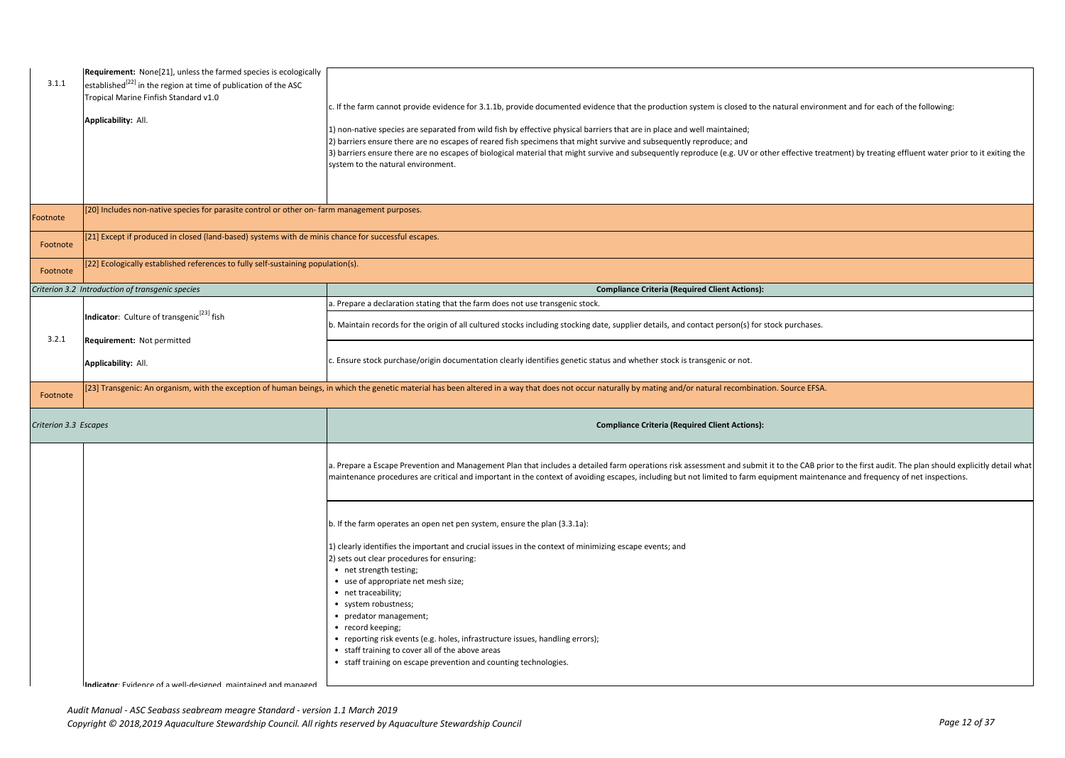|                       | Requirement: None[21], unless the farmed species is ecologically                                    |                                                                                                                                                                                                              |
|-----------------------|-----------------------------------------------------------------------------------------------------|--------------------------------------------------------------------------------------------------------------------------------------------------------------------------------------------------------------|
| 3.1.1                 | established <sup>[22]</sup> in the region at time of publication of the ASC                         |                                                                                                                                                                                                              |
|                       | Tropical Marine Finfish Standard v1.0                                                               |                                                                                                                                                                                                              |
|                       |                                                                                                     | c. If the farm cannot provide evidence for 3.1.1b, provide documented evidence that the production system is closed to the natural environment and for each of the following:                                |
|                       | Applicability: All.                                                                                 |                                                                                                                                                                                                              |
|                       |                                                                                                     | 1) non-native species are separated from wild fish by effective physical barriers that are in place and well maintained;                                                                                     |
|                       |                                                                                                     | 2) barriers ensure there are no escapes of reared fish specimens that might survive and subsequently reproduce; and                                                                                          |
|                       |                                                                                                     | 3) barriers ensure there are no escapes of biological material that might survive and subsequently reproduce (e.g. UV or other effective treatment) by treating effluent water prior to it exiting the       |
|                       |                                                                                                     | system to the natural environment.                                                                                                                                                                           |
|                       |                                                                                                     |                                                                                                                                                                                                              |
|                       |                                                                                                     |                                                                                                                                                                                                              |
|                       | [20] Includes non-native species for parasite control or other on-farm management purposes.         |                                                                                                                                                                                                              |
| Footnote              |                                                                                                     |                                                                                                                                                                                                              |
|                       |                                                                                                     |                                                                                                                                                                                                              |
| Footnote              | [21] Except if produced in closed (land-based) systems with de minis chance for successful escapes. |                                                                                                                                                                                                              |
|                       |                                                                                                     |                                                                                                                                                                                                              |
| Footnote              | [22] Ecologically established references to fully self-sustaining population(s).                    |                                                                                                                                                                                                              |
|                       |                                                                                                     |                                                                                                                                                                                                              |
|                       | Criterion 3.2 Introduction of transgenic species                                                    | <b>Compliance Criteria (Required Client Actions):</b>                                                                                                                                                        |
|                       |                                                                                                     | a. Prepare a declaration stating that the farm does not use transgenic stock.                                                                                                                                |
|                       | Indicator: Culture of transgenic <sup>[23]</sup> fish                                               |                                                                                                                                                                                                              |
|                       |                                                                                                     | b. Maintain records for the origin of all cultured stocks including stocking date, supplier details, and contact person(s) for stock purchases.                                                              |
| 3.2.1                 | Requirement: Not permitted                                                                          |                                                                                                                                                                                                              |
|                       |                                                                                                     |                                                                                                                                                                                                              |
|                       | Applicability: All.                                                                                 | c. Ensure stock purchase/origin documentation clearly identifies genetic status and whether stock is transgenic or not.                                                                                      |
|                       |                                                                                                     |                                                                                                                                                                                                              |
|                       |                                                                                                     |                                                                                                                                                                                                              |
|                       |                                                                                                     | [23] Transgenic: An organism, with the exception of human beings, in which the genetic material has been altered in a way that does not occur naturally by mating and/or natural recombination. Source EFSA. |
| Footnote              |                                                                                                     |                                                                                                                                                                                                              |
|                       |                                                                                                     |                                                                                                                                                                                                              |
| Criterion 3.3 Escapes |                                                                                                     | <b>Compliance Criteria (Required Client Actions):</b>                                                                                                                                                        |
|                       |                                                                                                     |                                                                                                                                                                                                              |
|                       |                                                                                                     |                                                                                                                                                                                                              |
|                       |                                                                                                     | a. Prepare a Escape Prevention and Management Plan that includes a detailed farm operations risk assessment and submit it to the CAB prior to the first audit. The plan should explicitly detail what        |
|                       |                                                                                                     | maintenance procedures are critical and important in the context of avoiding escapes, including but not limited to farm equipment maintenance and frequency of net inspections.                              |
|                       |                                                                                                     |                                                                                                                                                                                                              |
|                       |                                                                                                     |                                                                                                                                                                                                              |
|                       |                                                                                                     |                                                                                                                                                                                                              |
|                       |                                                                                                     | b. If the farm operates an open net pen system, ensure the plan (3.3.1a):                                                                                                                                    |
|                       |                                                                                                     |                                                                                                                                                                                                              |
|                       |                                                                                                     | 1) clearly identifies the important and crucial issues in the context of minimizing escape events; and                                                                                                       |
|                       |                                                                                                     | 2) sets out clear procedures for ensuring:                                                                                                                                                                   |
|                       |                                                                                                     | • net strength testing;                                                                                                                                                                                      |
|                       |                                                                                                     | • use of appropriate net mesh size;                                                                                                                                                                          |
|                       |                                                                                                     | • net traceability;                                                                                                                                                                                          |
|                       |                                                                                                     | • system robustness;                                                                                                                                                                                         |
|                       |                                                                                                     | • predator management;                                                                                                                                                                                       |
|                       |                                                                                                     | • record keeping;                                                                                                                                                                                            |
|                       |                                                                                                     | • reporting risk events (e.g. holes, infrastructure issues, handling errors);                                                                                                                                |
|                       |                                                                                                     | • staff training to cover all of the above areas<br>• staff training on escape prevention and counting technologies.                                                                                         |
|                       |                                                                                                     |                                                                                                                                                                                                              |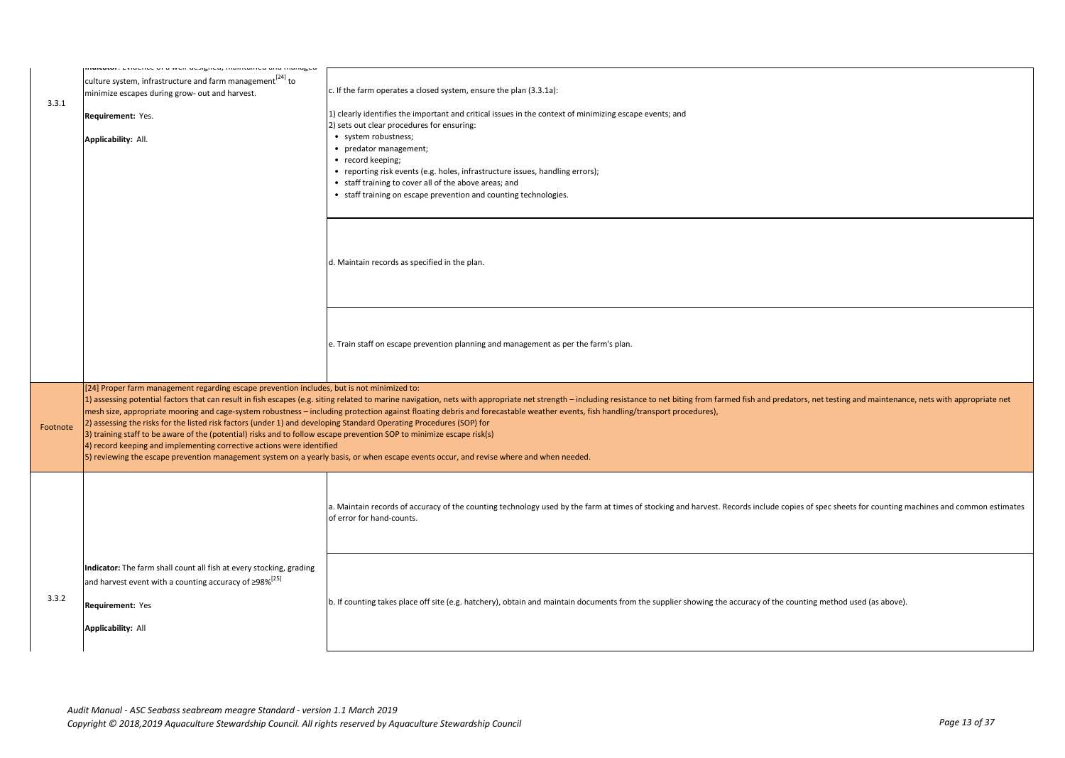| 3.3.1    | muruum, Eviuchee or a wen uesigneu, mamtameu anu manageu<br>culture system, infrastructure and farm management <sup>[24]</sup> to<br>minimize escapes during grow- out and harvest.<br>Requirement: Yes.<br>Applicability: All.                                                                                                                                                                                     | c. If the farm operates a closed system, ensure the plan (3.3.1a):<br>1) clearly identifies the important and critical issues in the context of minimizing escape events; and<br>2) sets out clear procedures for ensuring:<br>• system robustness;<br>• predator management;<br>• record keeping;<br>• reporting risk events (e.g. holes, infrastructure issues, handling errors);<br>• staff training to cover all of the above areas; and<br>• staff training on escape prevention and counting technologies.                                           |
|----------|---------------------------------------------------------------------------------------------------------------------------------------------------------------------------------------------------------------------------------------------------------------------------------------------------------------------------------------------------------------------------------------------------------------------|------------------------------------------------------------------------------------------------------------------------------------------------------------------------------------------------------------------------------------------------------------------------------------------------------------------------------------------------------------------------------------------------------------------------------------------------------------------------------------------------------------------------------------------------------------|
|          |                                                                                                                                                                                                                                                                                                                                                                                                                     | d. Maintain records as specified in the plan.                                                                                                                                                                                                                                                                                                                                                                                                                                                                                                              |
|          |                                                                                                                                                                                                                                                                                                                                                                                                                     | e. Train staff on escape prevention planning and management as per the farm's plan.                                                                                                                                                                                                                                                                                                                                                                                                                                                                        |
| Footnote | [24] Proper farm management regarding escape prevention includes, but is not minimized to:<br>2) assessing the risks for the listed risk factors (under 1) and developing Standard Operating Procedures (SOP) for<br>3) training staff to be aware of the (potential) risks and to follow escape prevention SOP to minimize escape risk(s)<br>4) record keeping and implementing corrective actions were identified | 1) assessing potential factors that can result in fish escapes (e.g. siting related to marine navigation, nets with appropriate net strength - including resistance to net biting from farmed fish and predators, net testing<br>mesh size, appropriate mooring and cage-system robustness - including protection against floating debris and forecastable weather events, fish handling/transport procedures),<br>[5] reviewing the escape prevention management system on a yearly basis, or when escape events occur, and revise where and when needed. |
|          |                                                                                                                                                                                                                                                                                                                                                                                                                     | a. Maintain records of accuracy of the counting technology used by the farm at times of stocking and harvest. Records include copies of spec sheets for counting machines and common estimates<br>of error for hand-counts.                                                                                                                                                                                                                                                                                                                                |
| 3.3.2    | Indicator: The farm shall count all fish at every stocking, grading<br>and harvest event with a counting accuracy of $\geq$ 98% <sup>[25]</sup><br>Requirement: Yes<br><b>Applicability: All</b>                                                                                                                                                                                                                    | b. If counting takes place off site (e.g. hatchery), obtain and maintain documents from the supplier showing the accuracy of the counting method used (as above).                                                                                                                                                                                                                                                                                                                                                                                          |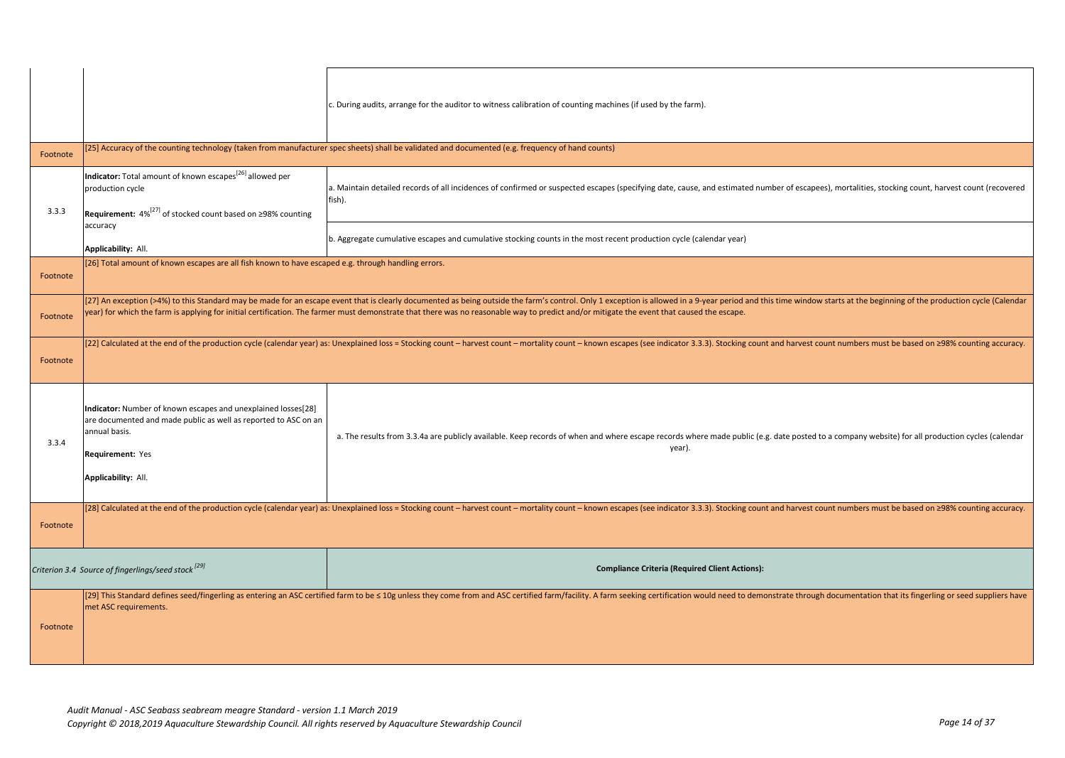|          |                                                                                                                                                                                              | c. During audits, arrange for the auditor to witness calibration of counting machines (if used by the farm).                                                                                                                                                                                                                                                                                                                |
|----------|----------------------------------------------------------------------------------------------------------------------------------------------------------------------------------------------|-----------------------------------------------------------------------------------------------------------------------------------------------------------------------------------------------------------------------------------------------------------------------------------------------------------------------------------------------------------------------------------------------------------------------------|
| Footnote |                                                                                                                                                                                              | [25] Accuracy of the counting technology (taken from manufacturer spec sheets) shall be validated and documented (e.g. frequency of hand counts)                                                                                                                                                                                                                                                                            |
| 3.3.3    | Indicator: Total amount of known escapes <sup>[26]</sup> allowed per<br>production cycle<br>Requirement: $4\%^{[27]}$ of stocked count based on ≥98% counting                                | a. Maintain detailed records of all incidences of confirmed or suspected escapes (specifying date, cause, and estimated number of escapees), mortalities, stocking count, harvest count (recovered<br>fish).                                                                                                                                                                                                                |
|          | accuracy<br>Applicability: All.                                                                                                                                                              | b. Aggregate cumulative escapes and cumulative stocking counts in the most recent production cycle (calendar year)                                                                                                                                                                                                                                                                                                          |
| Footnote | [26] Total amount of known escapes are all fish known to have escaped e.g. through handling errors.                                                                                          |                                                                                                                                                                                                                                                                                                                                                                                                                             |
| Footnote |                                                                                                                                                                                              | [27] An exception (>4%) to this Standard may be made for an escape event that is clearly documented as being outside the farm's control. Only 1 exception is allowed in a 9-year period and this time window starts at the beg<br>year) for which the farm is applying for initial certification. The farmer must demonstrate that there was no reasonable way to predict and/or mitigate the event that caused the escape. |
| Footnote |                                                                                                                                                                                              | [22] Calculated at the end of the production cycle (calendar year) as: Unexplained loss = Stocking count - harvest count - mortality count - known escapes (see indicator 3.3.3). Stocking count and harvest count numbers mus                                                                                                                                                                                              |
| 3.3.4    | Indicator: Number of known escapes and unexplained losses[28]<br>are documented and made public as well as reported to ASC on an<br>annual basis.<br>Requirement: Yes<br>Applicability: All. | a. The results from 3.3.4a are publicly available. Keep records of when and where escape records where made public (e.g. date posted to a company website) for all production cycles (calendar<br>year).                                                                                                                                                                                                                    |
| Footnote |                                                                                                                                                                                              | [28] Calculated at the end of the production cycle (calendar year) as: Unexplained loss = Stocking count - harvest count - mortality count - known escapes (see indicator 3.3.3). Stocking count and harvest count numbers mus                                                                                                                                                                                              |
|          | Criterion 3.4 Source of fingerlings/seed stock [29]                                                                                                                                          | <b>Compliance Criteria (Required Client Actions):</b>                                                                                                                                                                                                                                                                                                                                                                       |
| Footnote | met ASC requirements.                                                                                                                                                                        | [29] This Standard defines seed/fingerling as entering an ASC certified farm to be ≤ 10g unless they come from and ASC certified farm/facility. A farm seeking certification would need to demonstrate through documentation                                                                                                                                                                                                |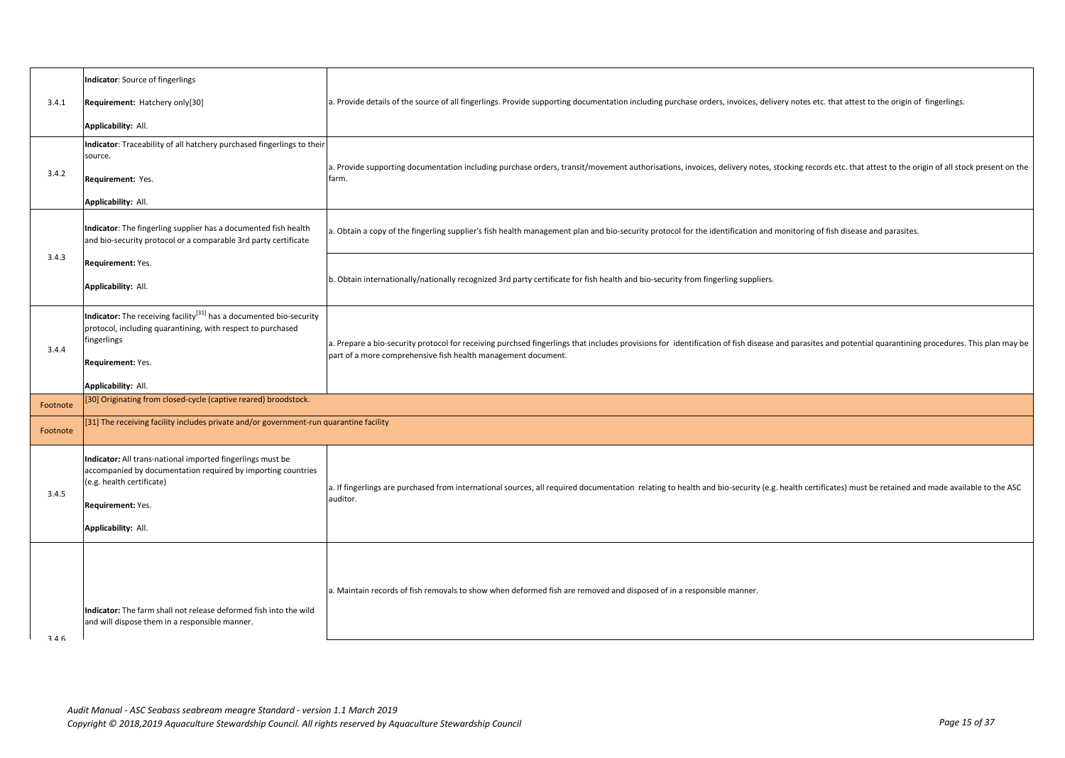|          | Indicator: Source of fingerlings                                                                                                                                                                          |                                                                                                                                                                                                                                                                          |
|----------|-----------------------------------------------------------------------------------------------------------------------------------------------------------------------------------------------------------|--------------------------------------------------------------------------------------------------------------------------------------------------------------------------------------------------------------------------------------------------------------------------|
| 3.4.1    | Requirement: Hatchery only[30]                                                                                                                                                                            | a. Provide details of the source of all fingerlings. Provide supporting documentation including purchase orders, invoices, delivery notes etc. that attest to the origin of fingerlings.                                                                                 |
|          | Applicability: All.                                                                                                                                                                                       |                                                                                                                                                                                                                                                                          |
| 3.4.2    | Indicator: Traceability of all hatchery purchased fingerlings to their<br>source.<br>Requirement: Yes.<br>Applicability: All.                                                                             | a. Provide supporting documentation including purchase orders, transit/movement authorisations, invoices, delivery notes, stocking records etc. that attest to the origin of all stock present on the<br>farm.                                                           |
|          | Indicator: The fingerling supplier has a documented fish health<br>and bio-security protocol or a comparable 3rd party certificate                                                                        | a. Obtain a copy of the fingerling supplier's fish health management plan and bio-security protocol for the identification and monitoring of fish disease and parasites.                                                                                                 |
| 3.4.3    | Requirement: Yes.<br>Applicability: All.                                                                                                                                                                  | b. Obtain internationally/nationally recognized 3rd party certificate for fish health and bio-security from fingerling suppliers.                                                                                                                                        |
| 3.4.4    | Indicator: The receiving facility <sup>[31]</sup> has a documented bio-security<br>protocol, including quarantining, with respect to purchased<br>fingerlings<br>Requirement: Yes.<br>Applicability: All. | a. Prepare a bio-security protocol for receiving purchsed fingerlings that includes provisions for identification of fish disease and parasites and potential quarantining procedures. This plan may be<br>part of a more comprehensive fish health management document. |
| Footnote | [30] Originating from closed-cycle (captive reared) broodstock.                                                                                                                                           |                                                                                                                                                                                                                                                                          |
| Footnote | [31] The receiving facility includes private and/or government-run quarantine facility                                                                                                                    |                                                                                                                                                                                                                                                                          |
| 3.4.5    | Indicator: All trans-national imported fingerlings must be<br>accompanied by documentation required by importing countries<br>(e.g. health certificate)<br>Requirement: Yes.<br>Applicability: All.       | a. If fingerlings are purchased from international sources, all required documentation relating to health and bio-security (e.g. health certificates) must be retained and made available to the ASC<br>auditor.                                                         |
| 316      | Indicator: The farm shall not release deformed fish into the wild<br>and will dispose them in a responsible manner.                                                                                       | a. Maintain records of fish removals to show when deformed fish are removed and disposed of in a responsible manner.                                                                                                                                                     |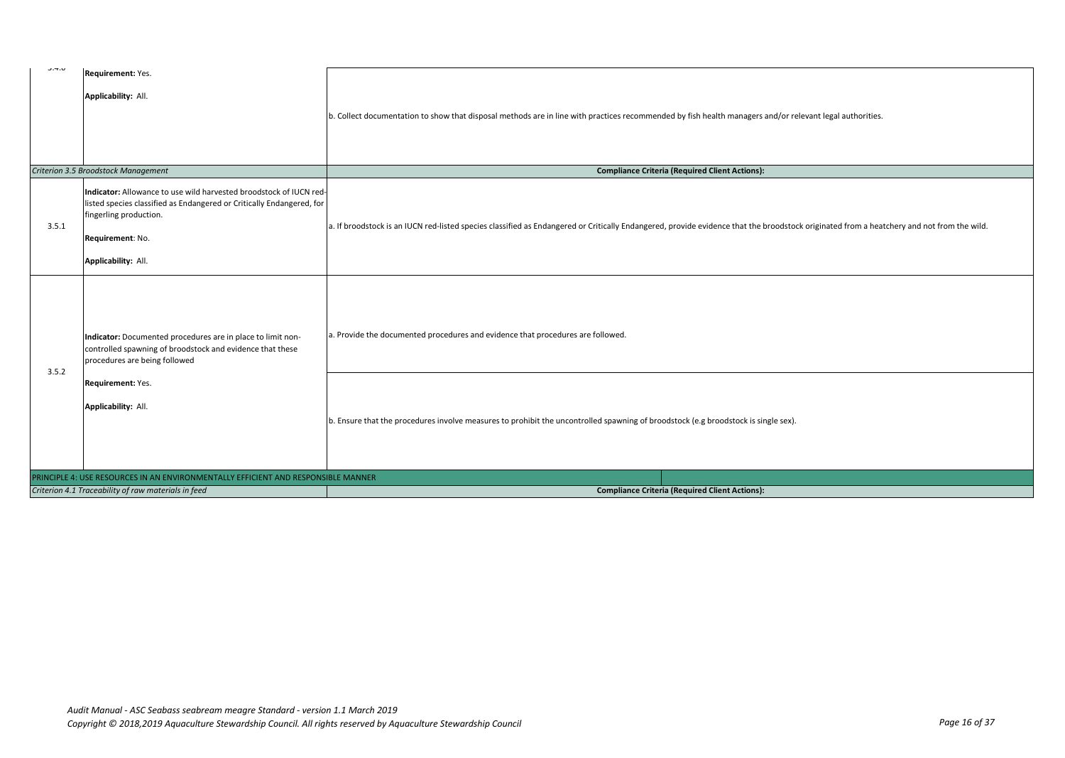| ∪.→.∪                                               | Requirement: Yes.                                                                               |                                                                                                                                                                                           |
|-----------------------------------------------------|-------------------------------------------------------------------------------------------------|-------------------------------------------------------------------------------------------------------------------------------------------------------------------------------------------|
|                                                     |                                                                                                 |                                                                                                                                                                                           |
|                                                     | Applicability: All.                                                                             |                                                                                                                                                                                           |
|                                                     |                                                                                                 |                                                                                                                                                                                           |
|                                                     |                                                                                                 | b. Collect documentation to show that disposal methods are in line with practices recommended by fish health managers and/or relevant legal authorities.                                  |
|                                                     |                                                                                                 |                                                                                                                                                                                           |
|                                                     |                                                                                                 |                                                                                                                                                                                           |
|                                                     |                                                                                                 |                                                                                                                                                                                           |
|                                                     | Criterion 3.5 Broodstock Management                                                             | <b>Compliance Criteria (Required Client Actions):</b>                                                                                                                                     |
|                                                     | Indicator: Allowance to use wild harvested broodstock of IUCN red-                              |                                                                                                                                                                                           |
|                                                     | listed species classified as Endangered or Critically Endangered, for<br>fingerling production. |                                                                                                                                                                                           |
| 3.5.1                                               |                                                                                                 | a. If broodstock is an IUCN red-listed species classified as Endangered or Critically Endangered, provide evidence that the broodstock originated from a heatchery and not from the wild. |
|                                                     | Requirement: No.                                                                                |                                                                                                                                                                                           |
|                                                     |                                                                                                 |                                                                                                                                                                                           |
|                                                     | Applicability: All.                                                                             |                                                                                                                                                                                           |
|                                                     | Indicator: Documented procedures are in place to limit non-                                     | a. Provide the documented procedures and evidence that procedures are followed.                                                                                                           |
| 3.5.2                                               | controlled spawning of broodstock and evidence that these<br>procedures are being followed      |                                                                                                                                                                                           |
|                                                     | Requirement: Yes.<br>Applicability: All.                                                        |                                                                                                                                                                                           |
|                                                     |                                                                                                 | b. Ensure that the procedures involve measures to prohibit the uncontrolled spawning of broodstock (e.g broodstock is single sex).                                                        |
|                                                     | PRINCIPLE 4: USE RESOURCES IN AN ENVIRONMENTALLY EFFICIENT AND RESPONSIBLE MANNER               |                                                                                                                                                                                           |
| Criterion 4.1 Traceability of raw materials in feed |                                                                                                 | <b>Compliance Criteria (Required Client Actions):</b>                                                                                                                                     |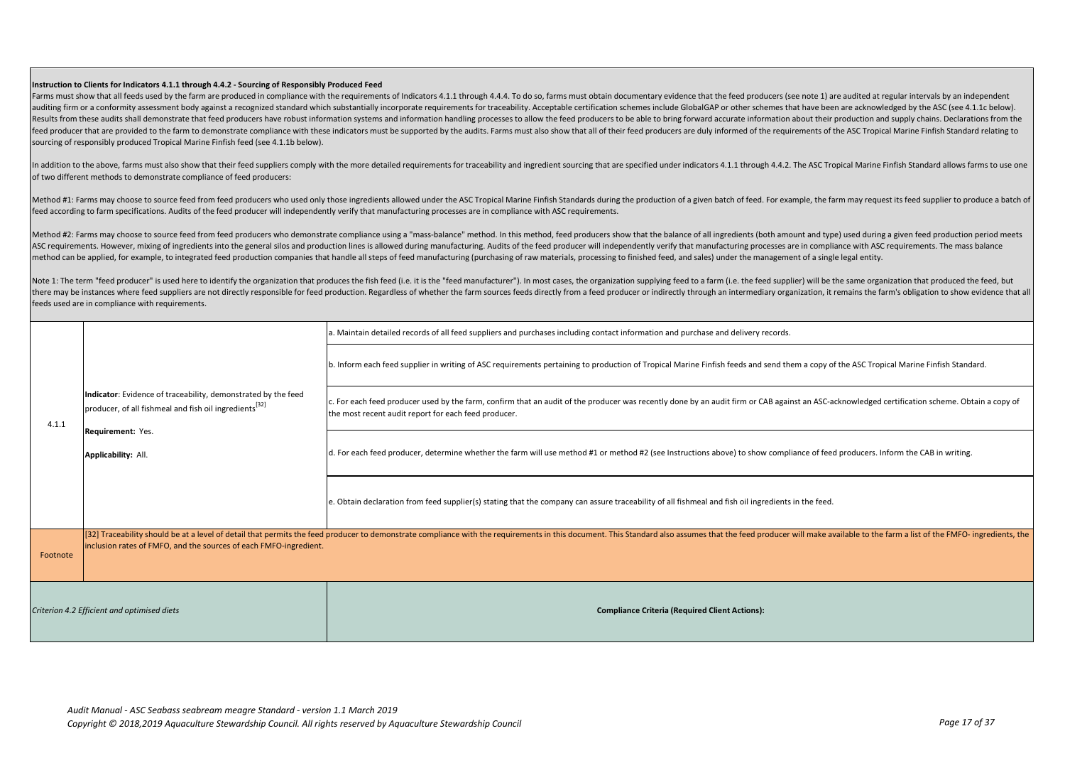## **Instruction to Clients for Indicators 4.1.1 through 4.4.2 - Sourcing of Responsibly Produced Feed**

Farms must show that all feeds used by the farm are produced in compliance with the requirements of Indicators 4.1.1 through 4.4.4. To do so, farms must obtain documentary evidence that the feed producers (see note 1) are auditing firm or a conformity assessment body against a recognized standard which substantially incorporate requirements for traceability. Acceptable certification schemes include GlobalGAP or other schemes that have been Results from these audits shall demonstrate that feed producers have robust information systems and information handling processes to allow the feed producers to be able to bring forward accurate information about their pr feed producer that are provided to the farm to demonstrate compliance with these indicators must be supported by the audits. Farms must also show that all of their feed producers are duly informed of the requirements of th sourcing of responsibly produced Tropical Marine Finfish feed (see 4.1.1b below).

In addition to the above, farms must also show that their feed suppliers comply with the more detailed requirements for traceability and ingredient sourcing that are specified under indicators 4.1.1 through 4.4.2. The ASC of two different methods to demonstrate compliance of feed producers:

Method #1: Farms may choose to source feed from feed producers who used only those ingredients allowed under the ASC Tropical Marine Finfish Standards during the production of a given batch of feed. For example, the farm m feed according to farm specifications. Audits of the feed producer will independently verify that manufacturing processes are in compliance with ASC requirements.

Method #2: Farms may choose to source feed from feed producers who demonstrate compliance using a "mass-balance" method. In this method, feed producers show that the balance of all ingredients (both amount and type) used d ASC requirements. However, mixing of ingredients into the general silos and production lines is allowed during manufacturing. Audits of the feed producer will independently verify that manufacturing processes are in compli method can be applied, for example, to integrated feed production companies that handle all steps of feed manufacturing (purchasing of raw materials, processing to finished feed, and sales) under the management of a single

Note 1: The term "feed producer" is used here to identify the organization that produces the fish feed li.e. it is the "feed manufacturer"). In most cases, the organization supplying feed to a farm (i.e. the feed supplier) there may be instances where feed suppliers are not directly responsible for feed production. Regardless of whether the farm sources feeds directly from a feed producer or indirectly through an intermediary organization, i feeds used are in compliance with requirements.

|                                             |                                                                                                                                     | a. Maintain detailed records of all feed suppliers and purchases including contact information and purchase and delivery records.                                                                                                                      |
|---------------------------------------------|-------------------------------------------------------------------------------------------------------------------------------------|--------------------------------------------------------------------------------------------------------------------------------------------------------------------------------------------------------------------------------------------------------|
| 4.1.1                                       | Indicator: Evidence of traceability, demonstrated by the feed<br>producer, of all fishmeal and fish oil ingredients <sup>[32]</sup> | b. Inform each feed supplier in writing of ASC requirements pertaining to production of Tropical Marine Finfish feeds and send them a copy of the ASC Tropical Marine Finfish Standard.                                                                |
|                                             |                                                                                                                                     | c. For each feed producer used by the farm, confirm that an audit of the producer was recently done by an audit firm or CAB against an ASC-acknowledged certification scheme. Obtain a copy of<br>the most recent audit report for each feed producer. |
|                                             | Requirement: Yes.<br>Applicability: All.                                                                                            | d. For each feed producer, determine whether the farm will use method #1 or method #2 (see Instructions above) to show compliance of feed producers. Inform the CAB in writing.                                                                        |
|                                             |                                                                                                                                     | e. Obtain declaration from feed supplier(s) stating that the company can assure traceability of all fishmeal and fish oil ingredients in the feed.                                                                                                     |
| Footnote                                    | inclusion rates of FMFO, and the sources of each FMFO-ingredient.                                                                   | [32] Traceability should be at a level of detail that permits the feed producer to demonstrate compliance with the requirements in this document. This Standard also assumes that the feed producer will make available to the                         |
| Criterion 4.2 Efficient and optimised diets |                                                                                                                                     | <b>Compliance Criteria (Required Client Actions):</b>                                                                                                                                                                                                  |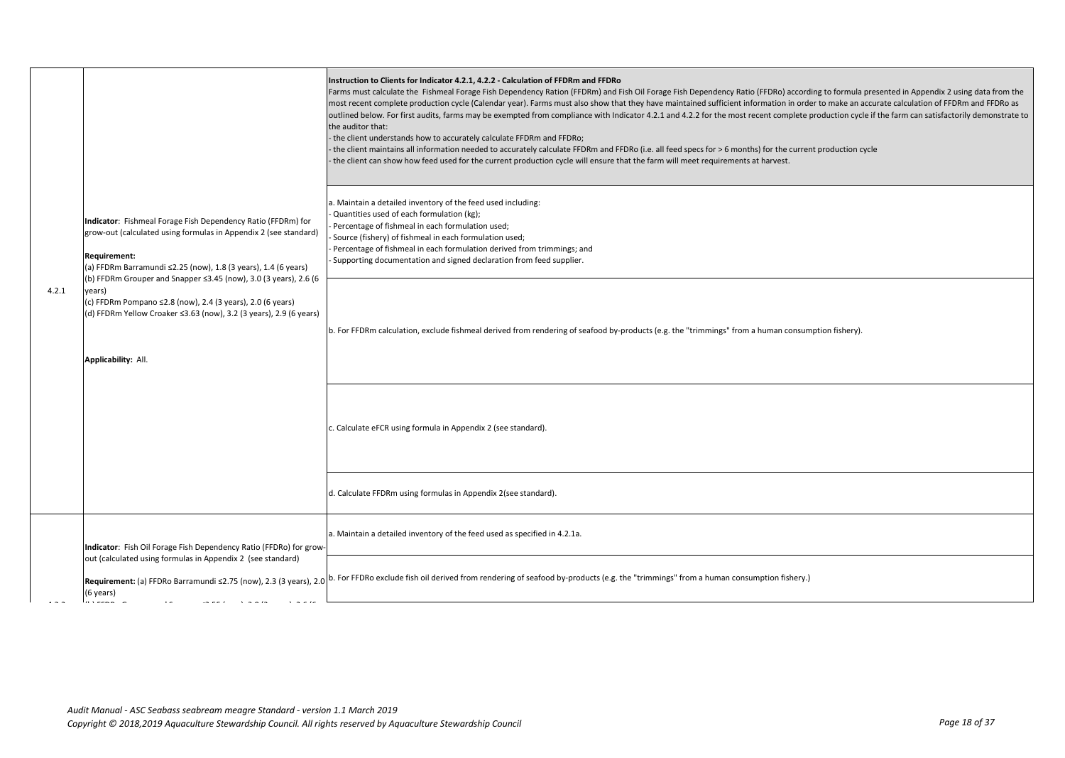| 4.2.1 | Indicator: Fishmeal Forage Fish Dependency Ratio (FFDRm) for<br>grow-out (calculated using formulas in Appendix 2 (see standard)<br>Requirement:<br>(a) FFDRm Barramundi ≤2.25 (now), 1.8 (3 years), 1.4 (6 years)<br>(b) FFDRm Grouper and Snapper ≤3.45 (now), 3.0 (3 years), 2.6 (6<br>years)<br>(c) FFDRm Pompano ≤2.8 (now), 2.4 (3 years), 2.0 (6 years)<br>(d) FFDRm Yellow Croaker ≤3.63 (now), 3.2 (3 years), 2.9 (6 years)<br>Applicability: All. | Instruction to Clients for Indicator 4.2.1, 4.2.2 - Calculation of FFDRm and FFDRo<br>Farms must calculate the Fishmeal Forage Fish Dependency Ration (FFDRm) and Fish Oil Forage Fish Dependency Ratio (FFDRo) according to formula presented in Appendix 2 using data from the<br>most recent complete production cycle (Calendar year). Farms must also show that they have maintained sufficient information in order to make an accurate calculation of FFDRm and FFDRo as<br>outlined below. For first audits, farms may be exempted from compliance with Indicator 4.2.1 and 4.2.2 for the most recent complete production cycle if the farm can satisfactorily demonstrate to<br>the auditor that:<br>- the client understands how to accurately calculate FFDRm and FFDRo;<br>the client maintains all information needed to accurately calculate FFDRm and FFDRo (i.e. all feed specs for > 6 months) for the current production cycle<br>the client can show how feed used for the current production cycle will ensure that the farm will meet requirements at harvest.<br>a. Maintain a detailed inventory of the feed used including:<br>Quantities used of each formulation (kg);<br>Percentage of fishmeal in each formulation used;<br>Source (fishery) of fishmeal in each formulation used;<br>Percentage of fishmeal in each formulation derived from trimmings; and<br>Supporting documentation and signed declaration from feed supplier.<br>b. For FFDRm calculation, exclude fishmeal derived from rendering of seafood by-products (e.g. the "trimmings" from a human consumption fishery). |
|-------|-------------------------------------------------------------------------------------------------------------------------------------------------------------------------------------------------------------------------------------------------------------------------------------------------------------------------------------------------------------------------------------------------------------------------------------------------------------|----------------------------------------------------------------------------------------------------------------------------------------------------------------------------------------------------------------------------------------------------------------------------------------------------------------------------------------------------------------------------------------------------------------------------------------------------------------------------------------------------------------------------------------------------------------------------------------------------------------------------------------------------------------------------------------------------------------------------------------------------------------------------------------------------------------------------------------------------------------------------------------------------------------------------------------------------------------------------------------------------------------------------------------------------------------------------------------------------------------------------------------------------------------------------------------------------------------------------------------------------------------------------------------------------------------------------------------------------------------------------------------------------------------------------------------------------------------------------------------------------------------------------------------------------------------------------------------------------------------------|
|       |                                                                                                                                                                                                                                                                                                                                                                                                                                                             | c. Calculate eFCR using formula in Appendix 2 (see standard).                                                                                                                                                                                                                                                                                                                                                                                                                                                                                                                                                                                                                                                                                                                                                                                                                                                                                                                                                                                                                                                                                                                                                                                                                                                                                                                                                                                                                                                                                                                                                        |
|       |                                                                                                                                                                                                                                                                                                                                                                                                                                                             | d. Calculate FFDRm using formulas in Appendix 2(see standard).                                                                                                                                                                                                                                                                                                                                                                                                                                                                                                                                                                                                                                                                                                                                                                                                                                                                                                                                                                                                                                                                                                                                                                                                                                                                                                                                                                                                                                                                                                                                                       |
|       | Indicator: Fish Oil Forage Fish Dependency Ratio (FFDRo) for grow-                                                                                                                                                                                                                                                                                                                                                                                          | a. Maintain a detailed inventory of the feed used as specified in 4.2.1a.                                                                                                                                                                                                                                                                                                                                                                                                                                                                                                                                                                                                                                                                                                                                                                                                                                                                                                                                                                                                                                                                                                                                                                                                                                                                                                                                                                                                                                                                                                                                            |
|       | out (calculated using formulas in Appendix 2 (see standard)<br>(6 years)<br>$\cdots$ $\cdots$ $\cdots$                                                                                                                                                                                                                                                                                                                                                      | Requirement: (a) FFDRo Barramundi ≤2.75 (now), 2.3 (3 years), 2.0 b. For FFDRo exclude fish oil derived from rendering of seafood by-products (e.g. the "trimmings" from a human consumption fishery.)                                                                                                                                                                                                                                                                                                                                                                                                                                                                                                                                                                                                                                                                                                                                                                                                                                                                                                                                                                                                                                                                                                                                                                                                                                                                                                                                                                                                               |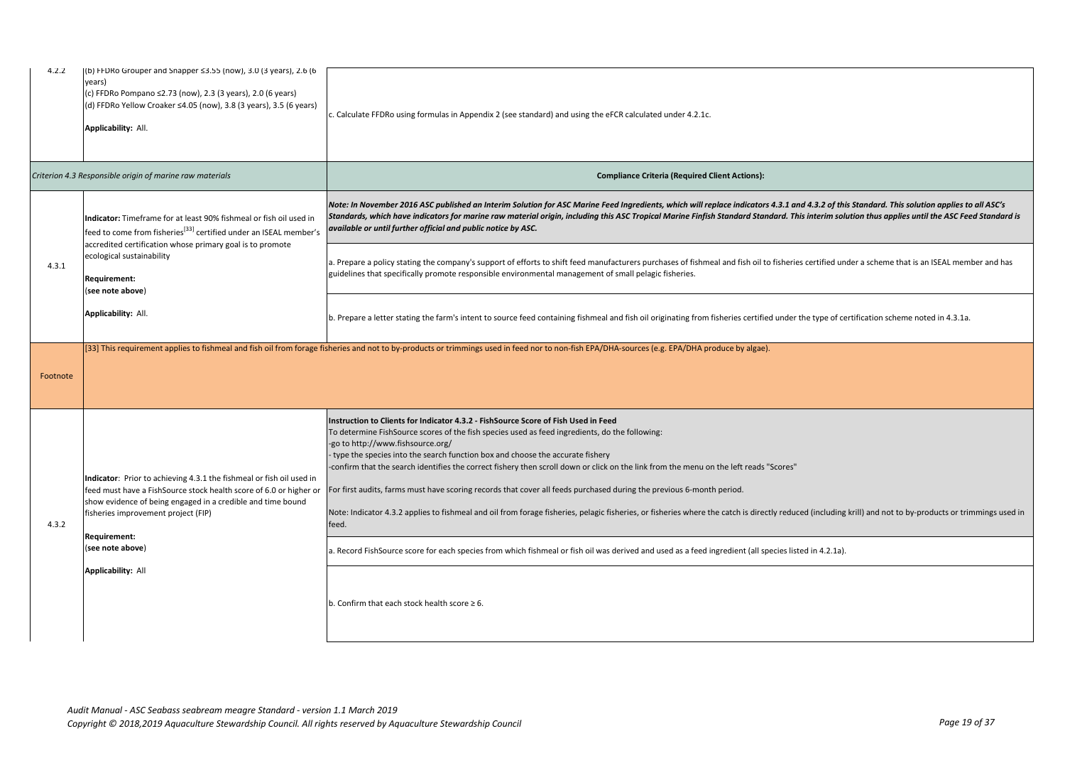| 4.2.2    | (b) FFDRo Grouper and Snapper $\leq$ 3.55 (now), 3.0 (3 years), 2.6 (6<br>years)<br>(c) FFDRo Pompano ≤2.73 (now), 2.3 (3 years), 2.0 (6 years)<br>(d) FFDRo Yellow Croaker ≤4.05 (now), 3.8 (3 years), 3.5 (6 years)<br>Applicability: All.                                                                     | c. Calculate FFDRo using formulas in Appendix 2 (see standard) and using the eFCR calculated under 4.2.1c.                                                                                                                                                                                                                                                                                                                                                                                                                                                                                                                                                                                                                                                                                                                                                                                                                                                                                                         |
|----------|------------------------------------------------------------------------------------------------------------------------------------------------------------------------------------------------------------------------------------------------------------------------------------------------------------------|--------------------------------------------------------------------------------------------------------------------------------------------------------------------------------------------------------------------------------------------------------------------------------------------------------------------------------------------------------------------------------------------------------------------------------------------------------------------------------------------------------------------------------------------------------------------------------------------------------------------------------------------------------------------------------------------------------------------------------------------------------------------------------------------------------------------------------------------------------------------------------------------------------------------------------------------------------------------------------------------------------------------|
|          | Criterion 4.3 Responsible origin of marine raw materials                                                                                                                                                                                                                                                         | <b>Compliance Criteria (Required Client Actions):</b>                                                                                                                                                                                                                                                                                                                                                                                                                                                                                                                                                                                                                                                                                                                                                                                                                                                                                                                                                              |
| 4.3.1    | Indicator: Timeframe for at least 90% fishmeal or fish oil used in<br>feed to come from fisheries <sup>[33]</sup> certified under an ISEAL member's<br>accredited certification whose primary goal is to promote<br>ecological sustainability<br>Requirement:<br>(see note above)                                | Note: In November 2016 ASC published an Interim Solution for ASC Marine Feed Ingredients, which will replace indicators 4.3.1 and 4.3.2 of this Standard. This solution applies to all ASC's<br>Standards, which have indicators for marine raw material origin, including this ASC Tropical Marine Finfish Standard Standard. This interim solution thus applies until the ASC Feed Standard is<br>available or until further official and public notice by ASC.                                                                                                                                                                                                                                                                                                                                                                                                                                                                                                                                                  |
|          |                                                                                                                                                                                                                                                                                                                  | a. Prepare a policy stating the company's support of efforts to shift feed manufacturers purchases of fishmeal and fish oil to fisheries certified under a scheme that is an ISEAL member and has<br>guidelines that specifically promote responsible environmental management of small pelagic fisheries.                                                                                                                                                                                                                                                                                                                                                                                                                                                                                                                                                                                                                                                                                                         |
|          | Applicability: All.                                                                                                                                                                                                                                                                                              | b. Prepare a letter stating the farm's intent to source feed containing fishmeal and fish oil originating from fisheries certified under the type of certification scheme noted in 4.3.1a.                                                                                                                                                                                                                                                                                                                                                                                                                                                                                                                                                                                                                                                                                                                                                                                                                         |
| Footnote |                                                                                                                                                                                                                                                                                                                  | [33] This requirement applies to fishmeal and fish oil from forage fisheries and not to by-products or trimmings used in feed nor to non-fish EPA/DHA-sources (e.g. EPA/DHA produce by algae).                                                                                                                                                                                                                                                                                                                                                                                                                                                                                                                                                                                                                                                                                                                                                                                                                     |
| 4.3.2    | Indicator: Prior to achieving 4.3.1 the fishmeal or fish oil used in<br>feed must have a FishSource stock health score of 6.0 or higher o<br>show evidence of being engaged in a credible and time bound<br>fisheries improvement project (FIP)<br>Requirement:<br>(see note above)<br><b>Applicability: All</b> | Instruction to Clients for Indicator 4.3.2 - FishSource Score of Fish Used in Feed<br>To determine FishSource scores of the fish species used as feed ingredients, do the following:<br>-go to http://www.fishsource.org/<br>type the species into the search function box and choose the accurate fishery<br>-confirm that the search identifies the correct fishery then scroll down or click on the link from the menu on the left reads "Scores"<br>For first audits, farms must have scoring records that cover all feeds purchased during the previous 6-month period.<br>Note: Indicator 4.3.2 applies to fishmeal and oil from forage fisheries, pelagic fisheries, or fisheries where the catch is directly reduced (including krill) and not to by-products or trimmings used in<br>feed.<br>a. Record FishSource score for each species from which fishmeal or fish oil was derived and used as a feed ingredient (all species listed in 4.2.1a).<br>b. Confirm that each stock health score $\geq 6$ . |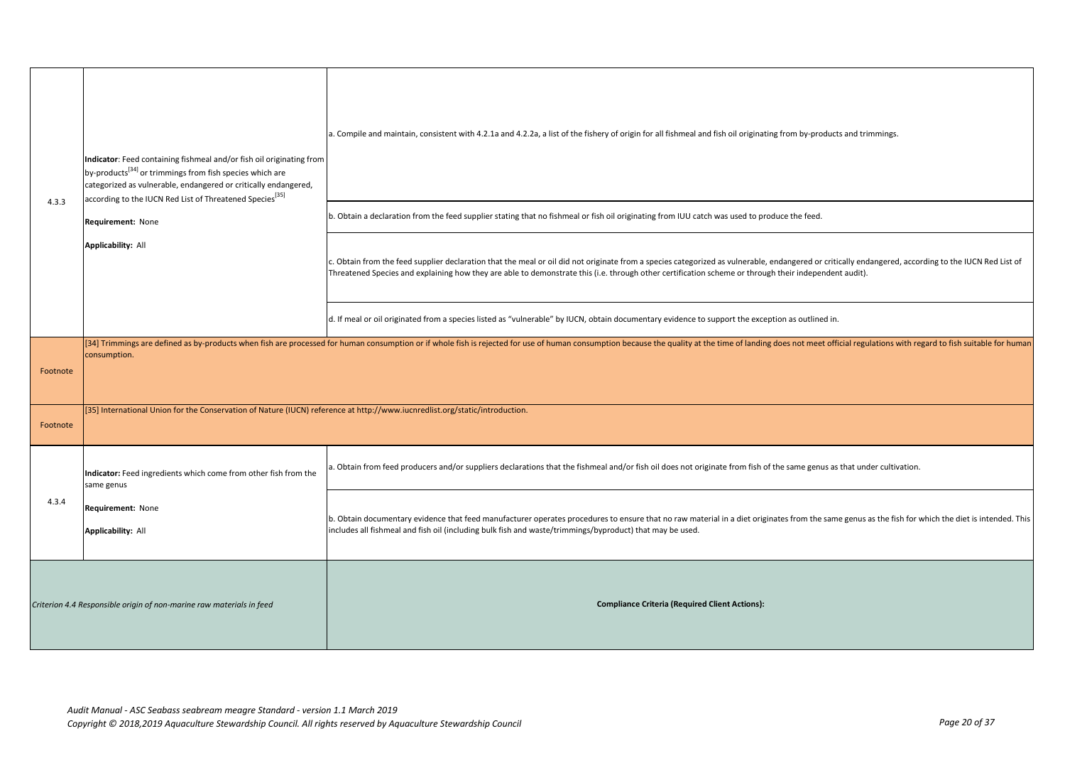| 4.3.3                                                                | Indicator: Feed containing fishmeal and/or fish oil originating from<br>by-products <sup>[34]</sup> or trimmings from fish species which are<br>categorized as vulnerable, endangered or critically endangered,<br>according to the IUCN Red List of Threatened Species <sup>[35]</sup><br>Requirement: None<br><b>Applicability: All</b> | a. Compile and maintain, consistent with 4.2.1a and 4.2.2a, a list of the fishery of origin for all fishmeal and fish oil originating from by-products and trimmings.<br>b. Obtain a declaration from the feed supplier stating that no fishmeal or fish oil originating from IUU catch was used to produce the feed.                                         |
|----------------------------------------------------------------------|-------------------------------------------------------------------------------------------------------------------------------------------------------------------------------------------------------------------------------------------------------------------------------------------------------------------------------------------|---------------------------------------------------------------------------------------------------------------------------------------------------------------------------------------------------------------------------------------------------------------------------------------------------------------------------------------------------------------|
|                                                                      |                                                                                                                                                                                                                                                                                                                                           | c. Obtain from the feed supplier declaration that the meal or oil did not originate from a species categorized as vulnerable, endangered or critically endangered, according to the IUCN Red List of<br>Threatened Species and explaining how they are able to demonstrate this (i.e. through other certification scheme or through their independent audit). |
|                                                                      |                                                                                                                                                                                                                                                                                                                                           | d. If meal or oil originated from a species listed as "vulnerable" by IUCN, obtain documentary evidence to support the exception as outlined in.                                                                                                                                                                                                              |
| Footnote                                                             | consumption.                                                                                                                                                                                                                                                                                                                              | [34] Trimmings are defined as by-products when fish are processed for human consumption or if whole fish is rejected for use of human consumption because the quality at the time of landing does not meet official regulation                                                                                                                                |
| Footnote                                                             | [35] International Union for the Conservation of Nature (IUCN) reference at http://www.iucnredlist.org/static/introduction.                                                                                                                                                                                                               |                                                                                                                                                                                                                                                                                                                                                               |
|                                                                      | Indicator: Feed ingredients which come from other fish from the<br>same genus                                                                                                                                                                                                                                                             | a. Obtain from feed producers and/or suppliers declarations that the fishmeal and/or fish oil does not originate from fish of the same genus as that under cultivation.                                                                                                                                                                                       |
| 4.3.4                                                                | Requirement: None<br><b>Applicability: All</b>                                                                                                                                                                                                                                                                                            | b. Obtain documentary evidence that feed manufacturer operates procedures to ensure that no raw material in a diet originates from the same genus as the fish for which the diet is intended. This<br>includes all fishmeal and fish oil (including bulk fish and waste/trimmings/byproduct) that may be used.                                                |
| Criterion 4.4 Responsible origin of non-marine raw materials in feed |                                                                                                                                                                                                                                                                                                                                           | <b>Compliance Criteria (Required Client Actions):</b>                                                                                                                                                                                                                                                                                                         |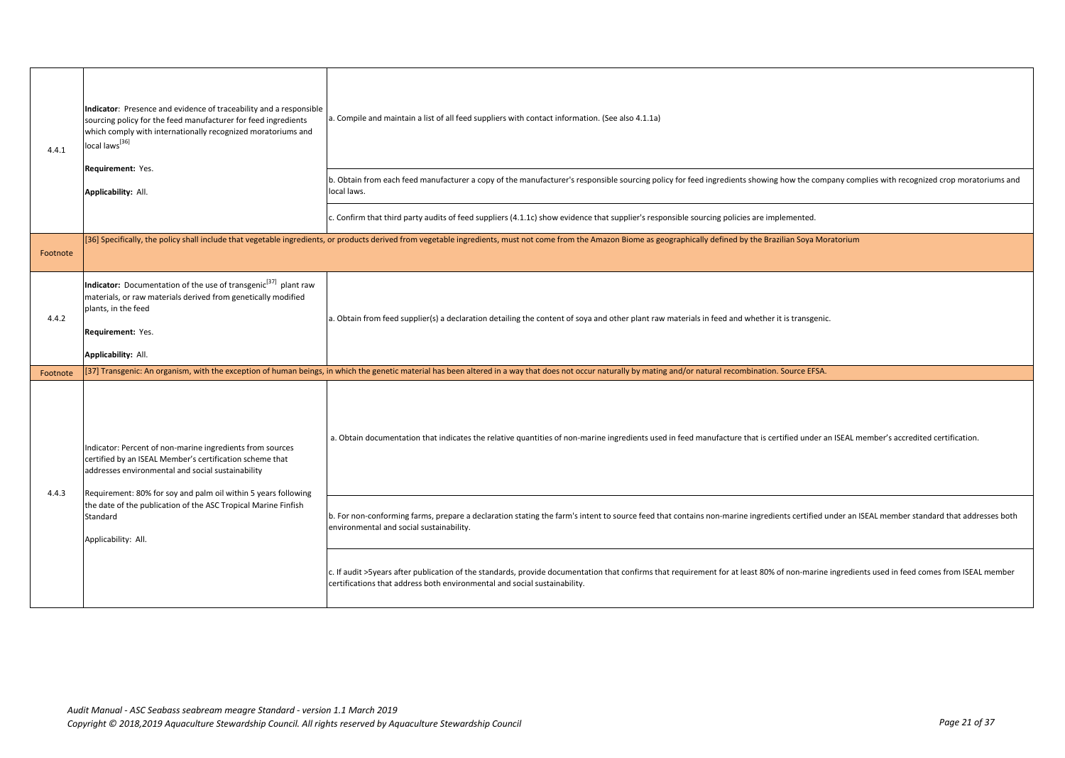| 4.4.1    | Indicator: Presence and evidence of traceability and a responsible<br>sourcing policy for the feed manufacturer for feed ingredients<br>which comply with internationally recognized moratoriums and<br>local laws <sup>[36]</sup><br>Requirement: Yes.<br>Applicability: All. | a. Compile and maintain a list of all feed suppliers with contact information. (See also 4.1.1a)<br>b. Obtain from each feed manufacturer a copy of the manufacturer's responsible sourcing policy for feed ingredients showing how the company complies with recognized crop moratoriums and<br>local laws. |
|----------|--------------------------------------------------------------------------------------------------------------------------------------------------------------------------------------------------------------------------------------------------------------------------------|--------------------------------------------------------------------------------------------------------------------------------------------------------------------------------------------------------------------------------------------------------------------------------------------------------------|
|          |                                                                                                                                                                                                                                                                                | c. Confirm that third party audits of feed suppliers (4.1.1c) show evidence that supplier's responsible sourcing policies are implemented.                                                                                                                                                                   |
| Footnote |                                                                                                                                                                                                                                                                                | [36] Specifically, the policy shall include that vegetable ingredients, or products derived from vegetable ingredients, must not come from the Amazon Biome as geographically defined by the Brazilian Soya Moratorium                                                                                       |
| 4.4.2    | Indicator: Documentation of the use of transgenic <sup>[37]</sup> plant raw<br>materials, or raw materials derived from genetically modified<br>plants, in the feed<br>Requirement: Yes.<br>Applicability: All.                                                                | a. Obtain from feed supplier(s) a declaration detailing the content of soya and other plant raw materials in feed and whether it is transgenic.                                                                                                                                                              |
| Footnote |                                                                                                                                                                                                                                                                                | [37] Transgenic: An organism, with the exception of human beings, in which the genetic material has been altered in a way that does not occur naturally by mating and/or natural recombination. Source EFSA.                                                                                                 |
| 4.4.3    | Indicator: Percent of non-marine ingredients from sources<br>certified by an ISEAL Member's certification scheme that<br>addresses environmental and social sustainability<br>Requirement: 80% for soy and palm oil within 5 years following                                   | a. Obtain documentation that indicates the relative quantities of non-marine ingredients used in feed manufacture that is certified under an ISEAL member's accredited certification.                                                                                                                        |
|          | the date of the publication of the ASC Tropical Marine Finfish<br>Standard<br>Applicability: All.                                                                                                                                                                              | b. For non-conforming farms, prepare a declaration stating the farm's intent to source feed that contains non-marine ingredients certified under an ISEAL member standard that addresses both<br>environmental and social sustainability.                                                                    |
|          |                                                                                                                                                                                                                                                                                | c. If audit >5years after publication of the standards, provide documentation that confirms that requirement for at least 80% of non-marine ingredients used in feed comes from ISEAL member<br>certifications that address both environmental and social sustainability.                                    |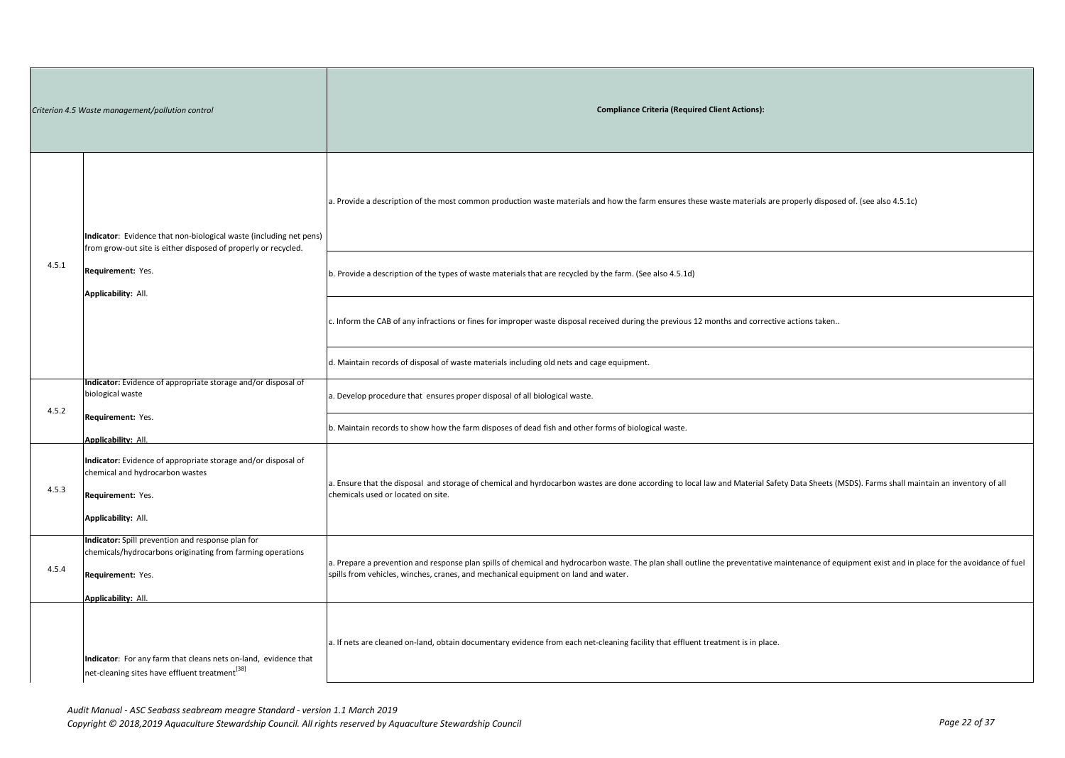| Criterion 4.5 Waste management/pollution control |                                                                                                                                                                                  | <b>Compliance Criteria (Required Client Actions):</b>                                                                                                                                                                                                                                   |
|--------------------------------------------------|----------------------------------------------------------------------------------------------------------------------------------------------------------------------------------|-----------------------------------------------------------------------------------------------------------------------------------------------------------------------------------------------------------------------------------------------------------------------------------------|
|                                                  | Indicator: Evidence that non-biological waste (including net pens)<br>from grow-out site is either disposed of properly or recycled.<br>Requirement: Yes.<br>Applicability: All. | a. Provide a description of the most common production waste materials and how the farm ensures these waste materials are properly disposed of. (see also 4.5.1c)                                                                                                                       |
| 4.5.1                                            |                                                                                                                                                                                  | (See also 4.5.1d) b. Provide a description of the types of waste materials that are recycled by the farm. (See also 4.5.1d)                                                                                                                                                             |
|                                                  |                                                                                                                                                                                  | c. Inform the CAB of any infractions or fines for improper waste disposal received during the previous 12 months and corrective actions taken                                                                                                                                           |
|                                                  |                                                                                                                                                                                  | d. Maintain records of disposal of waste materials including old nets and cage equipment.                                                                                                                                                                                               |
| 4.5.2                                            | Indicator: Evidence of appropriate storage and/or disposal of<br>biological waste                                                                                                | . Develop procedure that ensures proper disposal of all biological waste.                                                                                                                                                                                                               |
|                                                  | Requirement: Yes.<br><b>Applicability: All.</b>                                                                                                                                  | b. Maintain records to show how the farm disposes of dead fish and other forms of biological waste.                                                                                                                                                                                     |
| 4.5.3                                            | Indicator: Evidence of appropriate storage and/or disposal of<br>chemical and hydrocarbon wastes<br>Requirement: Yes.<br>Applicability: All.                                     | a. Ensure that the disposal and storage of chemical and hyrdocarbon wastes are done according to local law and Material Safety Data Sheets (MSDS). Farms shall maintain an inventory of all<br>chemicals used or located on site.                                                       |
| 4.5.4                                            | Indicator: Spill prevention and response plan for<br>chemicals/hydrocarbons originating from farming operations<br>Requirement: Yes.<br>Applicability: All.                      | a. Prepare a prevention and response plan spills of chemical and hydrocarbon waste. The plan shall outline the preventative maintenance of equipment exist and in place for the avoidance of fuel<br>spills from vehicles, winches, cranes, and mechanical equipment on land and water. |
|                                                  | Indicator: For any farm that cleans nets on-land, evidence that<br>net-cleaning sites have effluent treatment <sup>[38]</sup>                                                    | a. If nets are cleaned on-land, obtain documentary evidence from each net-cleaning facility that effluent treatment is in place.                                                                                                                                                        |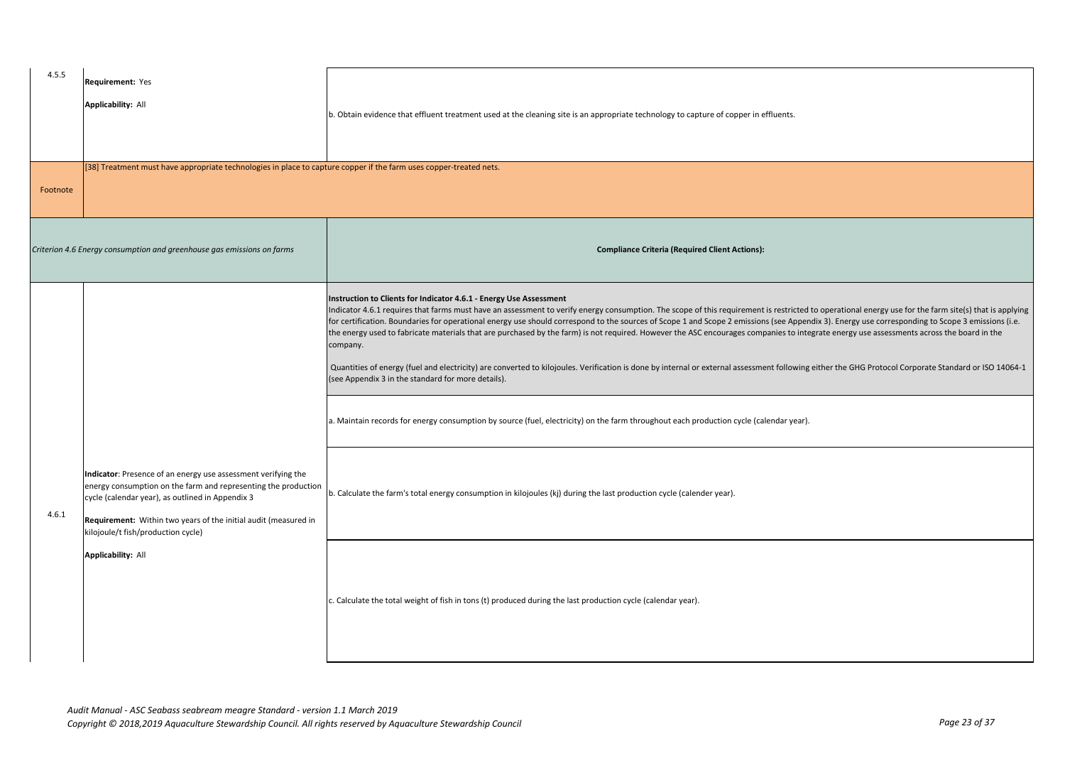| 4.5.5    | Requirement: Yes<br><b>Applicability: All</b>                                                                                                                                                                                                                                                | b. Obtain evidence that effluent treatment used at the cleaning site is an appropriate technology to capture of copper in effluents.                                                                                                                                                                                                                                                                                                                                                                                                                                                                                                                                                                                                                                                                                                                                                                                                                                                                                                                                                            |
|----------|----------------------------------------------------------------------------------------------------------------------------------------------------------------------------------------------------------------------------------------------------------------------------------------------|-------------------------------------------------------------------------------------------------------------------------------------------------------------------------------------------------------------------------------------------------------------------------------------------------------------------------------------------------------------------------------------------------------------------------------------------------------------------------------------------------------------------------------------------------------------------------------------------------------------------------------------------------------------------------------------------------------------------------------------------------------------------------------------------------------------------------------------------------------------------------------------------------------------------------------------------------------------------------------------------------------------------------------------------------------------------------------------------------|
| Footnote | [38] Treatment must have appropriate technologies in place to capture copper if the farm uses copper-treated nets.                                                                                                                                                                           |                                                                                                                                                                                                                                                                                                                                                                                                                                                                                                                                                                                                                                                                                                                                                                                                                                                                                                                                                                                                                                                                                                 |
|          | Criterion 4.6 Energy consumption and greenhouse gas emissions on farms                                                                                                                                                                                                                       | <b>Compliance Criteria (Required Client Actions):</b>                                                                                                                                                                                                                                                                                                                                                                                                                                                                                                                                                                                                                                                                                                                                                                                                                                                                                                                                                                                                                                           |
|          |                                                                                                                                                                                                                                                                                              | Instruction to Clients for Indicator 4.6.1 - Energy Use Assessment<br>Indicator 4.6.1 requires that farms must have an assessment to verify energy consumption. The scope of this requirement is restricted to operational energy use for the farm site(s) that is applying<br>for certification. Boundaries for operational energy use should correspond to the sources of Scope 1 and Scope 2 emissions (see Appendix 3). Energy use corresponding to Scope 3 emissions (i.e.<br>the energy used to fabricate materials that are purchased by the farm) is not required. However the ASC encourages companies to integrate energy use assessments across the board in the<br>company.<br>Quantities of energy (fuel and electricity) are converted to kilojoules. Verification is done by internal or external assessment following either the GHG Protocol Corporate Standard or ISO 14064-1<br>(see Appendix 3 in the standard for more details).<br>a. Maintain records for energy consumption by source (fuel, electricity) on the farm throughout each production cycle (calendar year). |
| 4.6.1    | Indicator: Presence of an energy use assessment verifying the<br>energy consumption on the farm and representing the production<br>cycle (calendar year), as outlined in Appendix 3<br>Requirement: Within two years of the initial audit (measured in<br>kilojoule/t fish/production cycle) | b. Calculate the farm's total energy consumption in kilojoules (kj) during the last production cycle (calender year).                                                                                                                                                                                                                                                                                                                                                                                                                                                                                                                                                                                                                                                                                                                                                                                                                                                                                                                                                                           |
|          | <b>Applicability: All</b>                                                                                                                                                                                                                                                                    | c. Calculate the total weight of fish in tons (t) produced during the last production cycle (calendar year).                                                                                                                                                                                                                                                                                                                                                                                                                                                                                                                                                                                                                                                                                                                                                                                                                                                                                                                                                                                    |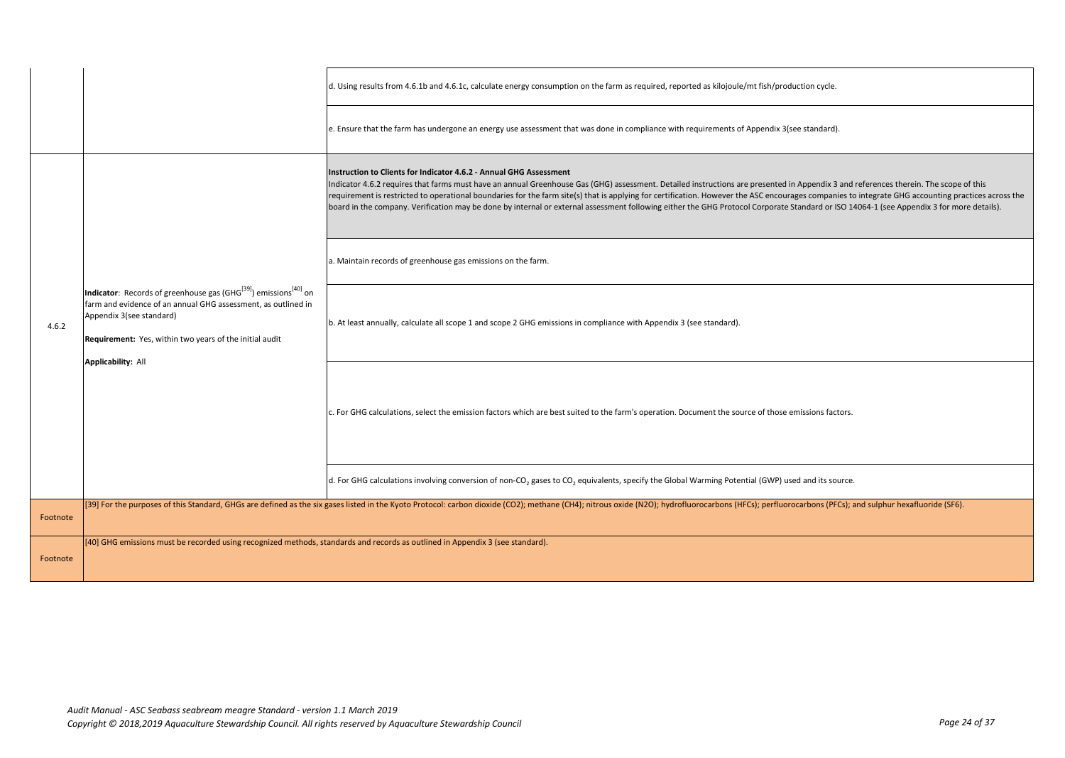|          |                                                                                                                                                                                                                                                                               | d. Using results from 4.6.1b and 4.6.1c, calculate energy consumption on the farm as required, reported as kilojoule/mt fish/production cycle.                                                                                                                                                                                                                                                                                                                                                                                                                                                                                                               |
|----------|-------------------------------------------------------------------------------------------------------------------------------------------------------------------------------------------------------------------------------------------------------------------------------|--------------------------------------------------------------------------------------------------------------------------------------------------------------------------------------------------------------------------------------------------------------------------------------------------------------------------------------------------------------------------------------------------------------------------------------------------------------------------------------------------------------------------------------------------------------------------------------------------------------------------------------------------------------|
|          |                                                                                                                                                                                                                                                                               | e. Ensure that the farm has undergone an energy use assessment that was done in compliance with requirements of Appendix 3(see standard).                                                                                                                                                                                                                                                                                                                                                                                                                                                                                                                    |
|          | Indicator: Records of greenhouse gas (GHG <sup>[39]</sup> ) emissions <sup>[40]</sup> on<br>farm and evidence of an annual GHG assessment, as outlined in<br>Appendix 3(see standard)<br>Requirement: Yes, within two years of the initial audit<br><b>Applicability: All</b> | Instruction to Clients for Indicator 4.6.2 - Annual GHG Assessment<br>Indicator 4.6.2 requires that farms must have an annual Greenhouse Gas (GHG) assessment. Detailed instructions are presented in Appendix 3 and references therein. The scope of this<br>requirement is restricted to operational boundaries for the farm site(s) that is applying for certification. However the ASC encourages companies to integrate GHG accounting practices across the<br>board in the company. Verification may be done by internal or external assessment following either the GHG Protocol Corporate Standard or ISO 14064-1 (see Appendix 3 for more details). |
|          |                                                                                                                                                                                                                                                                               | a. Maintain records of greenhouse gas emissions on the farm.                                                                                                                                                                                                                                                                                                                                                                                                                                                                                                                                                                                                 |
| 4.6.2    |                                                                                                                                                                                                                                                                               | b. At least annually, calculate all scope 1 and scope 2 GHG emissions in compliance with Appendix 3 (see standard).                                                                                                                                                                                                                                                                                                                                                                                                                                                                                                                                          |
|          |                                                                                                                                                                                                                                                                               | c. For GHG calculations, select the emission factors which are best suited to the farm's operation. Document the source of those emissions factors.                                                                                                                                                                                                                                                                                                                                                                                                                                                                                                          |
|          |                                                                                                                                                                                                                                                                               | d. For GHG calculations involving conversion of non-CO <sub>2</sub> gases to CO <sub>2</sub> equivalents, specify the Global Warming Potential (GWP) used and its source.                                                                                                                                                                                                                                                                                                                                                                                                                                                                                    |
| Footnote |                                                                                                                                                                                                                                                                               | [39] For the purposes of this Standard, GHGs are defined as the six gases listed in the Kyoto Protocol: carbon dioxide (CO2); methane (CH4); nitrous oxide (N2O); hydrofluorocarbons (HFCs); perfluorocarbons (PFCs); and sulp                                                                                                                                                                                                                                                                                                                                                                                                                               |
| Footnote | [40] GHG emissions must be recorded using recognized methods, standards and records as outlined in Appendix 3 (see standard).                                                                                                                                                 |                                                                                                                                                                                                                                                                                                                                                                                                                                                                                                                                                                                                                                                              |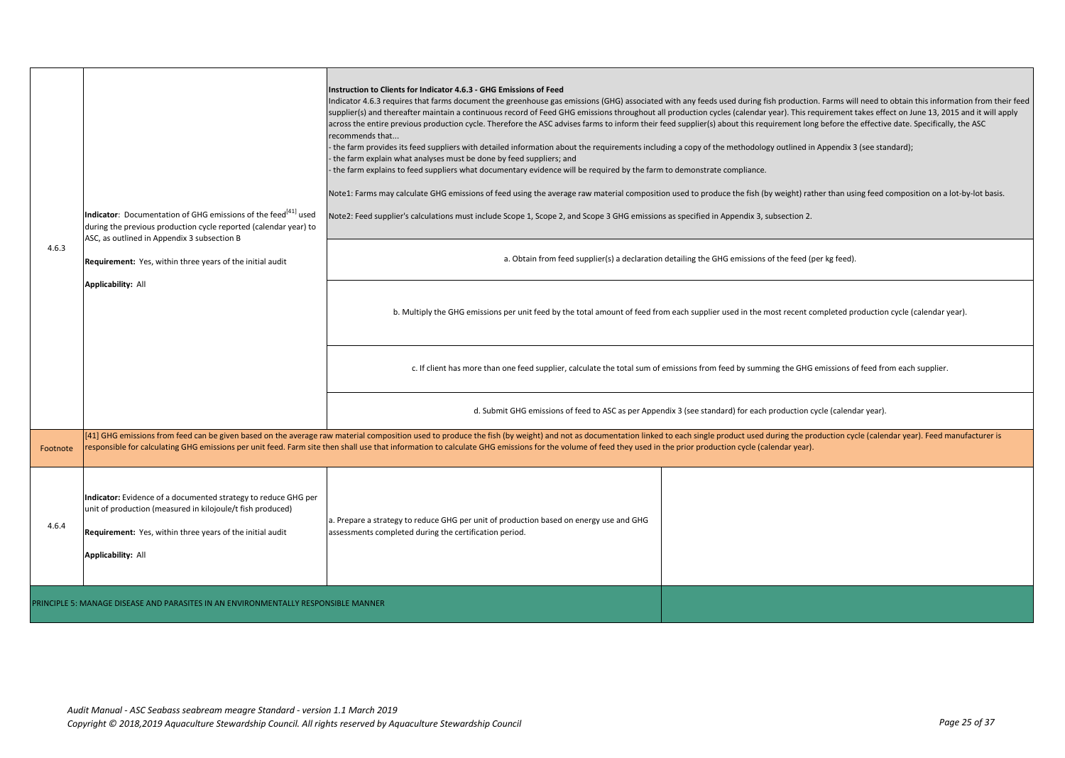|          | Indicator: Documentation of GHG emissions of the feed <sup>[41]</sup> used<br>during the previous production cycle reported (calendar year) to<br>ASC, as outlined in Appendix 3 subsection B                                                                                                                                                                                                                                                   | Instruction to Clients for Indicator 4.6.3 - GHG Emissions of Feed<br>across the entire previous production cycle. Therefore the ASC advises farms to inform their feed supplier(s) about this requirement long before the effective date. Specifically, the ASC<br>recommends that<br>the farm provides its feed suppliers with detailed information about the requirements including a copy of the methodology outlined in Appendix 3 (see standard);<br>- the farm explain what analyses must be done by feed suppliers; and<br>the farm explains to feed suppliers what documentary evidence will be required by the farm to demonstrate compliance.<br>Note2: Feed supplier's calculations must include Scope 1, Scope 2, and Scope 3 GHG emissions as specified in Appendix 3, subsection 2. | Indicator 4.6.3 requires that farms document the greenhouse gas emissions (GHG) associated with any feeds used during fish production. Farms will need to obtain this information from their feed<br>supplier(s) and thereafter maintain a continuous record of Feed GHG emissions throughout all production cycles (calendar year). This requirement takes effect on June 13, 2015 and it will apply<br>Note1: Farms may calculate GHG emissions of feed using the average raw material composition used to produce the fish (by weight) rather than using feed composition on a lot-by-lot basis. |  |
|----------|-------------------------------------------------------------------------------------------------------------------------------------------------------------------------------------------------------------------------------------------------------------------------------------------------------------------------------------------------------------------------------------------------------------------------------------------------|----------------------------------------------------------------------------------------------------------------------------------------------------------------------------------------------------------------------------------------------------------------------------------------------------------------------------------------------------------------------------------------------------------------------------------------------------------------------------------------------------------------------------------------------------------------------------------------------------------------------------------------------------------------------------------------------------------------------------------------------------------------------------------------------------|-----------------------------------------------------------------------------------------------------------------------------------------------------------------------------------------------------------------------------------------------------------------------------------------------------------------------------------------------------------------------------------------------------------------------------------------------------------------------------------------------------------------------------------------------------------------------------------------------------|--|
| 4.6.3    | Requirement: Yes, within three years of the initial audit                                                                                                                                                                                                                                                                                                                                                                                       |                                                                                                                                                                                                                                                                                                                                                                                                                                                                                                                                                                                                                                                                                                                                                                                                    | a. Obtain from feed supplier(s) a declaration detailing the GHG emissions of the feed (per kg feed).                                                                                                                                                                                                                                                                                                                                                                                                                                                                                                |  |
|          | <b>Applicability: All</b>                                                                                                                                                                                                                                                                                                                                                                                                                       |                                                                                                                                                                                                                                                                                                                                                                                                                                                                                                                                                                                                                                                                                                                                                                                                    | b. Multiply the GHG emissions per unit feed by the total amount of feed from each supplier used in the most recent completed production cycle (calendar year).                                                                                                                                                                                                                                                                                                                                                                                                                                      |  |
|          |                                                                                                                                                                                                                                                                                                                                                                                                                                                 |                                                                                                                                                                                                                                                                                                                                                                                                                                                                                                                                                                                                                                                                                                                                                                                                    | c. If client has more than one feed supplier, calculate the total sum of emissions from feed by summing the GHG emissions of feed from each supplier.                                                                                                                                                                                                                                                                                                                                                                                                                                               |  |
|          |                                                                                                                                                                                                                                                                                                                                                                                                                                                 |                                                                                                                                                                                                                                                                                                                                                                                                                                                                                                                                                                                                                                                                                                                                                                                                    | d. Submit GHG emissions of feed to ASC as per Appendix 3 (see standard) for each production cycle (calendar year).                                                                                                                                                                                                                                                                                                                                                                                                                                                                                  |  |
| Footnote | [41] GHG emissions from feed can be given based on the average raw material composition used to produce the fish (by weight) and not as documentation linked to each single product used during the production cycle (calendar<br>responsible for calculating GHG emissions per unit feed. Farm site then shall use that information to calculate GHG emissions for the volume of feed they used in the prior production cycle (calendar year). |                                                                                                                                                                                                                                                                                                                                                                                                                                                                                                                                                                                                                                                                                                                                                                                                    |                                                                                                                                                                                                                                                                                                                                                                                                                                                                                                                                                                                                     |  |
| 4.6.4    | Indicator: Evidence of a documented strategy to reduce GHG per<br>unit of production (measured in kilojoule/t fish produced)<br>Requirement: Yes, within three years of the initial audit<br><b>Applicability: All</b>                                                                                                                                                                                                                          | a. Prepare a strategy to reduce GHG per unit of production based on energy use and GHG<br>assessments completed during the certification period.                                                                                                                                                                                                                                                                                                                                                                                                                                                                                                                                                                                                                                                   |                                                                                                                                                                                                                                                                                                                                                                                                                                                                                                                                                                                                     |  |
|          | PRINCIPLE 5: MANAGE DISEASE AND PARASITES IN AN ENVIRONMENTALLY RESPONSIBLE MANNER                                                                                                                                                                                                                                                                                                                                                              |                                                                                                                                                                                                                                                                                                                                                                                                                                                                                                                                                                                                                                                                                                                                                                                                    |                                                                                                                                                                                                                                                                                                                                                                                                                                                                                                                                                                                                     |  |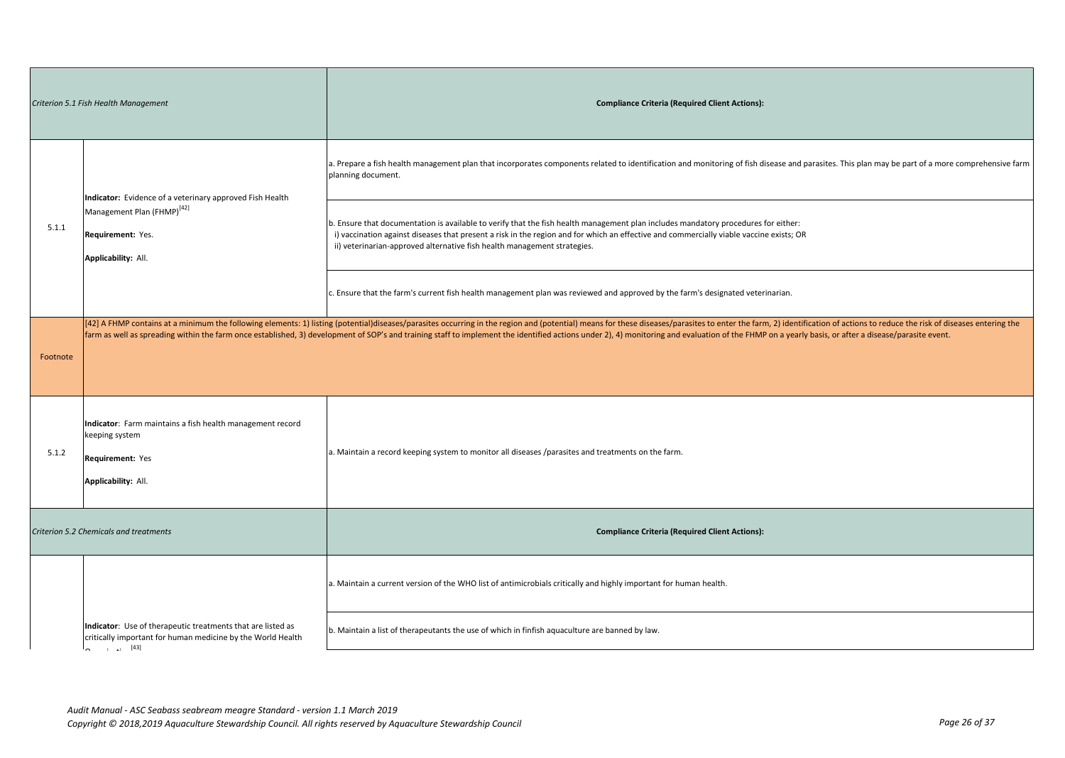| Criterion 5.1 Fish Health Management   |                                                                                                                                             | <b>Compliance Criteria (Required Client Actions):</b>                                                                                                                                                                                                                                                                                                                                                                                                           |
|----------------------------------------|---------------------------------------------------------------------------------------------------------------------------------------------|-----------------------------------------------------------------------------------------------------------------------------------------------------------------------------------------------------------------------------------------------------------------------------------------------------------------------------------------------------------------------------------------------------------------------------------------------------------------|
|                                        | Indicator: Evidence of a veterinary approved Fish Health                                                                                    | a. Prepare a fish health management plan that incorporates components related to identification and monitoring of fish disease and parasites. This plan may be part of a more comprehensive farm<br>planning document.                                                                                                                                                                                                                                          |
| 5.1.1                                  | Management Plan (FHMP) <sup>[42]</sup><br>Requirement: Yes.<br>Applicability: All.                                                          | b. Ensure that documentation is available to verify that the fish health management plan includes mandatory procedures for either:<br>i) vaccination against diseases that present a risk in the region and for which an effective and commercially viable vaccine exists; OR<br>ii) veterinarian-approved alternative fish health management strategies.                                                                                                       |
|                                        |                                                                                                                                             | c. Ensure that the farm's current fish health management plan was reviewed and approved by the farm's designated veterinarian.                                                                                                                                                                                                                                                                                                                                  |
| Footnote                               |                                                                                                                                             | [42] A FHMP contains at a minimum the following elements: 1) listing (potential)diseases/parasites occurring in the region and (potential) means for these diseases/parasites to enter the farm, 2) identification of actions<br>farm as well as spreading within the farm once established, 3) development of SOP's and training staff to implement the identified actions under 2), 4) monitoring and evaluation of the FHMP on a yearly basis, or after a di |
| 5.1.2                                  | Indicator: Farm maintains a fish health management record<br>keeping system<br>Requirement: Yes<br>Applicability: All.                      | a. Maintain a record keeping system to monitor all diseases /parasites and treatments on the farm.                                                                                                                                                                                                                                                                                                                                                              |
| Criterion 5.2 Chemicals and treatments |                                                                                                                                             | <b>Compliance Criteria (Required Client Actions):</b>                                                                                                                                                                                                                                                                                                                                                                                                           |
|                                        |                                                                                                                                             | a. Maintain a current version of the WHO list of antimicrobials critically and highly important for human health.                                                                                                                                                                                                                                                                                                                                               |
|                                        | Indicator: Use of therapeutic treatments that are listed as<br>critically important for human medicine by the World Health<br>$\ldots$ [43] | b. Maintain a list of therapeutants the use of which in finfish aquaculture are banned by law.                                                                                                                                                                                                                                                                                                                                                                  |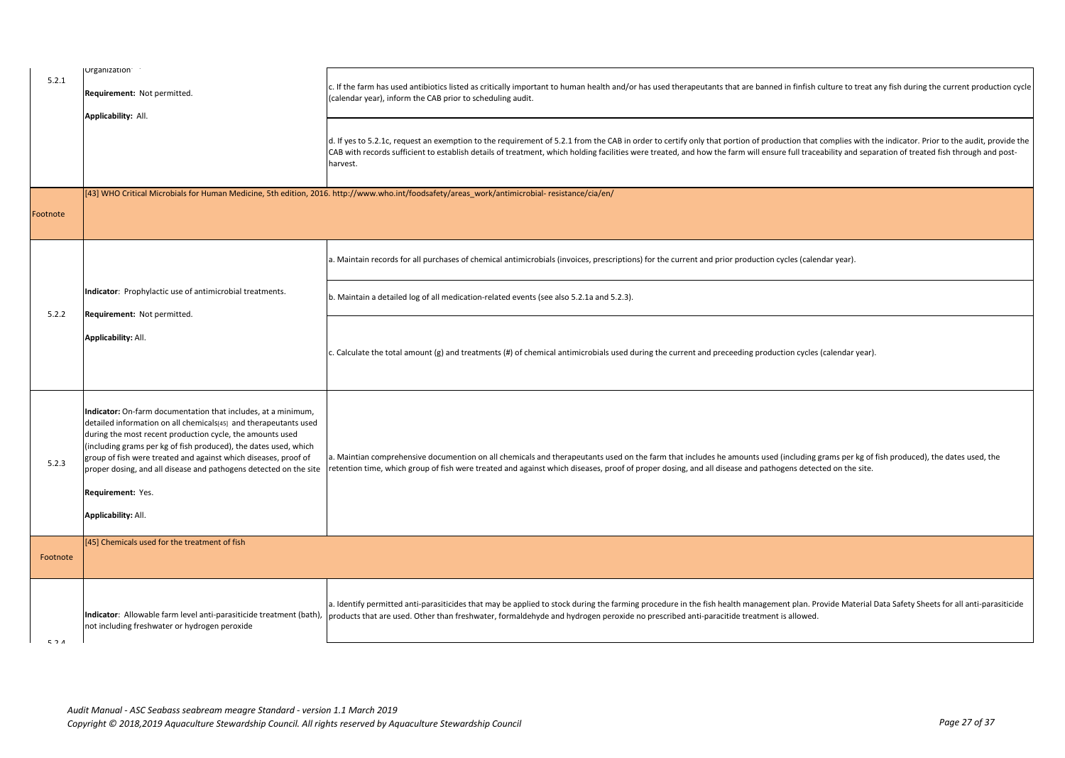| 5.2.1    | Urganization <sup>®</sup><br>Requirement: Not permitted.<br>Applicability: All.                                                                                                                                                                                                                                                                                                                                                                               | c. If the farm has used antibiotics listed as critically important to human health and/or has used therapeutants that are banned in finfish culture to treat any fish during the current production cycle<br>(calendar year), inform the CAB prior to scheduling audit.                                                                                                                                                       |
|----------|---------------------------------------------------------------------------------------------------------------------------------------------------------------------------------------------------------------------------------------------------------------------------------------------------------------------------------------------------------------------------------------------------------------------------------------------------------------|-------------------------------------------------------------------------------------------------------------------------------------------------------------------------------------------------------------------------------------------------------------------------------------------------------------------------------------------------------------------------------------------------------------------------------|
|          |                                                                                                                                                                                                                                                                                                                                                                                                                                                               | d. If yes to 5.2.1c, request an exemption to the requirement of 5.2.1 from the CAB in order to certify only that portion of production that complies with the indicator. Prior to the audit, provide the<br>CAB with records sufficient to establish details of treatment, which holding facilities were treated, and how the farm will ensure full traceability and separation of treated fish through and post-<br>harvest. |
| Footnote |                                                                                                                                                                                                                                                                                                                                                                                                                                                               | [43] WHO Critical Microbials for Human Medicine, 5th edition, 2016. http://www.who.int/foodsafety/areas work/antimicrobial-resistance/cia/en/                                                                                                                                                                                                                                                                                 |
|          |                                                                                                                                                                                                                                                                                                                                                                                                                                                               | a. Maintain records for all purchases of chemical antimicrobials (invoices, prescriptions) for the current and prior production cycles (calendar year).                                                                                                                                                                                                                                                                       |
| 5.2.2    | Indicator: Prophylactic use of antimicrobial treatments.<br>Requirement: Not permitted.                                                                                                                                                                                                                                                                                                                                                                       | b. Maintain a detailed log of all medication-related events (see also 5.2.1a and 5.2.3).                                                                                                                                                                                                                                                                                                                                      |
|          | <b>Applicability: All.</b>                                                                                                                                                                                                                                                                                                                                                                                                                                    | c. Calculate the total amount (g) and treatments (#) of chemical antimicrobials used during the current and preceeding production cycles (calendar year).                                                                                                                                                                                                                                                                     |
| 5.2.3    | Indicator: On-farm documentation that includes, at a minimum,<br>detailed information on all chemicals[45] and therapeutants used<br>during the most recent production cycle, the amounts used<br>(including grams per kg of fish produced), the dates used, which<br>group of fish were treated and against which diseases, proof of<br>proper dosing, and all disease and pathogens detected on the site<br>Requirement: Yes.<br><b>Applicability: All.</b> | a. Maintian comprehensive documention on all chemicals and therapeutants used on the farm that includes he amounts used (including grams per kg of fish produced), the dates used, the<br>etention time, which group of fish were treated and against which diseases, proof of proper dosing, and all disease and pathogens detected on the site.                                                                             |
|          | [45] Chemicals used for the treatment of fish                                                                                                                                                                                                                                                                                                                                                                                                                 |                                                                                                                                                                                                                                                                                                                                                                                                                               |
| Footnote |                                                                                                                                                                                                                                                                                                                                                                                                                                                               |                                                                                                                                                                                                                                                                                                                                                                                                                               |
| 521      | not including freshwater or hydrogen peroxide                                                                                                                                                                                                                                                                                                                                                                                                                 | a. Identify permitted anti-parasiticides that may be applied to stock during the farming procedure in the fish health management plan. Provide Material Data Safety Sheets for all anti-parasiticide<br>Indicator: Allowable farm level anti-parasiticide treatment (bath), products that are used. Other than freshwater, formaldehyde and hydrogen peroxide no prescribed anti-paracitide treatment is allowed.             |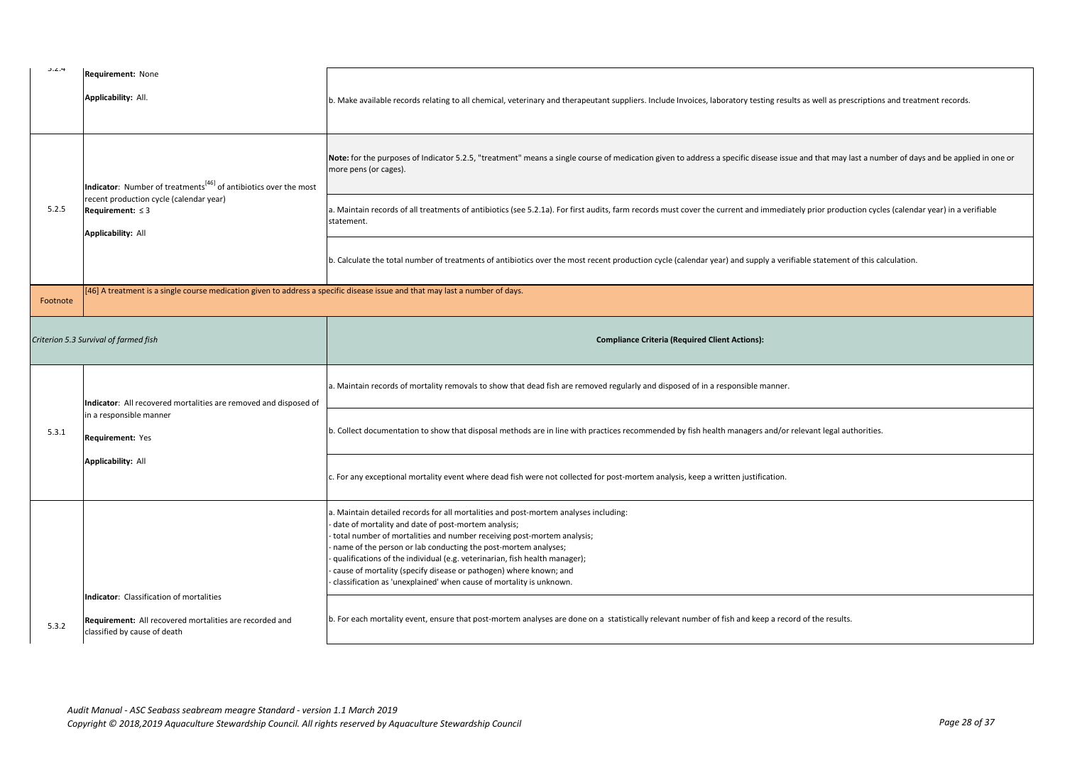| J.2.4    | Requirement: None<br>Applicability: All.                                                                                                         | b. Make available records relating to all chemical, veterinary and therapeutant suppliers. Include Invoices, laboratory testing results as well as prescriptions and treatment records.                                                                                                                                                                                                                                                                                                                                                                                                                                                                                  |
|----------|--------------------------------------------------------------------------------------------------------------------------------------------------|--------------------------------------------------------------------------------------------------------------------------------------------------------------------------------------------------------------------------------------------------------------------------------------------------------------------------------------------------------------------------------------------------------------------------------------------------------------------------------------------------------------------------------------------------------------------------------------------------------------------------------------------------------------------------|
| 5.2.5    | Indicator: Number of treatments <sup>[46]</sup> of antibiotics over the most<br>recent production cycle (calendar year)<br>Requirement: $\leq$ 3 | Note: for the purposes of Indicator 5.2.5, "treatment" means a single course of medication given to address a specific disease issue and that may last a number of days and be applied in one or<br>more pens (or cages).<br>a. Maintain records of all treatments of antibiotics (see 5.2.1a). For first audits, farm records must cover the current and immediately prior production cycles (calendar year) in a verifiable<br>statement.                                                                                                                                                                                                                              |
|          | <b>Applicability: All</b>                                                                                                                        | b. Calculate the total number of treatments of antibiotics over the most recent production cycle (calendar year) and supply a verifiable statement of this calculation.                                                                                                                                                                                                                                                                                                                                                                                                                                                                                                  |
| Footnote | [46] A treatment is a single course medication given to address a specific disease issue and that may last a number of days.                     |                                                                                                                                                                                                                                                                                                                                                                                                                                                                                                                                                                                                                                                                          |
|          | Criterion 5.3 Survival of farmed fish                                                                                                            | <b>Compliance Criteria (Required Client Actions):</b>                                                                                                                                                                                                                                                                                                                                                                                                                                                                                                                                                                                                                    |
|          |                                                                                                                                                  |                                                                                                                                                                                                                                                                                                                                                                                                                                                                                                                                                                                                                                                                          |
|          | Indicator: All recovered mortalities are removed and disposed of                                                                                 | a. Maintain records of mortality removals to show that dead fish are removed regularly and disposed of in a responsible manner.                                                                                                                                                                                                                                                                                                                                                                                                                                                                                                                                          |
| 5.3.1    | in a responsible manner<br>Requirement: Yes                                                                                                      | b. Collect documentation to show that disposal methods are in line with practices recommended by fish health managers and/or relevant legal authorities.                                                                                                                                                                                                                                                                                                                                                                                                                                                                                                                 |
|          | <b>Applicability: All</b>                                                                                                                        | c. For any exceptional mortality event where dead fish were not collected for post-mortem analysis, keep a written justification.                                                                                                                                                                                                                                                                                                                                                                                                                                                                                                                                        |
| 5.3.2    | <b>Indicator:</b> Classification of mortalities<br>Requirement: All recovered mortalities are recorded and                                       | a. Maintain detailed records for all mortalities and post-mortem analyses including:<br>date of mortality and date of post-mortem analysis;<br>total number of mortalities and number receiving post-mortem analysis;<br>name of the person or lab conducting the post-mortem analyses;<br>qualifications of the individual (e.g. veterinarian, fish health manager);<br>cause of mortality (specify disease or pathogen) where known; and<br>classification as 'unexplained' when cause of mortality is unknown.<br>b. For each mortality event, ensure that post-mortem analyses are done on a statistically relevant number of fish and keep a record of the results. |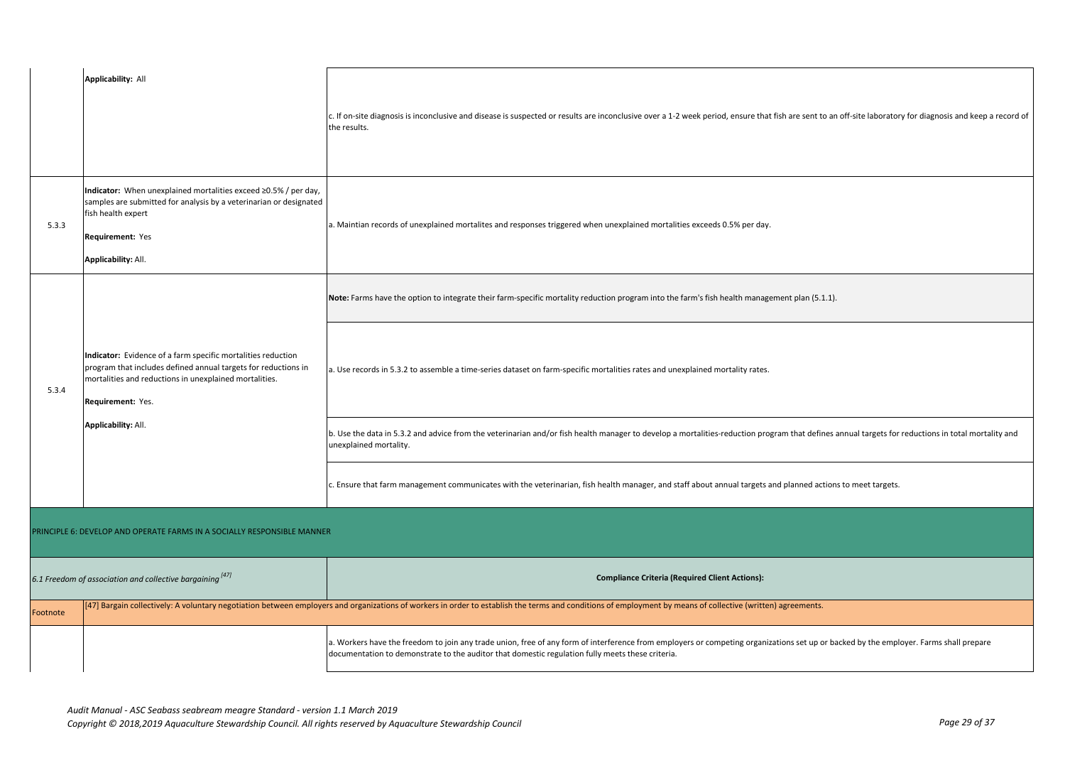|          | <b>Applicability: All</b>                                                                                                                                                                                     |                                                                                                                                                                                                                                                                                           |  |
|----------|---------------------------------------------------------------------------------------------------------------------------------------------------------------------------------------------------------------|-------------------------------------------------------------------------------------------------------------------------------------------------------------------------------------------------------------------------------------------------------------------------------------------|--|
|          |                                                                                                                                                                                                               | c. If on-site diagnosis is inconclusive and disease is suspected or results are inconclusive over a 1-2 week period, ensure that fish are sent to an off-site laboratory for diagnosis and keep a record of<br>the results.                                                               |  |
| 5.3.3    | Indicator: When unexplained mortalities exceed ≥0.5% / per day,<br>samples are submitted for analysis by a veterinarian or designated<br>fish health expert<br>Requirement: Yes<br>Applicability: All.        | a. Maintian records of unexplained mortalites and responses triggered when unexplained mortalities exceeds 0.5% per day.                                                                                                                                                                  |  |
|          |                                                                                                                                                                                                               | Note: Farms have the option to integrate their farm-specific mortality reduction program into the farm's fish health management plan (5.1.1).                                                                                                                                             |  |
| 5.3.4    | Indicator: Evidence of a farm specific mortalities reduction<br>program that includes defined annual targets for reductions in<br>mortalities and reductions in unexplained mortalities.<br>Requirement: Yes. | a. Use records in 5.3.2 to assemble a time-series dataset on farm-specific mortalities rates and unexplained mortality rates.                                                                                                                                                             |  |
|          | Applicability: All.                                                                                                                                                                                           | b. Use the data in 5.3.2 and advice from the veterinarian and/or fish health manager to develop a mortalities-reduction program that defines annual targets for reductions in total mortality and<br>unexplained mortality.                                                               |  |
|          |                                                                                                                                                                                                               | Ensure that farm management communicates with the veterinarian, fish health manager, and staff about annual targets and planned actions to meet targets.                                                                                                                                  |  |
|          | PRINCIPLE 6: DEVELOP AND OPERATE FARMS IN A SOCIALLY RESPONSIBLE MANNER                                                                                                                                       |                                                                                                                                                                                                                                                                                           |  |
|          | 6.1 Freedom of association and collective bargaining [47]                                                                                                                                                     | <b>Compliance Criteria (Required Client Actions):</b>                                                                                                                                                                                                                                     |  |
| Footnote |                                                                                                                                                                                                               | [47] Bargain collectively: A voluntary negotiation between employers and organizations of workers in order to establish the terms and conditions of employment by means of collective (written) agreements.                                                                               |  |
|          |                                                                                                                                                                                                               | a. Workers have the freedom to join any trade union, free of any form of interference from employers or competing organizations set up or backed by the employer. Farms shall prepare<br>documentation to demonstrate to the auditor that domestic regulation fully meets these criteria. |  |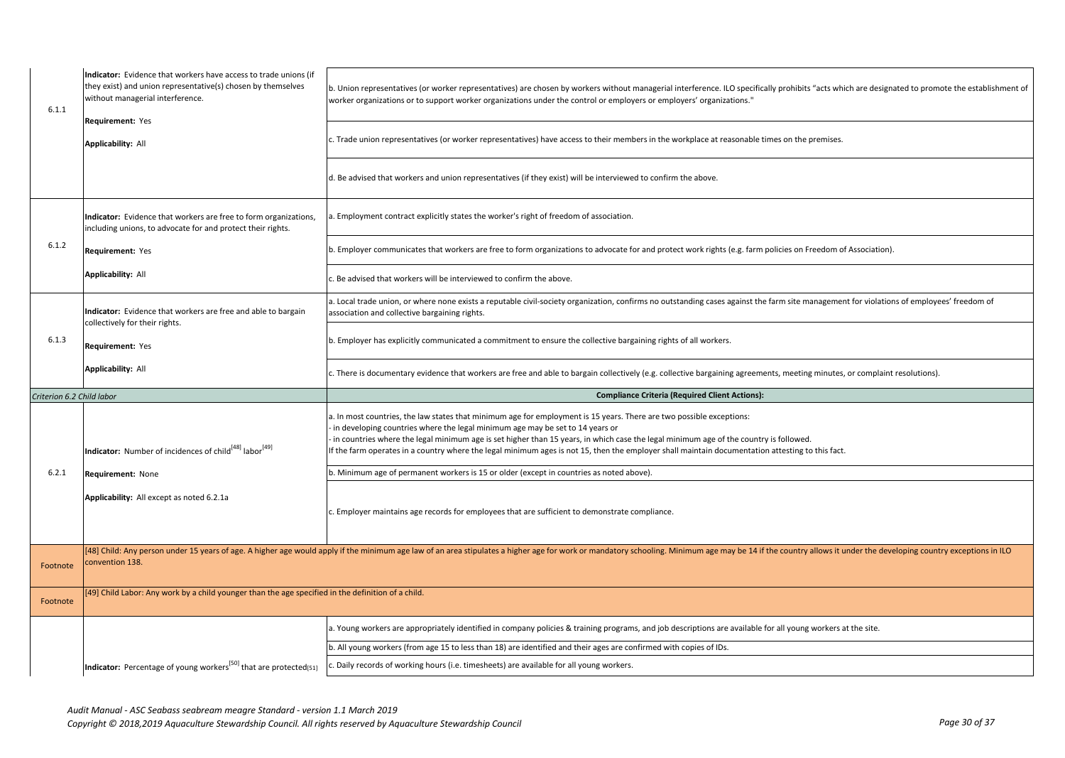| Indicator: Evidence that workers have access to trade unions (if<br>they exist) and union representative(s) chosen by themselves<br>without managerial interference.<br>worker organizations or to support worker organizations under the control or employers or employers' organizations."<br>6.1.1<br>Requirement: Yes<br><b>Applicability: All</b><br>d. Be advised that workers and union representatives (if they exist) will be interviewed to confirm the above.<br>Indicator: Evidence that workers are free to form organizations,<br>a. Employment contract explicitly states the worker's right of freedom of association.<br>including unions, to advocate for and protect their rights.<br>6.1.2<br>Requirement: Yes<br><b>Applicability: All</b><br>Be advised that workers will be interviewed to confirm the above.<br>Indicator: Evidence that workers are free and able to bargain<br>association and collective bargaining rights. |                           |                                                                                       |                                                                                                                                                                                                                                                                                                                                                                                                                                                                                                    |
|--------------------------------------------------------------------------------------------------------------------------------------------------------------------------------------------------------------------------------------------------------------------------------------------------------------------------------------------------------------------------------------------------------------------------------------------------------------------------------------------------------------------------------------------------------------------------------------------------------------------------------------------------------------------------------------------------------------------------------------------------------------------------------------------------------------------------------------------------------------------------------------------------------------------------------------------------------|---------------------------|---------------------------------------------------------------------------------------|----------------------------------------------------------------------------------------------------------------------------------------------------------------------------------------------------------------------------------------------------------------------------------------------------------------------------------------------------------------------------------------------------------------------------------------------------------------------------------------------------|
|                                                                                                                                                                                                                                                                                                                                                                                                                                                                                                                                                                                                                                                                                                                                                                                                                                                                                                                                                        |                           |                                                                                       | b. Union representatives (or worker representatives) are chosen by workers without managerial interference. ILO specifically prohibits "acts which are designated to promote the establishment of                                                                                                                                                                                                                                                                                                  |
|                                                                                                                                                                                                                                                                                                                                                                                                                                                                                                                                                                                                                                                                                                                                                                                                                                                                                                                                                        |                           |                                                                                       | Trade union representatives (or worker representatives) have access to their members in the workplace at reasonable times on the premises.                                                                                                                                                                                                                                                                                                                                                         |
|                                                                                                                                                                                                                                                                                                                                                                                                                                                                                                                                                                                                                                                                                                                                                                                                                                                                                                                                                        |                           |                                                                                       |                                                                                                                                                                                                                                                                                                                                                                                                                                                                                                    |
|                                                                                                                                                                                                                                                                                                                                                                                                                                                                                                                                                                                                                                                                                                                                                                                                                                                                                                                                                        |                           |                                                                                       |                                                                                                                                                                                                                                                                                                                                                                                                                                                                                                    |
|                                                                                                                                                                                                                                                                                                                                                                                                                                                                                                                                                                                                                                                                                                                                                                                                                                                                                                                                                        |                           |                                                                                       | b. Employer communicates that workers are free to form organizations to advocate for and protect work rights (e.g. farm policies on Freedom of Association).                                                                                                                                                                                                                                                                                                                                       |
|                                                                                                                                                                                                                                                                                                                                                                                                                                                                                                                                                                                                                                                                                                                                                                                                                                                                                                                                                        |                           |                                                                                       |                                                                                                                                                                                                                                                                                                                                                                                                                                                                                                    |
| collectively for their rights.                                                                                                                                                                                                                                                                                                                                                                                                                                                                                                                                                                                                                                                                                                                                                                                                                                                                                                                         |                           |                                                                                       | a. Local trade union, or where none exists a reputable civil-society organization, confirms no outstanding cases against the farm site management for violations of employees' freedom of                                                                                                                                                                                                                                                                                                          |
| 6.1.3<br>b. Employer has explicitly communicated a commitment to ensure the collective bargaining rights of all workers.<br>Requirement: Yes                                                                                                                                                                                                                                                                                                                                                                                                                                                                                                                                                                                                                                                                                                                                                                                                           |                           |                                                                                       |                                                                                                                                                                                                                                                                                                                                                                                                                                                                                                    |
| <b>Applicability: All</b>                                                                                                                                                                                                                                                                                                                                                                                                                                                                                                                                                                                                                                                                                                                                                                                                                                                                                                                              |                           |                                                                                       | c. There is documentary evidence that workers are free and able to bargain collectively (e.g. collective bargaining agreements, meeting minutes, or complaint resolutions).                                                                                                                                                                                                                                                                                                                        |
|                                                                                                                                                                                                                                                                                                                                                                                                                                                                                                                                                                                                                                                                                                                                                                                                                                                                                                                                                        | Criterion 6.2 Child labor |                                                                                       | <b>Compliance Criteria (Required Client Actions):</b>                                                                                                                                                                                                                                                                                                                                                                                                                                              |
|                                                                                                                                                                                                                                                                                                                                                                                                                                                                                                                                                                                                                                                                                                                                                                                                                                                                                                                                                        |                           | <b>Indicator:</b> Number of incidences of child <sup>[48]</sup> labor <sup>[49]</sup> | a. In most countries, the law states that minimum age for employment is 15 years. There are two possible exceptions:<br>in developing countries where the legal minimum age may be set to 14 years or<br>in countries where the legal minimum age is set higher than 15 years, in which case the legal minimum age of the country is followed.<br>If the farm operates in a country where the legal minimum ages is not 15, then the employer shall maintain documentation attesting to this fact. |
|                                                                                                                                                                                                                                                                                                                                                                                                                                                                                                                                                                                                                                                                                                                                                                                                                                                                                                                                                        | 6.2.1                     | Requirement: None                                                                     | b. Minimum age of permanent workers is 15 or older (except in countries as noted above).                                                                                                                                                                                                                                                                                                                                                                                                           |
|                                                                                                                                                                                                                                                                                                                                                                                                                                                                                                                                                                                                                                                                                                                                                                                                                                                                                                                                                        |                           | Applicability: All except as noted 6.2.1a                                             | c. Employer maintains age records for employees that are sufficient to demonstrate compliance.                                                                                                                                                                                                                                                                                                                                                                                                     |
|                                                                                                                                                                                                                                                                                                                                                                                                                                                                                                                                                                                                                                                                                                                                                                                                                                                                                                                                                        | Footnote                  | convention 138.                                                                       |                                                                                                                                                                                                                                                                                                                                                                                                                                                                                                    |
| [48] Child: Any person under 15 years of age. A higher age would apply if the minimum age law of an area stipulates a higher age for work or mandatory schooling. Minimum age may be 14 if the country allows it under the dev                                                                                                                                                                                                                                                                                                                                                                                                                                                                                                                                                                                                                                                                                                                         | Footnote                  |                                                                                       |                                                                                                                                                                                                                                                                                                                                                                                                                                                                                                    |
| [49] Child Labor: Any work by a child younger than the age specified in the definition of a child.                                                                                                                                                                                                                                                                                                                                                                                                                                                                                                                                                                                                                                                                                                                                                                                                                                                     |                           |                                                                                       | a. Young workers are appropriately identified in company policies & training programs, and job descriptions are available for all young workers at the site.                                                                                                                                                                                                                                                                                                                                       |
|                                                                                                                                                                                                                                                                                                                                                                                                                                                                                                                                                                                                                                                                                                                                                                                                                                                                                                                                                        |                           |                                                                                       |                                                                                                                                                                                                                                                                                                                                                                                                                                                                                                    |
| b. All young workers (from age 15 to less than 18) are identified and their ages are confirmed with copies of IDs.                                                                                                                                                                                                                                                                                                                                                                                                                                                                                                                                                                                                                                                                                                                                                                                                                                     |                           |                                                                                       |                                                                                                                                                                                                                                                                                                                                                                                                                                                                                                    |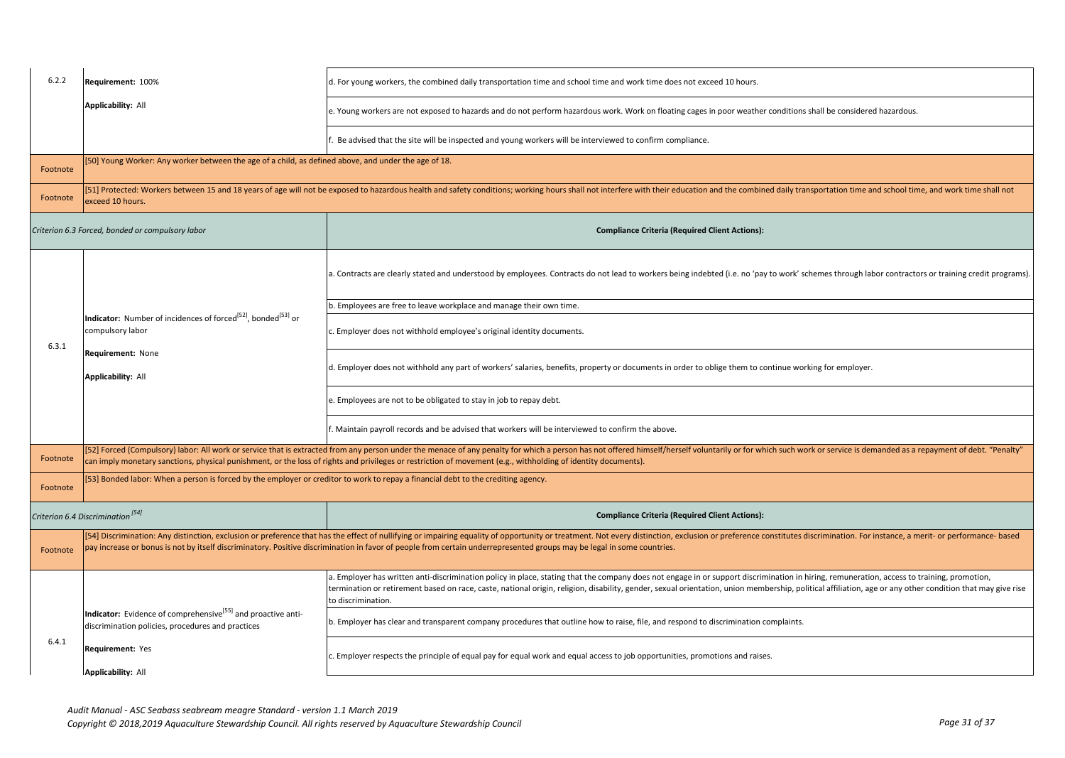| <b>Applicability: All</b><br>e. Young workers are not exposed to hazards and do not perform hazardous work. Work on floating cages in poor weather conditions shall be considered hazardous.<br>. Be advised that the site will be inspected and young workers will be interviewed to confirm compliance.<br>[50] Young Worker: Any worker between the age of a child, as defined above, and under the age of 18.<br>Footnote<br>[51] Protected: Workers between 15 and 18 years of age will not be exposed to hazardous health and safety conditions; working hours shall not interfere with their education and the combined daily transportation time and sc<br>Footnote<br>exceed 10 hours.<br>Criterion 6.3 Forced, bonded or compulsory labor<br><b>Compliance Criteria (Required Client Actions):</b><br>b. Employees are free to leave workplace and manage their own time.<br>Indicator: Number of incidences of forced <sup>[52]</sup> , bonded <sup>[53]</sup> or<br>compulsory labor<br>c. Employer does not withhold employee's original identity documents.<br>6.3.1<br>Requirement: None<br>d. Employer does not withhold any part of workers' salaries, benefits, property or documents in order to oblige them to continue working for employer.<br><b>Applicability: All</b><br>e. Employees are not to be obligated to stay in job to repay debt.<br>f. Maintain payroll records and be advised that workers will be interviewed to confirm the above.<br>[52] Forced (Compulsory) labor: All work or service that is extracted from any person under the menace of any penalty for which a person has not offered himself/herself voluntarily or for which such work or service is dema<br>Footnote<br>can imply monetary sanctions, physical punishment, or the loss of rights and privileges or restriction of movement (e.g., withholding of identity documents).<br>[53] Bonded labor: When a person is forced by the employer or creditor to work to repay a financial debt to the crediting agency.<br>Footnote<br>Criterion 6.4 Discrimination <sup>[54]</sup><br><b>Compliance Criteria (Required Client Actions):</b><br>[54] Discrimination: Any distinction, exclusion or preference that has the effect of nullifying or impairing equality of opportunity or treatment. Not every distinction, exclusion or preference constitutes discrimination.<br>pay increase or bonus is not by itself discriminatory. Positive discrimination in favor of people from certain underrepresented groups may be legal in some countries.<br>Footnote<br>a. Employer has written anti-discrimination policy in place, stating that the company does not engage in or support discrimination in hiring, remuneration, access to training, promotion,<br>to discrimination. | 6.2.2 | Requirement: 100%                                                        | d. For young workers, the combined daily transportation time and school time and work time does not exceed 10 hours.                                                                                      |
|-----------------------------------------------------------------------------------------------------------------------------------------------------------------------------------------------------------------------------------------------------------------------------------------------------------------------------------------------------------------------------------------------------------------------------------------------------------------------------------------------------------------------------------------------------------------------------------------------------------------------------------------------------------------------------------------------------------------------------------------------------------------------------------------------------------------------------------------------------------------------------------------------------------------------------------------------------------------------------------------------------------------------------------------------------------------------------------------------------------------------------------------------------------------------------------------------------------------------------------------------------------------------------------------------------------------------------------------------------------------------------------------------------------------------------------------------------------------------------------------------------------------------------------------------------------------------------------------------------------------------------------------------------------------------------------------------------------------------------------------------------------------------------------------------------------------------------------------------------------------------------------------------------------------------------------------------------------------------------------------------------------------------------------------------------------------------------------------------------------------------------------------------------------------------------------------------------------------------------------------------------------------------------------------------------------------------------------------------------------------------------------------------------------------------------------------------------------------------------------------------------------------------------------------------------------------------------------------------------------------------------------------------------------------------------------------------------------------------------------------------------------------------------------------------|-------|--------------------------------------------------------------------------|-----------------------------------------------------------------------------------------------------------------------------------------------------------------------------------------------------------|
|                                                                                                                                                                                                                                                                                                                                                                                                                                                                                                                                                                                                                                                                                                                                                                                                                                                                                                                                                                                                                                                                                                                                                                                                                                                                                                                                                                                                                                                                                                                                                                                                                                                                                                                                                                                                                                                                                                                                                                                                                                                                                                                                                                                                                                                                                                                                                                                                                                                                                                                                                                                                                                                                                                                                                                                               |       |                                                                          |                                                                                                                                                                                                           |
|                                                                                                                                                                                                                                                                                                                                                                                                                                                                                                                                                                                                                                                                                                                                                                                                                                                                                                                                                                                                                                                                                                                                                                                                                                                                                                                                                                                                                                                                                                                                                                                                                                                                                                                                                                                                                                                                                                                                                                                                                                                                                                                                                                                                                                                                                                                                                                                                                                                                                                                                                                                                                                                                                                                                                                                               |       |                                                                          |                                                                                                                                                                                                           |
|                                                                                                                                                                                                                                                                                                                                                                                                                                                                                                                                                                                                                                                                                                                                                                                                                                                                                                                                                                                                                                                                                                                                                                                                                                                                                                                                                                                                                                                                                                                                                                                                                                                                                                                                                                                                                                                                                                                                                                                                                                                                                                                                                                                                                                                                                                                                                                                                                                                                                                                                                                                                                                                                                                                                                                                               |       |                                                                          |                                                                                                                                                                                                           |
|                                                                                                                                                                                                                                                                                                                                                                                                                                                                                                                                                                                                                                                                                                                                                                                                                                                                                                                                                                                                                                                                                                                                                                                                                                                                                                                                                                                                                                                                                                                                                                                                                                                                                                                                                                                                                                                                                                                                                                                                                                                                                                                                                                                                                                                                                                                                                                                                                                                                                                                                                                                                                                                                                                                                                                                               |       |                                                                          |                                                                                                                                                                                                           |
|                                                                                                                                                                                                                                                                                                                                                                                                                                                                                                                                                                                                                                                                                                                                                                                                                                                                                                                                                                                                                                                                                                                                                                                                                                                                                                                                                                                                                                                                                                                                                                                                                                                                                                                                                                                                                                                                                                                                                                                                                                                                                                                                                                                                                                                                                                                                                                                                                                                                                                                                                                                                                                                                                                                                                                                               |       |                                                                          |                                                                                                                                                                                                           |
|                                                                                                                                                                                                                                                                                                                                                                                                                                                                                                                                                                                                                                                                                                                                                                                                                                                                                                                                                                                                                                                                                                                                                                                                                                                                                                                                                                                                                                                                                                                                                                                                                                                                                                                                                                                                                                                                                                                                                                                                                                                                                                                                                                                                                                                                                                                                                                                                                                                                                                                                                                                                                                                                                                                                                                                               |       |                                                                          | a. Contracts are clearly stated and understood by employees. Contracts do not lead to workers being indebted (i.e. no 'pay to work' schemes through labor contractors or training credit programs).       |
|                                                                                                                                                                                                                                                                                                                                                                                                                                                                                                                                                                                                                                                                                                                                                                                                                                                                                                                                                                                                                                                                                                                                                                                                                                                                                                                                                                                                                                                                                                                                                                                                                                                                                                                                                                                                                                                                                                                                                                                                                                                                                                                                                                                                                                                                                                                                                                                                                                                                                                                                                                                                                                                                                                                                                                                               |       |                                                                          |                                                                                                                                                                                                           |
|                                                                                                                                                                                                                                                                                                                                                                                                                                                                                                                                                                                                                                                                                                                                                                                                                                                                                                                                                                                                                                                                                                                                                                                                                                                                                                                                                                                                                                                                                                                                                                                                                                                                                                                                                                                                                                                                                                                                                                                                                                                                                                                                                                                                                                                                                                                                                                                                                                                                                                                                                                                                                                                                                                                                                                                               |       |                                                                          |                                                                                                                                                                                                           |
|                                                                                                                                                                                                                                                                                                                                                                                                                                                                                                                                                                                                                                                                                                                                                                                                                                                                                                                                                                                                                                                                                                                                                                                                                                                                                                                                                                                                                                                                                                                                                                                                                                                                                                                                                                                                                                                                                                                                                                                                                                                                                                                                                                                                                                                                                                                                                                                                                                                                                                                                                                                                                                                                                                                                                                                               |       |                                                                          |                                                                                                                                                                                                           |
|                                                                                                                                                                                                                                                                                                                                                                                                                                                                                                                                                                                                                                                                                                                                                                                                                                                                                                                                                                                                                                                                                                                                                                                                                                                                                                                                                                                                                                                                                                                                                                                                                                                                                                                                                                                                                                                                                                                                                                                                                                                                                                                                                                                                                                                                                                                                                                                                                                                                                                                                                                                                                                                                                                                                                                                               |       |                                                                          |                                                                                                                                                                                                           |
|                                                                                                                                                                                                                                                                                                                                                                                                                                                                                                                                                                                                                                                                                                                                                                                                                                                                                                                                                                                                                                                                                                                                                                                                                                                                                                                                                                                                                                                                                                                                                                                                                                                                                                                                                                                                                                                                                                                                                                                                                                                                                                                                                                                                                                                                                                                                                                                                                                                                                                                                                                                                                                                                                                                                                                                               |       |                                                                          |                                                                                                                                                                                                           |
|                                                                                                                                                                                                                                                                                                                                                                                                                                                                                                                                                                                                                                                                                                                                                                                                                                                                                                                                                                                                                                                                                                                                                                                                                                                                                                                                                                                                                                                                                                                                                                                                                                                                                                                                                                                                                                                                                                                                                                                                                                                                                                                                                                                                                                                                                                                                                                                                                                                                                                                                                                                                                                                                                                                                                                                               |       |                                                                          |                                                                                                                                                                                                           |
|                                                                                                                                                                                                                                                                                                                                                                                                                                                                                                                                                                                                                                                                                                                                                                                                                                                                                                                                                                                                                                                                                                                                                                                                                                                                                                                                                                                                                                                                                                                                                                                                                                                                                                                                                                                                                                                                                                                                                                                                                                                                                                                                                                                                                                                                                                                                                                                                                                                                                                                                                                                                                                                                                                                                                                                               |       |                                                                          |                                                                                                                                                                                                           |
|                                                                                                                                                                                                                                                                                                                                                                                                                                                                                                                                                                                                                                                                                                                                                                                                                                                                                                                                                                                                                                                                                                                                                                                                                                                                                                                                                                                                                                                                                                                                                                                                                                                                                                                                                                                                                                                                                                                                                                                                                                                                                                                                                                                                                                                                                                                                                                                                                                                                                                                                                                                                                                                                                                                                                                                               |       |                                                                          |                                                                                                                                                                                                           |
|                                                                                                                                                                                                                                                                                                                                                                                                                                                                                                                                                                                                                                                                                                                                                                                                                                                                                                                                                                                                                                                                                                                                                                                                                                                                                                                                                                                                                                                                                                                                                                                                                                                                                                                                                                                                                                                                                                                                                                                                                                                                                                                                                                                                                                                                                                                                                                                                                                                                                                                                                                                                                                                                                                                                                                                               |       |                                                                          |                                                                                                                                                                                                           |
|                                                                                                                                                                                                                                                                                                                                                                                                                                                                                                                                                                                                                                                                                                                                                                                                                                                                                                                                                                                                                                                                                                                                                                                                                                                                                                                                                                                                                                                                                                                                                                                                                                                                                                                                                                                                                                                                                                                                                                                                                                                                                                                                                                                                                                                                                                                                                                                                                                                                                                                                                                                                                                                                                                                                                                                               |       |                                                                          | termination or retirement based on race, caste, national origin, religion, disability, gender, sexual orientation, union membership, political affiliation, age or any other condition that may give rise |
| b. Employer has clear and transparent company procedures that outline how to raise, file, and respond to discrimination complaints.<br>discrimination policies, procedures and practices                                                                                                                                                                                                                                                                                                                                                                                                                                                                                                                                                                                                                                                                                                                                                                                                                                                                                                                                                                                                                                                                                                                                                                                                                                                                                                                                                                                                                                                                                                                                                                                                                                                                                                                                                                                                                                                                                                                                                                                                                                                                                                                                                                                                                                                                                                                                                                                                                                                                                                                                                                                                      |       | Indicator: Evidence of comprehensive <sup>[55]</sup> and proactive anti- |                                                                                                                                                                                                           |
| 6.4.1<br>Requirement: Yes<br>Employer respects the principle of equal pay for equal work and equal access to job opportunities, promotions and raises.<br><b>Applicability: All</b>                                                                                                                                                                                                                                                                                                                                                                                                                                                                                                                                                                                                                                                                                                                                                                                                                                                                                                                                                                                                                                                                                                                                                                                                                                                                                                                                                                                                                                                                                                                                                                                                                                                                                                                                                                                                                                                                                                                                                                                                                                                                                                                                                                                                                                                                                                                                                                                                                                                                                                                                                                                                           |       |                                                                          |                                                                                                                                                                                                           |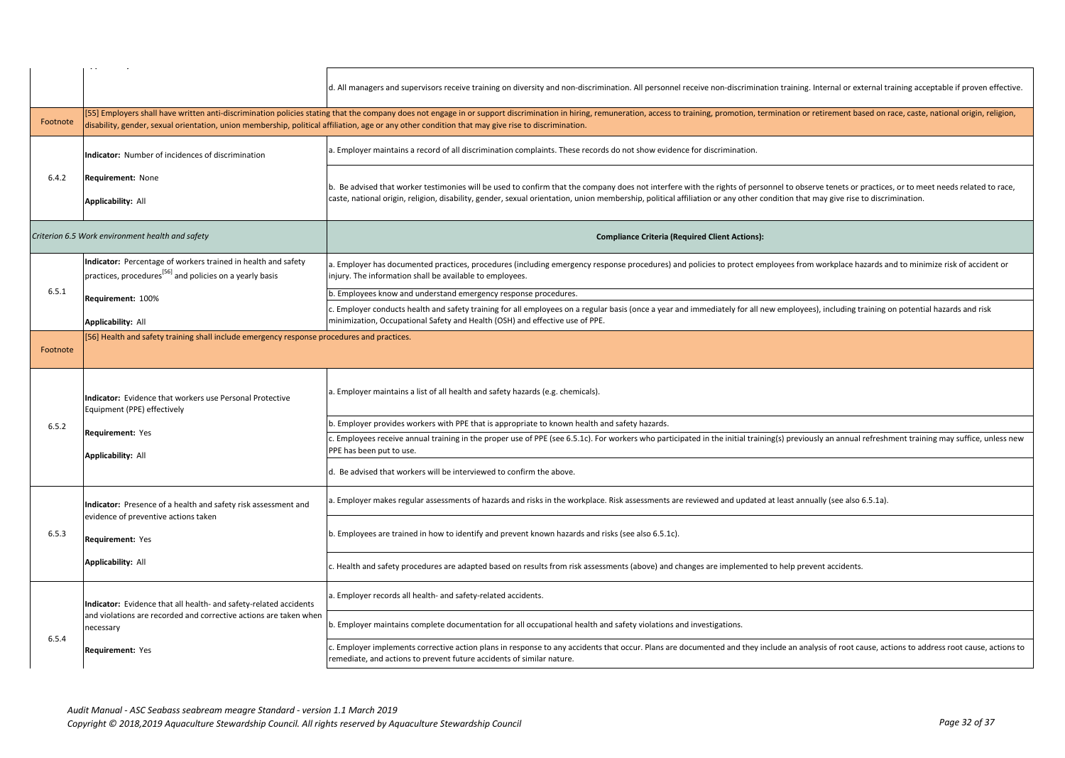|          |                                                                                                                                       | d. All managers and supervisors receive training on diversity and non-discrimination. All personnel receive non-discrimination training. Internal or external training acceptable if proven effective.                                                                                                                                                                              |
|----------|---------------------------------------------------------------------------------------------------------------------------------------|-------------------------------------------------------------------------------------------------------------------------------------------------------------------------------------------------------------------------------------------------------------------------------------------------------------------------------------------------------------------------------------|
| Footnote |                                                                                                                                       | [55] Employers shall have written anti-discrimination policies stating that the company does not engage in or support discrimination in hiring, remuneration, access to training, promotion, termination or retirement based o<br>disability, gender, sexual orientation, union membership, political affiliation, age or any other condition that may give rise to discrimination. |
|          | Indicator: Number of incidences of discrimination                                                                                     | a. Employer maintains a record of all discrimination complaints. These records do not show evidence for discrimination.                                                                                                                                                                                                                                                             |
| 6.4.2    | Requirement: None<br><b>Applicability: All</b>                                                                                        | b. Be advised that worker testimonies will be used to confirm that the company does not interfere with the rights of personnel to observe tenets or practices, or to meet needs related to race,<br>caste, national origin, religion, disability, gender, sexual orientation, union membership, political affiliation or any other condition that may give rise to discrimination.  |
|          | Criterion 6.5 Work environment health and safety                                                                                      | <b>Compliance Criteria (Required Client Actions):</b>                                                                                                                                                                                                                                                                                                                               |
|          | Indicator: Percentage of workers trained in health and safety<br>practices, procedures <sup>[56]</sup> and policies on a yearly basis | Employer has documented practices, procedures (including emergency response procedures) and policies to protect employees from workplace hazards and to minimize risk of accident or<br>injury. The information shall be available to employees.                                                                                                                                    |
| 6.5.1    | Requirement: 100%                                                                                                                     | b. Employees know and understand emergency response procedures.                                                                                                                                                                                                                                                                                                                     |
|          | <b>Applicability: All</b>                                                                                                             | Employer conducts health and safety training for all employees on a regular basis (once a year and immediately for all new employees), including training on potential hazards and risk<br>minimization, Occupational Safety and Health (OSH) and effective use of PPE.                                                                                                             |
| Footnote | 56] Health and safety training shall include emergency response procedures and practices.                                             |                                                                                                                                                                                                                                                                                                                                                                                     |
|          |                                                                                                                                       |                                                                                                                                                                                                                                                                                                                                                                                     |
|          | Indicator: Evidence that workers use Personal Protective<br>Equipment (PPE) effectively                                               | . Employer maintains a list of all health and safety hazards (e.g. chemicals).                                                                                                                                                                                                                                                                                                      |
| 6.5.2    |                                                                                                                                       | . Employer provides workers with PPE that is appropriate to known health and safety hazards.                                                                                                                                                                                                                                                                                        |
|          | Requirement: Yes                                                                                                                      | Employees receive annual training in the proper use of PPE (see 6.5.1c). For workers who participated in the initial training(s) previously an annual refreshment training may suffice, unless new<br>PPE has been put to use.                                                                                                                                                      |
|          | <b>Applicability: All</b>                                                                                                             | d. Be advised that workers will be interviewed to confirm the above.                                                                                                                                                                                                                                                                                                                |
|          | Indicator: Presence of a health and safety risk assessment and                                                                        | . Employer makes regular assessments of hazards and risks in the workplace. Risk assessments are reviewed and updated at least annually (see also 6.5.1a).                                                                                                                                                                                                                          |
| 6.5.3    | evidence of preventive actions taken<br><b>Requirement: Yes</b>                                                                       | b. Employees are trained in how to identify and prevent known hazards and risks (see also 6.5.1c).                                                                                                                                                                                                                                                                                  |
|          | <b>Applicability: All</b>                                                                                                             | Health and safety procedures are adapted based on results from risk assessments (above) and changes are implemented to help prevent accidents.                                                                                                                                                                                                                                      |
|          | Indicator: Evidence that all health- and safety-related accidents                                                                     | . Employer records all health- and safety-related accidents.                                                                                                                                                                                                                                                                                                                        |
| 6.5.4    | and violations are recorded and corrective actions are taken when<br>necessary                                                        | b. Employer maintains complete documentation for all occupational health and safety violations and investigations.                                                                                                                                                                                                                                                                  |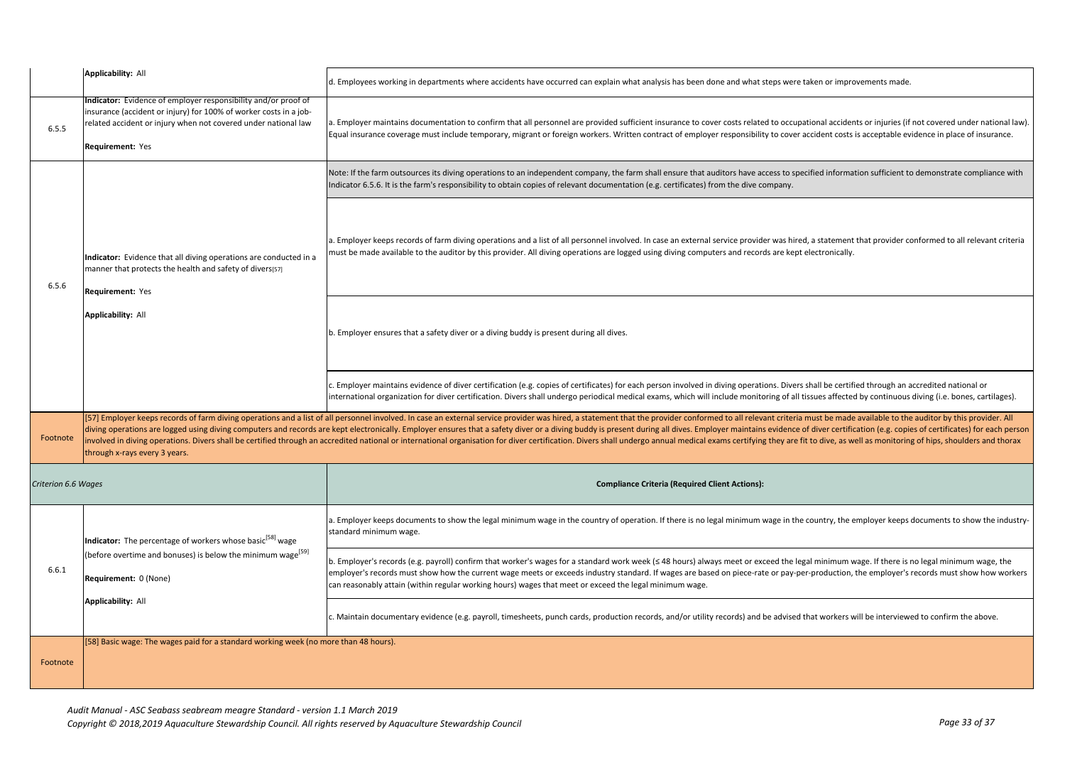|                     | <b>Applicability: All</b>                                                                                                                                                                                                 | d. Employees working in departments where accidents have occurred can explain what analysis has been done and what steps were taken or improvements made.                                                                                                                                                                                                                                                                                                                                                                                                                                                                                                                                          |
|---------------------|---------------------------------------------------------------------------------------------------------------------------------------------------------------------------------------------------------------------------|----------------------------------------------------------------------------------------------------------------------------------------------------------------------------------------------------------------------------------------------------------------------------------------------------------------------------------------------------------------------------------------------------------------------------------------------------------------------------------------------------------------------------------------------------------------------------------------------------------------------------------------------------------------------------------------------------|
| 6.5.5               | Indicator: Evidence of employer responsibility and/or proof of<br>insurance (accident or injury) for 100% of worker costs in a job-<br>related accident or injury when not covered under national law<br>Requirement: Yes | a. Employer maintains documentation to confirm that all personnel are provided sufficient insurance to cover costs related to occupational accidents or injuries (if not covered under national law).<br>Equal insurance coverage must include temporary, migrant or foreign workers. Written contract of employer responsibility to cover accident costs is acceptable evidence in place of insurance.                                                                                                                                                                                                                                                                                            |
|                     |                                                                                                                                                                                                                           | Note: If the farm outsources its diving operations to an independent company, the farm shall ensure that auditors have access to specified information sufficient to demonstrate compliance with<br>Indicator 6.5.6. It is the farm's responsibility to obtain copies of relevant documentation (e.g. certificates) from the dive company.                                                                                                                                                                                                                                                                                                                                                         |
| 6.5.6               | Indicator: Evidence that all diving operations are conducted in a<br>manner that protects the health and safety of divers[57]<br>Requirement: Yes                                                                         | a. Employer keeps records of farm diving operations and a list of all personnel involved. In case an external service provider was hired, a statement that provider conformed to all relevant criteria<br>must be made available to the auditor by this provider. All diving operations are logged using diving computers and records are kept electronically.                                                                                                                                                                                                                                                                                                                                     |
|                     | Applicability: All                                                                                                                                                                                                        | b. Employer ensures that a safety diver or a diving buddy is present during all dives.                                                                                                                                                                                                                                                                                                                                                                                                                                                                                                                                                                                                             |
|                     |                                                                                                                                                                                                                           | c. Employer maintains evidence of diver certification (e.g. copies of certificates) for each person involved in diving operations. Divers shall be certified through an accredited national or<br>international organization for diver certification. Divers shall undergo periodical medical exams, which will include monitoring of all tissues affected by continuous diving (i.e. bones, cartilages).                                                                                                                                                                                                                                                                                          |
| Footnote            | through x-rays every 3 years.                                                                                                                                                                                             | [57] Employer keeps records of farm diving operations and a list of all personnel involved. In case an external service provider was hired, a statement that the provider conformed to all relevant criteria must be made avai<br>diving operations are logged using diving computers and records are kept electronically. Employer ensures that a safety diver or a diving buddy is present during all dives. Employer maintains evidence of diver certificatio<br>involved in diving operations. Divers shall be certified through an accredited national or international organisation for diver certification. Divers shall undergo annual medical exams certifying they are fit to dive, as w |
| Criterion 6.6 Wages |                                                                                                                                                                                                                           | <b>Compliance Criteria (Required Client Actions):</b>                                                                                                                                                                                                                                                                                                                                                                                                                                                                                                                                                                                                                                              |
|                     | Indicator: The percentage of workers whose basic <sup>1581</sup> wage<br>(before overtime and bonuses) is below the minimum wage <sup>[59]</sup><br>Requirement: 0 (None)                                                 | a. Employer keeps documents to show the legal minimum wage in the country of operation. If there is no legal minimum wage in the country, the employer keeps documents to show the industry-<br>standard minimum wage.                                                                                                                                                                                                                                                                                                                                                                                                                                                                             |
| 6.6.1               |                                                                                                                                                                                                                           | b. Employer's records (e.g. payroll) confirm that worker's wages for a standard work week (≤ 48 hours) always meet or exceed the legal minimum wage. If there is no legal minimum wage, the<br>employer's records must show how the current wage meets or exceeds industry standard. If wages are based on piece-rate or pay-per-production, the employer's records must show how workers<br>can reasonably attain (within regular working hours) wages that meet or exceed the legal minimum wage.                                                                                                                                                                                                |
|                     | <b>Applicability: All</b>                                                                                                                                                                                                 | c. Maintain documentary evidence (e.g. payroll, timesheets, punch cards, production records, and/or utility records) and be advised that workers will be interviewed to confirm the above.                                                                                                                                                                                                                                                                                                                                                                                                                                                                                                         |
| Footnote            | [58] Basic wage: The wages paid for a standard working week (no more than 48 hours).                                                                                                                                      |                                                                                                                                                                                                                                                                                                                                                                                                                                                                                                                                                                                                                                                                                                    |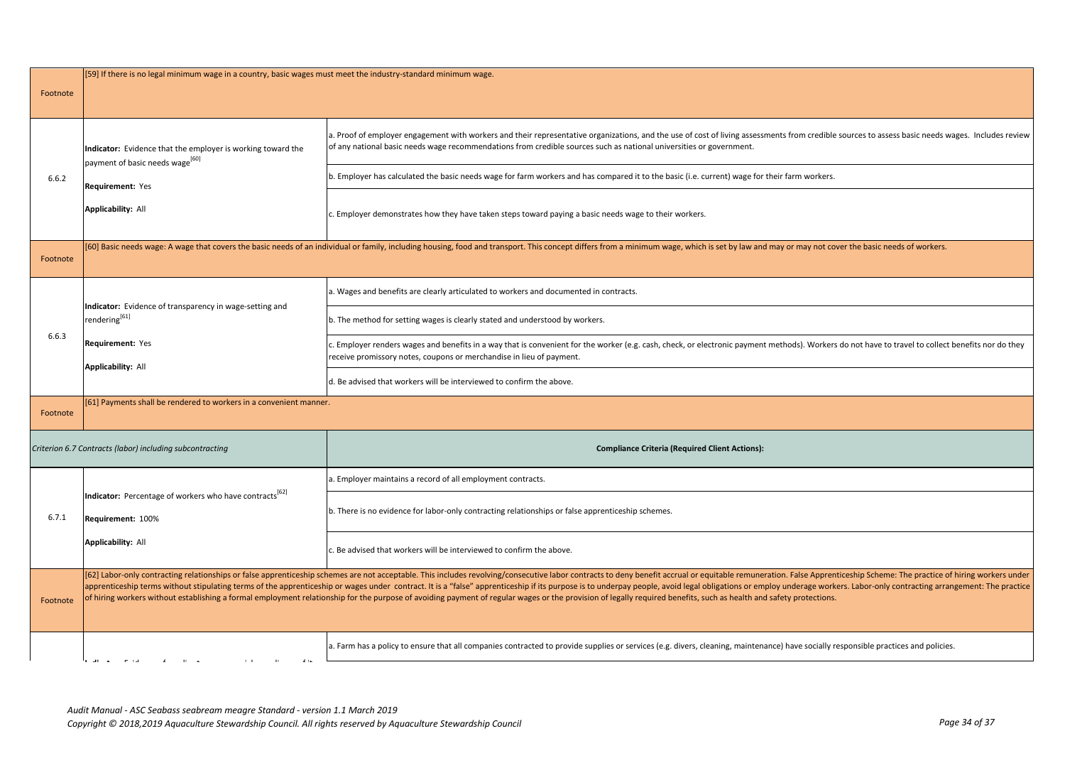| Footnote | [59] If there is no legal minimum wage in a country, basic wages must meet the industry-standard minimum wage. |                                                                                                                                                                                                                                                                                                                                                                                                                                                                                                                                                                                                                                                                                        |
|----------|----------------------------------------------------------------------------------------------------------------|----------------------------------------------------------------------------------------------------------------------------------------------------------------------------------------------------------------------------------------------------------------------------------------------------------------------------------------------------------------------------------------------------------------------------------------------------------------------------------------------------------------------------------------------------------------------------------------------------------------------------------------------------------------------------------------|
|          | Indicator: Evidence that the employer is working toward the                                                    | a. Proof of employer engagement with workers and their representative organizations, and the use of cost of living assessments from credible sources to assess basic needs wages. Includes review<br>of any national basic needs wage recommendations from credible sources such as national universities or government.                                                                                                                                                                                                                                                                                                                                                               |
| 6.6.2    | payment of basic needs wage <sup>[60]</sup><br>Requirement: Yes<br><b>Applicability: All</b>                   | b. Employer has calculated the basic needs wage for farm workers and has compared it to the basic (i.e. current) wage for their farm workers.                                                                                                                                                                                                                                                                                                                                                                                                                                                                                                                                          |
|          |                                                                                                                | c. Employer demonstrates how they have taken steps toward paying a basic needs wage to their workers.                                                                                                                                                                                                                                                                                                                                                                                                                                                                                                                                                                                  |
| Footnote |                                                                                                                | [60] Basic needs wage: A wage that covers the basic needs of an individual or family, including housing, food and transport. This concept differs from a minimum wage, which is set by law and may or may not cover the basic                                                                                                                                                                                                                                                                                                                                                                                                                                                          |
|          |                                                                                                                | a. Wages and benefits are clearly articulated to workers and documented in contracts.                                                                                                                                                                                                                                                                                                                                                                                                                                                                                                                                                                                                  |
|          | Indicator: Evidence of transparency in wage-setting and<br>rendering $^{[61]}$                                 | b. The method for setting wages is clearly stated and understood by workers.                                                                                                                                                                                                                                                                                                                                                                                                                                                                                                                                                                                                           |
| 6.6.3    | Requirement: Yes                                                                                               | c. Employer renders wages and benefits in a way that is convenient for the worker (e.g. cash, check, or electronic payment methods). Workers do not have to travel to collect benefits nor do they<br>eceive promissory notes, coupons or merchandise in lieu of payment.                                                                                                                                                                                                                                                                                                                                                                                                              |
|          | <b>Applicability: All</b>                                                                                      | d. Be advised that workers will be interviewed to confirm the above.                                                                                                                                                                                                                                                                                                                                                                                                                                                                                                                                                                                                                   |
| Footnote | [61] Payments shall be rendered to workers in a convenient manner.                                             |                                                                                                                                                                                                                                                                                                                                                                                                                                                                                                                                                                                                                                                                                        |
|          | Criterion 6.7 Contracts (labor) including subcontracting                                                       | <b>Compliance Criteria (Required Client Actions):</b>                                                                                                                                                                                                                                                                                                                                                                                                                                                                                                                                                                                                                                  |
|          |                                                                                                                | a. Employer maintains a record of all employment contracts.                                                                                                                                                                                                                                                                                                                                                                                                                                                                                                                                                                                                                            |
| 6.7.1    | Indicator: Percentage of workers who have contracts <sup>1b2</sup><br>Requirement: 100%                        | b. There is no evidence for labor-only contracting relationships or false apprenticeship schemes.                                                                                                                                                                                                                                                                                                                                                                                                                                                                                                                                                                                      |
|          | <b>Applicability: All</b>                                                                                      | c. Be advised that workers will be interviewed to confirm the above.                                                                                                                                                                                                                                                                                                                                                                                                                                                                                                                                                                                                                   |
| Footnote |                                                                                                                | [62] Labor-only contracting relationships or false apprenticeship schemes are not acceptable. This includes revolving/consecutive labor contracts to deny benefit accrual or equitable remuneration. False Apprenticeship Sche<br>apprenticeship terms without stipulating terms of the apprenticeship or wages under contract. It is a "false" apprenticeship if its purpose is to underpay people, avoid legal obligations or employ underage workers. Labor-o<br>of hiring workers without establishing a formal employment relationship for the purpose of avoiding payment of regular wages or the provision of legally required benefits, such as health and safety protections. |
|          | $\ddot{\phantom{0}}$                                                                                           | a. Farm has a policy to ensure that all companies contracted to provide supplies or services (e.g. divers, cleaning, maintenance) have socially responsible practices and policies.                                                                                                                                                                                                                                                                                                                                                                                                                                                                                                    |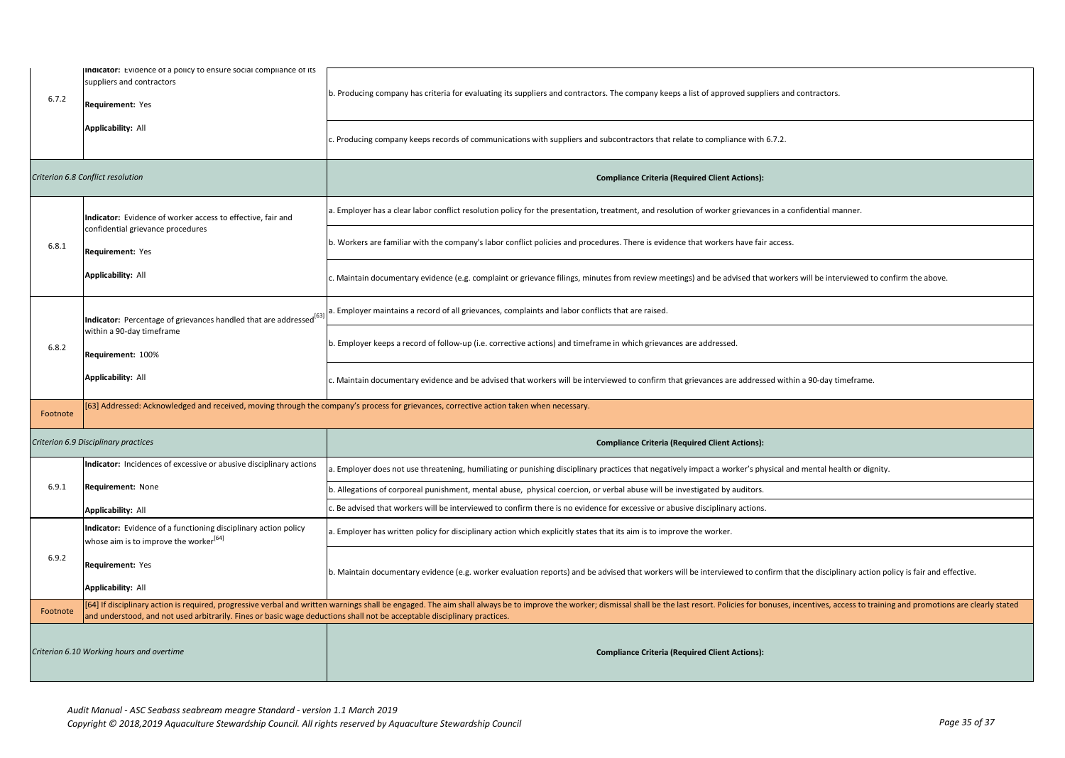| 6.7.2                                     | Indicator: Evidence of a policy to ensure social compliance of its<br>suppliers and contractors<br>Requirement: Yes      | b. Producing company has criteria for evaluating its suppliers and contractors. The company keeps a list of approved suppliers and contractors.                                                                                |
|-------------------------------------------|--------------------------------------------------------------------------------------------------------------------------|--------------------------------------------------------------------------------------------------------------------------------------------------------------------------------------------------------------------------------|
|                                           | Applicability: All                                                                                                       | c. Producing company keeps records of communications with suppliers and subcontractors that relate to compliance with 6.7.2.                                                                                                   |
|                                           | Criterion 6.8 Conflict resolution                                                                                        | <b>Compliance Criteria (Required Client Actions):</b>                                                                                                                                                                          |
|                                           | Indicator: Evidence of worker access to effective, fair and                                                              | a. Employer has a clear labor conflict resolution policy for the presentation, treatment, and resolution of worker grievances in a confidential manner.                                                                        |
| 6.8.1                                     | confidential grievance procedures<br>Requirement: Yes                                                                    | b. Workers are familiar with the company's labor conflict policies and procedures. There is evidence that workers have fair access.                                                                                            |
|                                           | <b>Applicability: All</b>                                                                                                | . Maintain documentary evidence (e.g. complaint or grievance filings, minutes from review meetings) and be advised that workers will be interviewed to confirm the above.                                                      |
|                                           | Indicator: Percentage of grievances handled that are addressed <sup>[63</sup>                                            | . Employer maintains a record of all grievances, complaints and labor conflicts that are raised.                                                                                                                               |
| 6.8.2                                     | within a 90-day timeframe<br>Requirement: 100%                                                                           | ). Employer keeps a record of follow-up (i.e. corrective actions) and timeframe in which grievances are addressed.                                                                                                             |
|                                           | <b>Applicability: All</b>                                                                                                | c. Maintain documentary evidence and be advised that workers will be interviewed to confirm that grievances are addressed within a 90-day timeframe.                                                                           |
| Footnote                                  |                                                                                                                          | [63] Addressed: Acknowledged and received, moving through the company's process for grievances, corrective action taken when necessary.                                                                                        |
|                                           | Criterion 6.9 Disciplinary practices                                                                                     | <b>Compliance Criteria (Required Client Actions):</b>                                                                                                                                                                          |
|                                           | Indicator: Incidences of excessive or abusive disciplinary actions                                                       | . Employer does not use threatening, humiliating or punishing disciplinary practices that negatively impact a worker's physical and mental health or dignity.                                                                  |
| 6.9.1                                     | Requirement: None                                                                                                        | o. Allegations of corporeal punishment, mental abuse, physical coercion, or verbal abuse will be investigated by auditors.                                                                                                     |
|                                           | <b>Applicability: All</b>                                                                                                | . Be advised that workers will be interviewed to confirm there is no evidence for excessive or abusive disciplinary actions.                                                                                                   |
|                                           | Indicator: Evidence of a functioning disciplinary action policy<br>whose aim is to improve the worker <sup>[64]</sup>    | . Employer has written policy for disciplinary action which explicitly states that its aim is to improve the worker.                                                                                                           |
| 6.9.2                                     | Requirement: Yes                                                                                                         | b. Maintain documentary evidence (e.g. worker evaluation reports) and be advised that workers will be interviewed to confirm that the disciplinary action policy is fair and effective.                                        |
|                                           | <b>Applicability: All</b>                                                                                                |                                                                                                                                                                                                                                |
| Footnote                                  | and understood, and not used arbitrarily. Fines or basic wage deductions shall not be acceptable disciplinary practices. | [64] If disciplinary action is required, progressive verbal and written warnings shall be engaged. The aim shall always be to improve the worker; dismissal shall be the last resort. Policies for bonuses, incentives, access |
| Criterion 6.10 Working hours and overtime |                                                                                                                          | <b>Compliance Criteria (Required Client Actions):</b>                                                                                                                                                                          |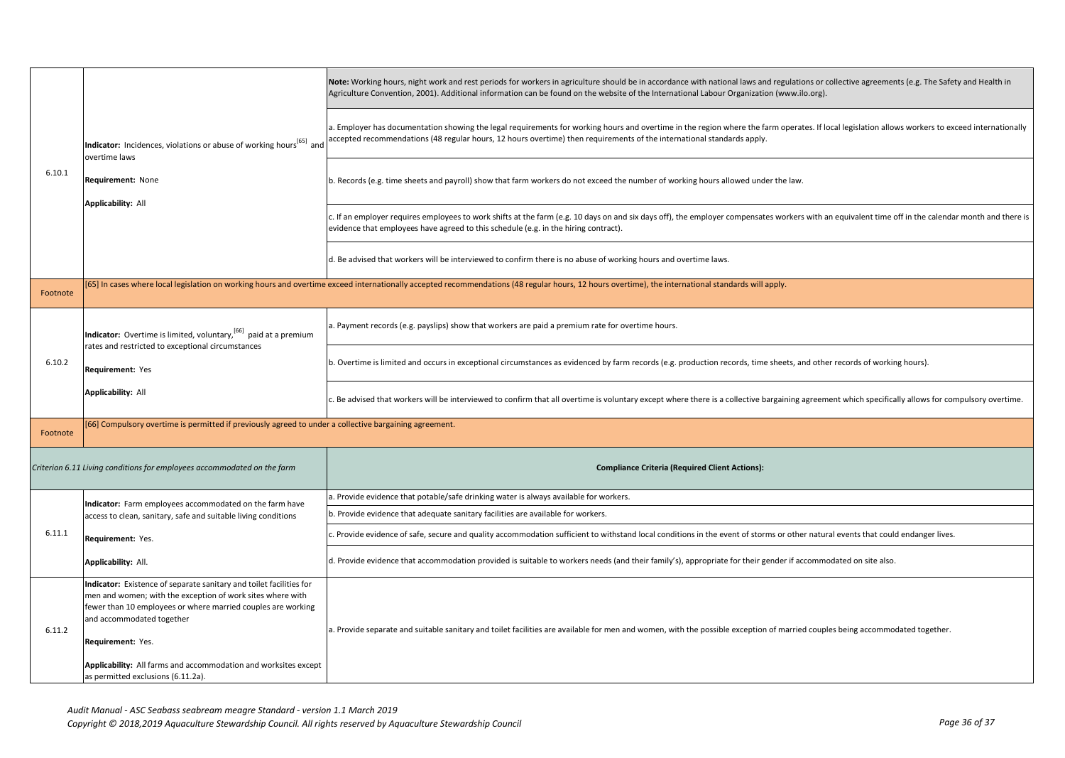|          | Indicator: Incidences, violations or abuse of working hours <sup>[65]</sup> and<br>overtime laws<br><b>Requirement: None</b><br><b>Applicability: All</b>                                                                                                                                                              | Note: Working hours, night work and rest periods for workers in agriculture should be in accordance with national laws and regulations or collective agreements (e.g. The Safety and Health in<br>Agriculture Convention, 2001). Additional information can be found on the website of the International Labour Organization (www.ilo.org). |
|----------|------------------------------------------------------------------------------------------------------------------------------------------------------------------------------------------------------------------------------------------------------------------------------------------------------------------------|---------------------------------------------------------------------------------------------------------------------------------------------------------------------------------------------------------------------------------------------------------------------------------------------------------------------------------------------|
|          |                                                                                                                                                                                                                                                                                                                        | a. Employer has documentation showing the legal requirements for working hours and overtime in the region where the farm operates. If local legislation allows workers to exceed internationally<br>accepted recommendations (48 regular hours, 12 hours overtime) then requirements of the international standards apply.                  |
| 6.10.1   |                                                                                                                                                                                                                                                                                                                        | b. Records (e.g. time sheets and payroll) show that farm workers do not exceed the number of working hours allowed under the law.                                                                                                                                                                                                           |
|          |                                                                                                                                                                                                                                                                                                                        | c. If an employer requires employees to work shifts at the farm (e.g. 10 days on and six days off), the employer compensates workers with an equivalent time off in the calendar month and there is<br>evidence that employees have agreed to this schedule (e.g. in the hiring contract).                                                  |
|          |                                                                                                                                                                                                                                                                                                                        | d. Be advised that workers will be interviewed to confirm there is no abuse of working hours and overtime laws.                                                                                                                                                                                                                             |
| Footnote |                                                                                                                                                                                                                                                                                                                        | [65] In cases where local legislation on working hours and overtime exceed internationally accepted recommendations (48 regular hours, 12 hours overtime), the international standards will apply.                                                                                                                                          |
|          | Indicator: Overtime is limited, voluntary, [66] paid at a premium<br>rates and restricted to exceptional circumstances                                                                                                                                                                                                 | a. Payment records (e.g. payslips) show that workers are paid a premium rate for overtime hours.                                                                                                                                                                                                                                            |
| 6.10.2   | Requirement: Yes                                                                                                                                                                                                                                                                                                       | b. Overtime is limited and occurs in exceptional circumstances as evidenced by farm records (e.g. production records, time sheets, and other records of working hours).                                                                                                                                                                     |
|          | <b>Applicability: All</b>                                                                                                                                                                                                                                                                                              | c. Be advised that workers will be interviewed to confirm that all overtime is voluntary except where there is a collective bargaining agreement which specifically allows for compulsory overtime.                                                                                                                                         |
| Footnote | [66] Compulsory overtime is permitted if previously agreed to under a collective bargaining agreement.                                                                                                                                                                                                                 |                                                                                                                                                                                                                                                                                                                                             |
|          | Criterion 6.11 Living conditions for employees accommodated on the farm                                                                                                                                                                                                                                                | <b>Compliance Criteria (Required Client Actions):</b>                                                                                                                                                                                                                                                                                       |
|          | Indicator: Farm employees accommodated on the farm have                                                                                                                                                                                                                                                                | a. Provide evidence that potable/safe drinking water is always available for workers.                                                                                                                                                                                                                                                       |
|          | access to clean, sanitary, safe and suitable living conditions                                                                                                                                                                                                                                                         | b. Provide evidence that adequate sanitary facilities are available for workers.                                                                                                                                                                                                                                                            |
| 6.11.1   | Requirement: Yes.                                                                                                                                                                                                                                                                                                      | c. Provide evidence of safe, secure and quality accommodation sufficient to withstand local conditions in the event of storms or other natural events that could endanger lives.                                                                                                                                                            |
|          | Applicability: All.                                                                                                                                                                                                                                                                                                    | d. Provide evidence that accommodation provided is suitable to workers needs (and their family's), appropriate for their gender if accommodated on site also.                                                                                                                                                                               |
| 6.11.2   | Indicator: Existence of separate sanitary and toilet facilities for<br>men and women; with the exception of work sites where with<br>fewer than 10 employees or where married couples are working<br>and accommodated together<br>Requirement: Yes.<br>Applicability: All farms and accommodation and worksites except | a. Provide separate and suitable sanitary and toilet facilities are available for men and women, with the possible exception of married couples being accommodated together.                                                                                                                                                                |
|          | as permitted exclusions (6.11.2a).                                                                                                                                                                                                                                                                                     |                                                                                                                                                                                                                                                                                                                                             |